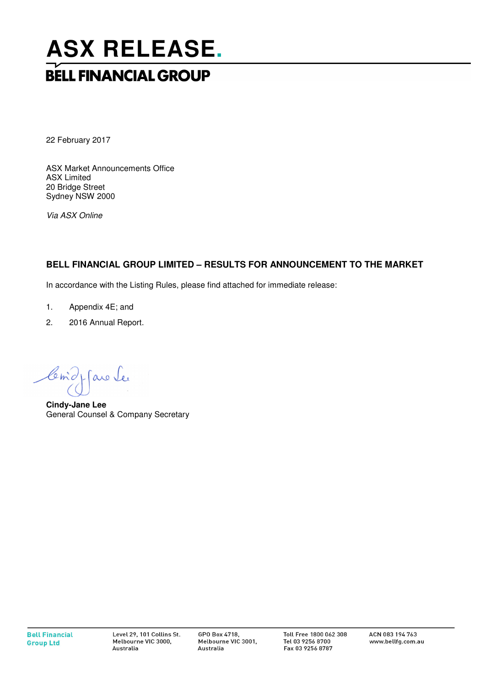# **ASX RELEASE. BELL FINANCIAL GROUP**

22 February 2017

ASX Market Announcements Office ASX Limited 20 Bridge Street Sydney NSW 2000

Via ASX Online

## **BELL FINANCIAL GROUP LIMITED – RESULTS FOR ANNOUNCEMENT TO THE MARKET**

In accordance with the Listing Rules, please find attached for immediate release:

- 1. Appendix 4E; and
- 2. 2016 Annual Report.

Como favo Le

**Cindy-Jane Lee**  General Counsel & Company Secretary

GPO Box 4718. Melbourne VIC 3001, Australia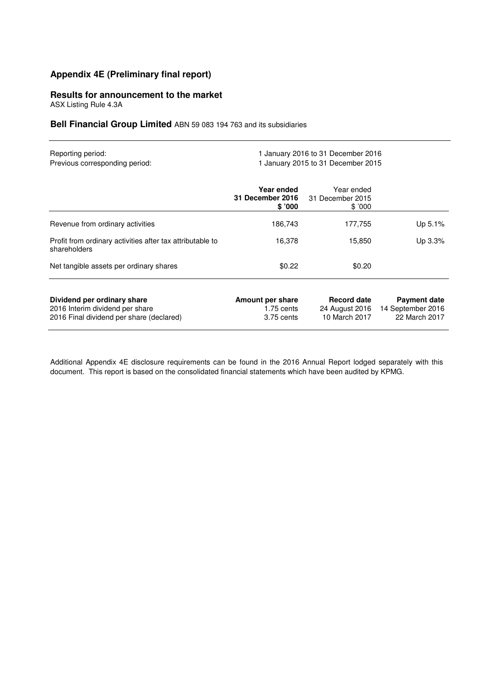## **Appendix 4E (Preliminary final report)**

## **Results for announcement to the market**

ASX Listing Rule 4.3A

**Bell Financial Group Limited** ABN 59 083 194 763 and its subsidiaries

| Reporting period:<br>Previous corresponding period:                                                        | 1 January 2016 to 31 December 2016<br>1 January 2015 to 31 December 2015 |                                                       |                                                           |  |  |  |  |
|------------------------------------------------------------------------------------------------------------|--------------------------------------------------------------------------|-------------------------------------------------------|-----------------------------------------------------------|--|--|--|--|
|                                                                                                            | Year ended<br><b>31 December 2016</b><br>\$'000                          | Year ended<br>31 December 2015<br>\$'000              |                                                           |  |  |  |  |
| Revenue from ordinary activities                                                                           | 186,743                                                                  | 177,755                                               | Up 5.1%                                                   |  |  |  |  |
| Profit from ordinary activities after tax attributable to<br>shareholders                                  | 16,378                                                                   | 15,850                                                | Up 3.3%                                                   |  |  |  |  |
| Net tangible assets per ordinary shares                                                                    | \$0.22                                                                   | \$0.20                                                |                                                           |  |  |  |  |
| Dividend per ordinary share<br>2016 Interim dividend per share<br>2016 Final dividend per share (declared) | Amount per share<br>$1.75$ cents<br>3.75 cents                           | <b>Record date</b><br>24 August 2016<br>10 March 2017 | <b>Payment date</b><br>14 September 2016<br>22 March 2017 |  |  |  |  |

Additional Appendix 4E disclosure requirements can be found in the 2016 Annual Report lodged separately with this document. This report is based on the consolidated financial statements which have been audited by KPMG.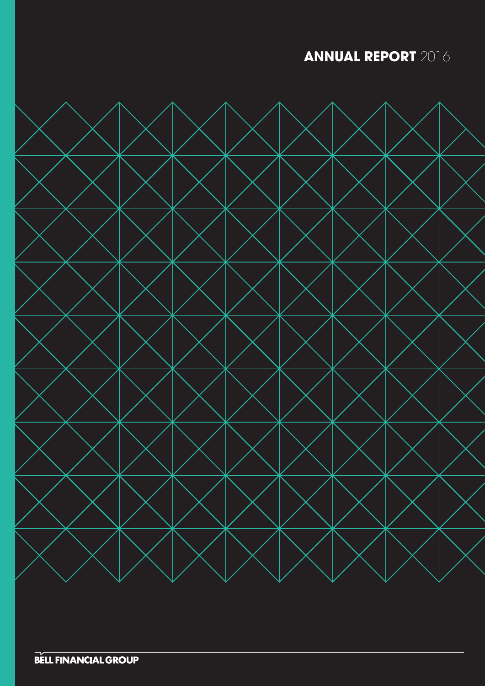**ANNUAL REPORT** 2016

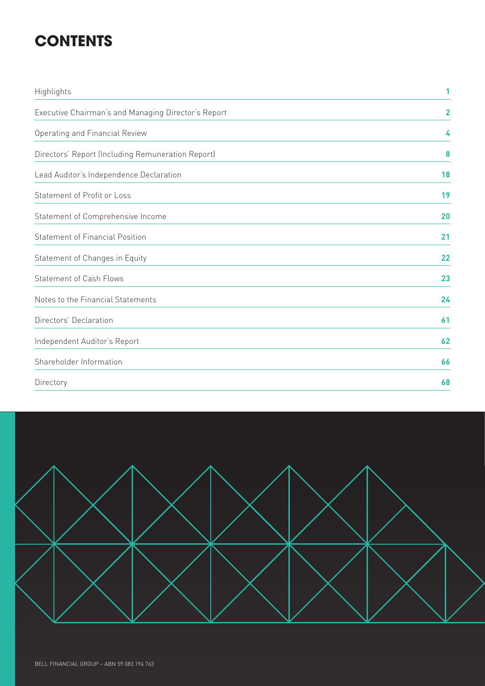# **CONTENTS**

| Highlights                                          | 1              |
|-----------------------------------------------------|----------------|
| Executive Chairman's and Managing Director's Report | $\overline{2}$ |
| Operating and Financial Review                      | 4              |
| Directors' Report (Including Remuneration Report)   | 8              |
| Lead Auditor's Independence Declaration             | 18             |
| Statement of Profit or Loss                         | 19             |
| Statement of Comprehensive Income                   | 20             |
| <b>Statement of Financial Position</b>              | 21             |
| Statement of Changes in Equity                      | 22             |
| <b>Statement of Cash Flows</b>                      | 23             |
| Notes to the Financial Statements                   | 24             |
| Directors' Declaration                              | 61             |
| Independent Auditor's Report                        | 62             |
| Shareholder Information                             | 66             |
| Directory                                           | 68             |

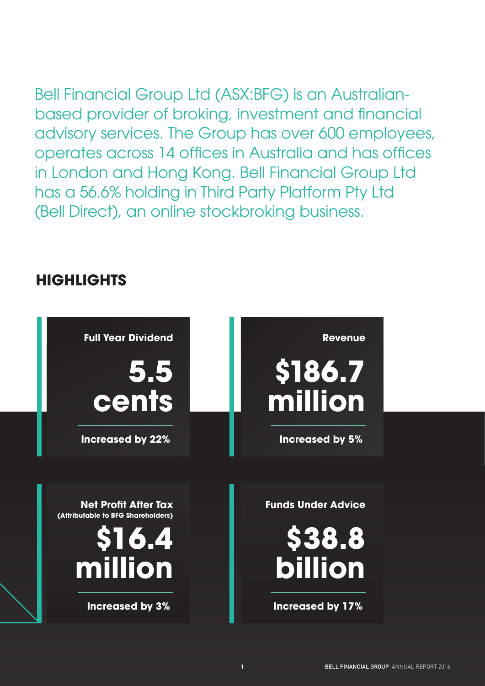## Bell Financial Group Ltd (ASX:BFG) is an Australianbased provider of broking, investment and financial advisory services. The Group has over 600 employees, operates across 14 offices in Australia and has offices in London and Hong Kong. Bell Financial Group Ltd has a 56.6% holding in Third Party Platform Pty Ltd (Bell Direct), an online stockbroking business.

## **HIGHLIGHTS**

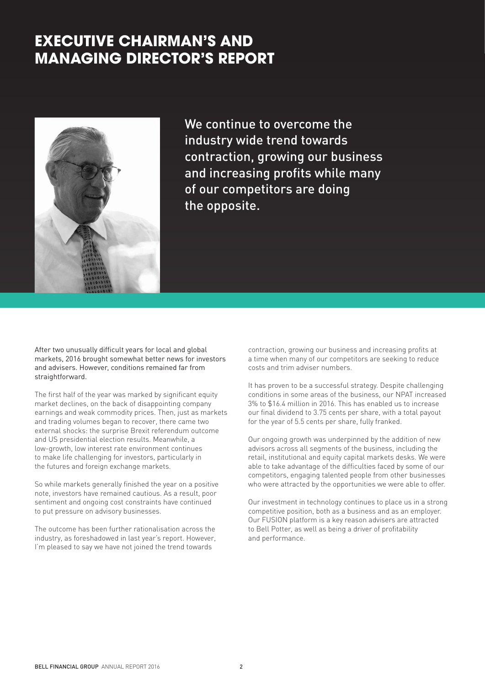## **EXECUTIVE CHAIRMAN'S AND MANAGING DIRECTOR'S REPORT**



We continue to overcome the industry wide trend towards contraction, growing our business and increasing profits while many of our competitors are doing the opposite.

After two unusually difficult years for local and global markets, 2016 brought somewhat better news for investors and advisers. However, conditions remained far from straightforward.

The first half of the year was marked by significant equity market declines, on the back of disappointing company earnings and weak commodity prices. Then, just as markets and trading volumes began to recover, there came two external shocks: the surprise Brexit referendum outcome and US presidential election results. Meanwhile, a low-growth, low interest rate environment continues to make life challenging for investors, particularly in the futures and foreign exchange markets.

So while markets generally finished the year on a positive note, investors have remained cautious. As a result, poor sentiment and ongoing cost constraints have continued to put pressure on advisory businesses.

The outcome has been further rationalisation across the industry, as foreshadowed in last year's report. However, I'm pleased to say we have not joined the trend towards

contraction, growing our business and increasing profits at a time when many of our competitors are seeking to reduce costs and trim adviser numbers.

It has proven to be a successful strategy. Despite challenging conditions in some areas of the business, our NPAT increased 3% to \$16.4 million in 2016. This has enabled us to increase our final dividend to 3.75 cents per share, with a total payout for the year of 5.5 cents per share, fully franked.

Our ongoing growth was underpinned by the addition of new advisors across all segments of the business, including the retail, institutional and equity capital markets desks. We were able to take advantage of the difficulties faced by some of our competitors, engaging talented people from other businesses who were attracted by the opportunities we were able to offer.

Our investment in technology continues to place us in a strong competitive position, both as a business and as an employer. Our FUSION platform is a key reason advisers are attracted to Bell Potter, as well as being a driver of profitability and performance.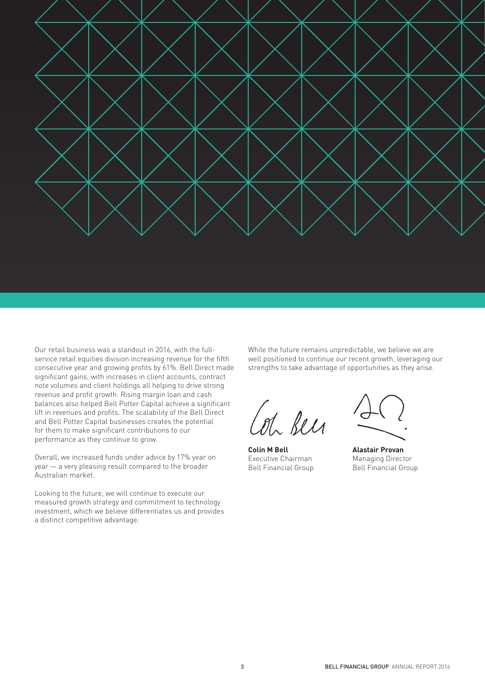

Our retail business was a standout in 2016, with the fullservice retail equities division increasing revenue for the fifth consecutive year and growing profits by 61%. Bell Direct made significant gains, with increases in client accounts, contract note volumes and client holdings all helping to drive strong revenue and profit growth. Rising margin loan and cash balances also helped Bell Potter Capital achieve a significant lift in revenues and profits. The scalability of the Bell Direct and Bell Potter Capital businesses creates the potential for them to make significant contributions to our performance as they continue to grow.

Overall, we increased funds under advice by 17% year on year — a very pleasing result compared to the broader Australian market.

Looking to the future, we will continue to execute our measured growth strategy and commitment to technology investment, which we believe differentiates us and provides a distinct competitive advantage.

While the future remains unpredictable, we believe we are well positioned to continue our recent growth, leveraging our strengths to take advantage of opportunities as they arise.

Col been

**Colin M Bell** Executive Chairman Bell Financial Group

**Alastair Provan** Managing Director Bell Financial Group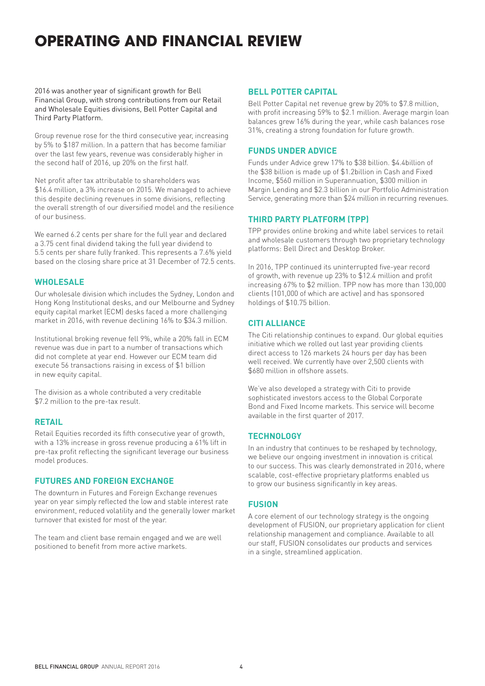## **OPERATING AND FINANCIAL REVIEW**

2016 was another year of significant growth for Bell Financial Group, with strong contributions from our Retail and Wholesale Equities divisions, Bell Potter Capital and Third Party Platform.

Group revenue rose for the third consecutive year, increasing by 5% to \$187 million. In a pattern that has become familiar over the last few years, revenue was considerably higher in the second half of 2016, up 20% on the first half.

Net profit after tax attributable to shareholders was \$16.4 million, a 3% increase on 2015. We managed to achieve this despite declining revenues in some divisions, reflecting the overall strength of our diversified model and the resilience of our business.

We earned 6.2 cents per share for the full year and declared a 3.75 cent final dividend taking the full year dividend to 5.5 cents per share fully franked. This represents a 7.6% yield based on the closing share price at 31 December of 72.5 cents.

## **WHOLESALE**

Our wholesale division which includes the Sydney, London and Hong Kong Institutional desks, and our Melbourne and Sydney equity capital market (ECM) desks faced a more challenging market in 2016, with revenue declining 16% to \$34.3 million.

Institutional broking revenue fell 9%, while a 20% fall in ECM revenue was due in part to a number of transactions which did not complete at year end. However our ECM team did execute 56 transactions raising in excess of \$1 billion in new equity capital.

The division as a whole contributed a very creditable \$7.2 million to the pre-tax result.

## **RETAIL**

Retail Equities recorded its fifth consecutive year of growth, with a 13% increase in gross revenue producing a 61% lift in pre-tax profit reflecting the significant leverage our business model produces.

## **FUTURES AND FOREIGN EXCHANGE**

The downturn in Futures and Foreign Exchange revenues year on year simply reflected the low and stable interest rate environment, reduced volatility and the generally lower market turnover that existed for most of the year.

The team and client base remain engaged and we are well positioned to benefit from more active markets.

## **BELL POTTER CAPITAL**

Bell Potter Capital net revenue grew by 20% to \$7.8 million, with profit increasing 59% to \$2.1 million. Average margin loan balances grew 16% during the year, while cash balances rose 31%, creating a strong foundation for future growth.

## **FUNDS UNDER ADVICE**

Funds under Advice grew 17% to \$38 billion. \$4.4billion of the \$38 billion is made up of \$1.2billion in Cash and Fixed Income, \$560 million in Superannuation, \$300 million in Margin Lending and \$2.3 billion in our Portfolio Administration Service, generating more than \$24 million in recurring revenues.

## **THIRD PARTY PLATFORM (TPP)**

TPP provides online broking and white label services to retail and wholesale customers through two proprietary technology platforms: Bell Direct and Desktop Broker.

In 2016, TPP continued its uninterrupted five-year record of growth, with revenue up 23% to \$12.4 million and profit increasing 67% to \$2 million. TPP now has more than 130,000 clients (101,000 of which are active) and has sponsored holdings of \$10.75 billion.

## **CITI ALLIANCE**

The Citi relationship continues to expand. Our global equities initiative which we rolled out last year providing clients direct access to 126 markets 24 hours per day has been well received. We currently have over 2,500 clients with \$680 million in offshore assets.

We've also developed a strategy with Citi to provide sophisticated investors access to the Global Corporate Bond and Fixed Income markets. This service will become available in the first quarter of 2017.

## **TECHNOLOGY**

In an industry that continues to be reshaped by technology, we believe our ongoing investment in innovation is critical to our success. This was clearly demonstrated in 2016, where scalable, cost-effective proprietary platforms enabled us to grow our business significantly in key areas.

## **FUSION**

A core element of our technology strategy is the ongoing development of FUSION, our proprietary application for client relationship management and compliance. Available to all our staff, FUSION consolidates our products and services in a single, streamlined application.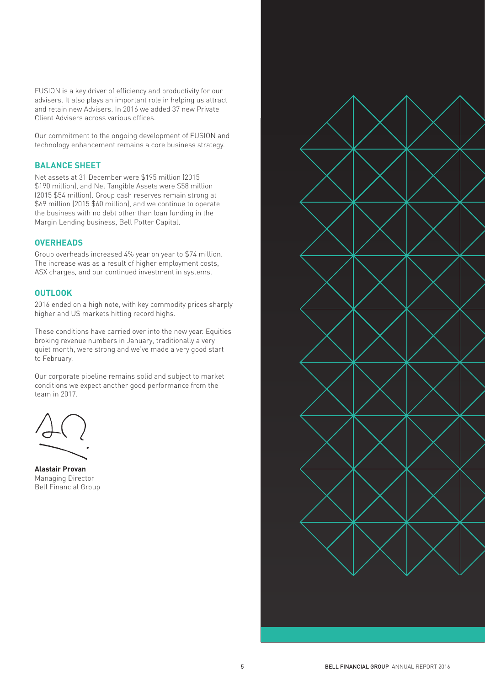FUSION is a key driver of efficiency and productivity for our advisers. It also plays an important role in helping us attract and retain new Advisers. In 2016 we added 37 new Private Client Advisers across various offices.

Our commitment to the ongoing development of FUSION and technology enhancement remains a core business strategy.

## **BALANCE SHEET**

Net assets at 31 December were \$195 million (2015 \$190 million), and Net Tangible Assets were \$58 million (2015 \$54 million). Group cash reserves remain strong at \$69 million (2015 \$60 million), and we continue to operate the business with no debt other than loan funding in the Margin Lending business, Bell Potter Capital.

## **OVERHEADS**

Group overheads increased 4% year on year to \$74 million. The increase was as a result of higher employment costs, ASX charges, and our continued investment in systems.

### **OUTLOOK**

2016 ended on a high note, with key commodity prices sharply higher and US markets hitting record highs.

These conditions have carried over into the new year. Equities broking revenue numbers in January, traditionally a very quiet month, were strong and we've made a very good start to February.

Our corporate pipeline remains solid and subject to market conditions we expect another good performance from the team in 2017.

**Alastair Provan** Managing Director Bell Financial Group

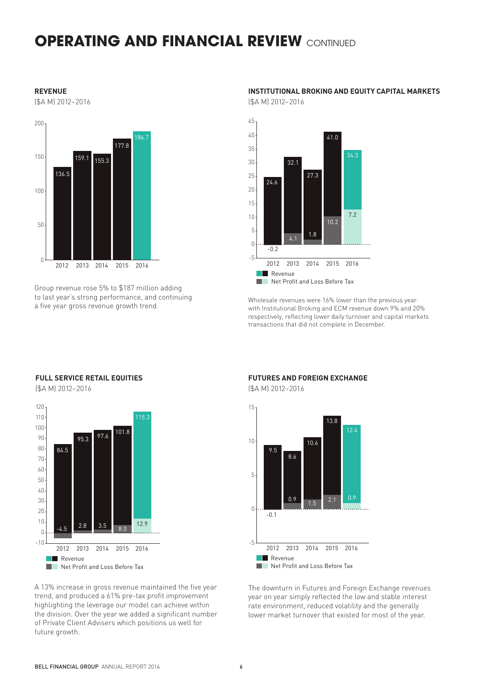## **OPERATING AND FINANCIAL REVIEW CONTINUED**

#### **REVENUE**

(\$A M) 2012–2016



Group revenue rose 5% to \$187 million adding to last year's strong performance, and continuing a five year gross revenue growth trend.

## **INSTITUTIONAL BROKING AND EQUITY CAPITAL MARKETS**

(\$A M) 2012–2016



Wholesale revenues were 16% lower than the previous year with Institutional Broking and ECM revenue down 9% and 20% respectively, reflecting lower daily turnover and capital markets transactions that did not complete in December.

### **FULL SERVICE RETAIL EQUITIES**

(\$A M) 2012–2016



A 13% increase in gross revenue maintained the five year trend, and produced a 61% pre-tax profit improvement highlighting the leverage our model can achieve within the division. Over the year we added a significant number of Private Client Advisers which positions us well for future growth.

### **FUTURES AND FOREIGN EXCHANGE**

(\$A M) 2012–2016



The downturn in Futures and Foreign Exchange revenues year on year simply reflected the low and stable interest rate environment, reduced volatility and the generally lower market turnover that existed for most of the year.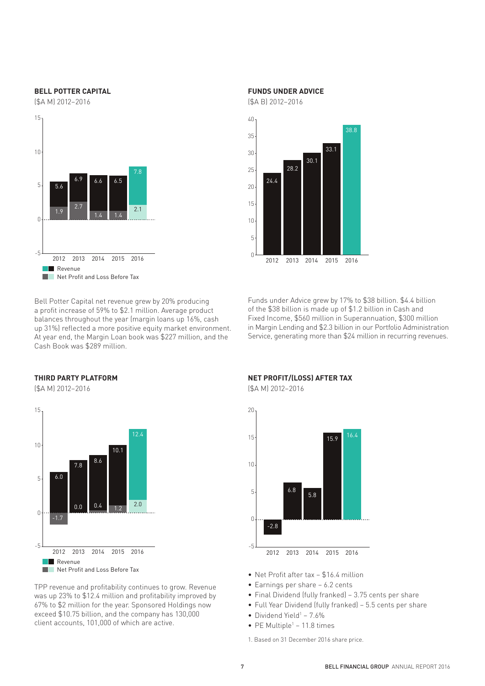#### **BELL POTTER CAPITAL**

(\$A M) 2012–2016



Bell Potter Capital net revenue grew by 20% producing a profit increase of 59% to \$2.1 million. Average product balances throughout the year (margin loans up 16%, cash up 31%) reflected a more positive equity market environment. At year end, the Margin Loan book was \$227 million, and the Cash Book was \$289 million.

## **FUNDS UNDER ADVICE**

(\$A B) 2012–2016



Funds under Advice grew by 17% to \$38 billion. \$4.4 billion of the \$38 billion is made up of \$1.2 billion in Cash and Fixed Income, \$560 million in Superannuation, \$300 million in Margin Lending and \$2.3 billion in our Portfolio Administration Service, generating more than \$24 million in recurring revenues.

## **THIRD PARTY PLATFORM**

(\$A M) 2012–2016



TPP revenue and profitability continues to grow. Revenue was up 23% to \$12.4 million and profitability improved by 67% to \$2 million for the year. Sponsored Holdings now exceed \$10.75 billion, and the company has 130,000 client accounts, 101,000 of which are active.

### **NET PROFIT/(LOSS) AFTER TAX**

(\$A M) 2012–2016



- Net Profit after tax \$16.4 million
- Earnings per share 6.2 cents
- Final Dividend (fully franked) 3.75 cents per share
- Full Year Dividend (fully franked) 5.5 cents per share
- Dividend Yield<sup>1</sup> 7.6%
- $\bullet$  PE Multiple<sup>1</sup> 11.8 times

1. Based on 31 December 2016 share price.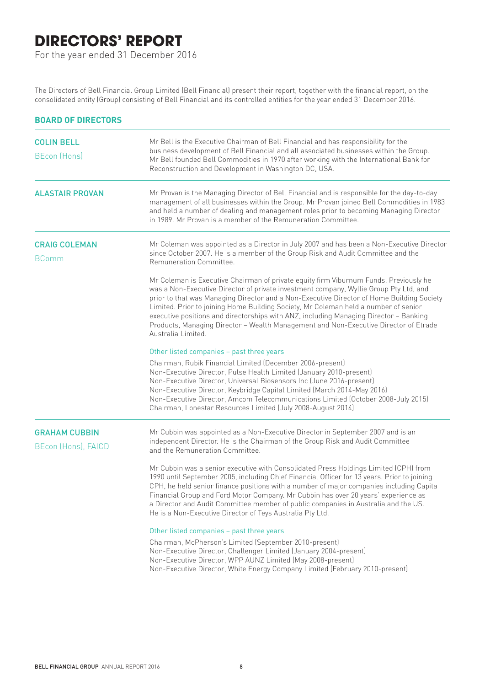## **DIRECTORS' REPORT**

For the year ended 31 December 2016

The Directors of Bell Financial Group Limited (Bell Financial) present their report, together with the financial report, on the consolidated entity (Group) consisting of Bell Financial and its controlled entities for the year ended 31 December 2016.

| <b>BOARD OF DIRECTORS</b>                   |                                                                                                                                                                                                                                                                                                                                                                                                                                                                                                                                                                           |
|---------------------------------------------|---------------------------------------------------------------------------------------------------------------------------------------------------------------------------------------------------------------------------------------------------------------------------------------------------------------------------------------------------------------------------------------------------------------------------------------------------------------------------------------------------------------------------------------------------------------------------|
| <b>COLIN BELL</b><br><b>BEcon (Hons)</b>    | Mr Bell is the Executive Chairman of Bell Financial and has responsibility for the<br>business development of Bell Financial and all associated businesses within the Group.<br>Mr Bell founded Bell Commodities in 1970 after working with the International Bank for<br>Reconstruction and Development in Washington DC, USA.                                                                                                                                                                                                                                           |
| <b>ALASTAIR PROVAN</b>                      | Mr Provan is the Managing Director of Bell Financial and is responsible for the day-to-day<br>management of all businesses within the Group. Mr Provan joined Bell Commodities in 1983<br>and held a number of dealing and management roles prior to becoming Managing Director<br>in 1989. Mr Provan is a member of the Remuneration Committee.                                                                                                                                                                                                                          |
| <b>CRAIG COLEMAN</b><br><b>BComm</b>        | Mr Coleman was appointed as a Director in July 2007 and has been a Non-Executive Director<br>since October 2007. He is a member of the Group Risk and Audit Committee and the<br>Remuneration Committee.                                                                                                                                                                                                                                                                                                                                                                  |
|                                             | Mr Coleman is Executive Chairman of private equity firm Viburnum Funds. Previously he<br>was a Non-Executive Director of private investment company, Wyllie Group Pty Ltd, and<br>prior to that was Managing Director and a Non-Executive Director of Home Building Society<br>Limited. Prior to joining Home Building Society, Mr Coleman held a number of senior<br>executive positions and directorships with ANZ, including Managing Director - Banking<br>Products, Managing Director - Wealth Management and Non-Executive Director of Etrade<br>Australia Limited. |
|                                             | Other listed companies - past three years<br>Chairman, Rubik Financial Limited (December 2006-present)<br>Non-Executive Director, Pulse Health Limited (January 2010-present)<br>Non-Executive Director, Universal Biosensors Inc (June 2016-present)<br>Non-Executive Director, Keybridge Capital Limited (March 2014-May 2016)<br>Non-Executive Director, Amcom Telecommunications Limited (October 2008-July 2015)<br>Chairman, Lonestar Resources Limited (July 2008-August 2014)                                                                                     |
| <b>GRAHAM CUBBIN</b><br>BEcon (Hons), FAICD | Mr Cubbin was appointed as a Non-Executive Director in September 2007 and is an<br>independent Director. He is the Chairman of the Group Risk and Audit Committee<br>and the Remuneration Committee.                                                                                                                                                                                                                                                                                                                                                                      |
|                                             | Mr Cubbin was a senior executive with Consolidated Press Holdings Limited (CPH) from<br>1990 until September 2005, including Chief Financial Officer for 13 years. Prior to joining<br>CPH, he held senior finance positions with a number of major companies including Capita<br>Financial Group and Ford Motor Company. Mr Cubbin has over 20 years' experience as<br>a Director and Audit Committee member of public companies in Australia and the US.<br>He is a Non-Executive Director of Teys Australia Pty Ltd.                                                   |
|                                             | Other listed companies - past three years                                                                                                                                                                                                                                                                                                                                                                                                                                                                                                                                 |
|                                             | Chairman, McPherson's Limited (September 2010-present)<br>Non-Executive Director, Challenger Limited (January 2004-present)<br>Non-Executive Director, WPP AUNZ Limited (May 2008-present)<br>Non-Executive Director, White Energy Company Limited (February 2010-present)                                                                                                                                                                                                                                                                                                |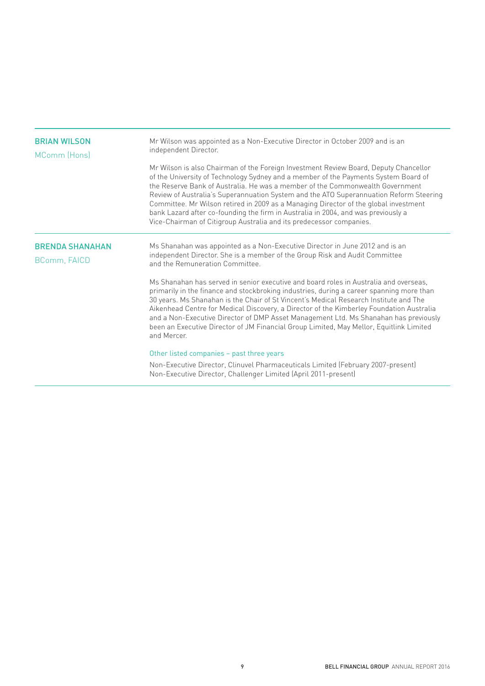| <b>BRIAN WILSON</b><br>MComm (Hons)    | Mr Wilson was appointed as a Non-Executive Director in October 2009 and is an<br>independent Director.<br>Mr Wilson is also Chairman of the Foreign Investment Review Board, Deputy Chancellor<br>of the University of Technology Sydney and a member of the Payments System Board of<br>the Reserve Bank of Australia. He was a member of the Commonwealth Government<br>Review of Australia's Superannuation System and the ATO Superannuation Reform Steering<br>Committee. Mr Wilson retired in 2009 as a Managing Director of the global investment<br>bank Lazard after co-founding the firm in Australia in 2004, and was previously a<br>Vice-Chairman of Citigroup Australia and its predecessor companies.                                                                                                                                                                                                                                                          |
|----------------------------------------|-------------------------------------------------------------------------------------------------------------------------------------------------------------------------------------------------------------------------------------------------------------------------------------------------------------------------------------------------------------------------------------------------------------------------------------------------------------------------------------------------------------------------------------------------------------------------------------------------------------------------------------------------------------------------------------------------------------------------------------------------------------------------------------------------------------------------------------------------------------------------------------------------------------------------------------------------------------------------------|
| <b>BRENDA SHANAHAN</b><br>BComm, FAICD | Ms Shanahan was appointed as a Non-Executive Director in June 2012 and is an<br>independent Director. She is a member of the Group Risk and Audit Committee<br>and the Remuneration Committee<br>Ms Shanahan has served in senior executive and board roles in Australia and overseas.<br>primarily in the finance and stockbroking industries, during a career spanning more than<br>30 years. Ms Shanahan is the Chair of St Vincent's Medical Research Institute and The<br>Aikenhead Centre for Medical Discovery, a Director of the Kimberley Foundation Australia<br>and a Non-Executive Director of DMP Asset Management Ltd. Ms Shanahan has previously<br>been an Executive Director of JM Financial Group Limited, May Mellor, Equitlink Limited<br>and Mercer.<br>Other listed companies - past three years<br>Non-Executive Director, Clinuvel Pharmaceuticals Limited (February 2007-present)<br>Non-Executive Director, Challenger Limited (April 2011-present) |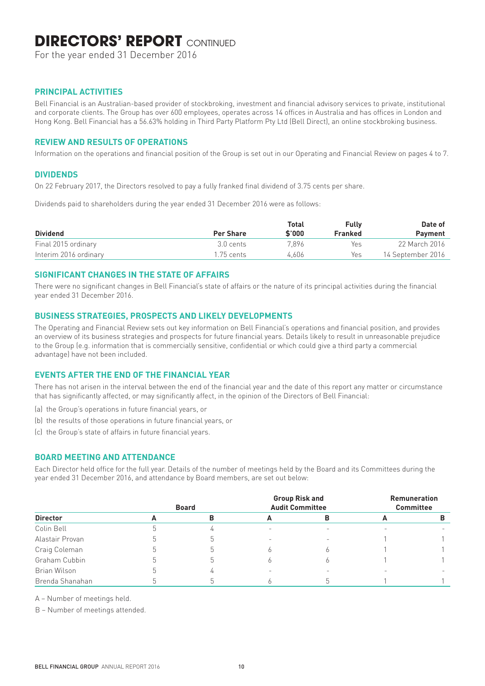## **DIRECTORS' REPORT CONTINUED**

For the year ended 31 December 2016

## **PRINCIPAL ACTIVITIES**

Bell Financial is an Australian-based provider of stockbroking, investment and financial advisory services to private, institutional and corporate clients. The Group has over 600 employees, operates across 14 offices in Australia and has offices in London and Hong Kong. Bell Financial has a 56.63% holding in Third Party Platform Pty Ltd (Bell Direct), an online stockbroking business.

## **REVIEW AND RESULTS OF OPERATIONS**

Information on the operations and financial position of the Group is set out in our Operating and Financial Review on pages 4 to 7.

### **DIVIDENDS**

On 22 February 2017, the Directors resolved to pay a fully franked final dividend of 3.75 cents per share.

Dividends paid to shareholders during the year ended 31 December 2016 were as follows:

| <b>Dividend</b>       | <b>Per Share</b> | <b>Total</b><br>\$'000 | <b>Fully</b><br><b>Franked</b> | Date of<br><b>Payment</b> |
|-----------------------|------------------|------------------------|--------------------------------|---------------------------|
| Final 2015 ordinary   | 3.0 cents        | 7.896                  | Yes                            | 22 March 2016             |
| Interim 2016 ordinary | 1.75 cents       | 4.606                  | Yes                            | 14 September 2016         |

### **SIGNIFICANT CHANGES IN THE STATE OF AFFAIRS**

There were no significant changes in Bell Financial's state of affairs or the nature of its principal activities during the financial year ended 31 December 2016.

## **BUSINESS STRATEGIES, PROSPECTS AND LIKELY DEVELOPMENTS**

The Operating and Financial Review sets out key information on Bell Financial's operations and financial position, and provides an overview of its business strategies and prospects for future financial years. Details likely to result in unreasonable prejudice to the Group (e.g. information that is commercially sensitive, confidential or which could give a third party a commercial advantage) have not been included.

## **EVENTS AFTER THE END OF THE FINANCIAL YEAR**

There has not arisen in the interval between the end of the financial year and the date of this report any matter or circumstance that has significantly affected, or may significantly affect, in the opinion of the Directors of Bell Financial:

- (a) the Group's operations in future financial years, or
- (b) the results of those operations in future financial years, or
- (c) the Group's state of affairs in future financial years.

## **BOARD MEETING AND ATTENDANCE**

Each Director held office for the full year. Details of the number of meetings held by the Board and its Committees during the year ended 31 December 2016, and attendance by Board members, are set out below:

| <b>Director</b> | <b>Board</b> |            | <b>Group Risk and</b><br><b>Audit Committee</b> | <b>Remuneration</b><br><b>Committee</b> |  |
|-----------------|--------------|------------|-------------------------------------------------|-----------------------------------------|--|
|                 |              | А          | в                                               |                                         |  |
| Colin Bell      |              | <u>. .</u> |                                                 |                                         |  |
| Alastair Provan |              |            |                                                 |                                         |  |
| Craig Coleman   |              |            |                                                 |                                         |  |
| Graham Cubbin   |              |            |                                                 |                                         |  |
| Brian Wilson    |              |            |                                                 |                                         |  |
| Brenda Shanahan |              |            |                                                 |                                         |  |

A – Number of meetings held.

B – Number of meetings attended.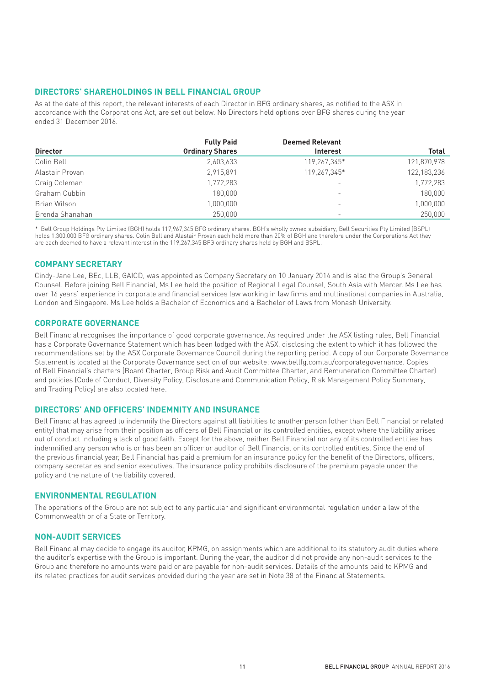## **DIRECTORS' SHAREHOLDINGS IN BELL FINANCIAL GROUP**

As at the date of this report, the relevant interests of each Director in BFG ordinary shares, as notified to the ASX in accordance with the Corporations Act, are set out below. No Directors held options over BFG shares during the year ended 31 December 2016.

|                 | <b>Fully Paid</b>      | <b>Deemed Relevant</b>   |              |
|-----------------|------------------------|--------------------------|--------------|
| <b>Director</b> | <b>Ordinary Shares</b> | <b>Interest</b>          | <b>Total</b> |
| Colin Bell      | 2,603,633              | 119,267,345*             | 121,870,978  |
| Alastair Provan | 2.915.891              | 119.267.345*             | 122,183,236  |
| Craig Coleman   | 1,772,283              | $\overline{\phantom{m}}$ | 1,772,283    |
| Graham Cubbin   | 180,000                | $\overline{\phantom{0}}$ | 180,000      |
| Brian Wilson    | 1,000,000              | $\overline{\phantom{m}}$ | 1,000,000    |
| Brenda Shanahan | 250,000                |                          | 250,000      |

\* Bell Group Holdings Pty Limited (BGH) holds 117,967,345 BFG ordinary shares. BGH's wholly owned subsidiary, Bell Securities Pty Limited (BSPL) holds 1,300,000 BFG ordinary shares. Colin Bell and Alastair Provan each hold more than 20% of BGH and therefore under the Corporations Act they are each deemed to have a relevant interest in the 119,267,345 BFG ordinary shares held by BGH and BSPL.

## **COMPANY SECRETARY**

Cindy-Jane Lee, BEc, LLB, GAICD, was appointed as Company Secretary on 10 January 2014 and is also the Group's General Counsel. Before joining Bell Financial, Ms Lee held the position of Regional Legal Counsel, South Asia with Mercer. Ms Lee has over 16 years' experience in corporate and financial services law working in law firms and multinational companies in Australia, London and Singapore. Ms Lee holds a Bachelor of Economics and a Bachelor of Laws from Monash University.

#### **CORPORATE GOVERNANCE**

Bell Financial recognises the importance of good corporate governance. As required under the ASX listing rules, Bell Financial has a Corporate Governance Statement which has been lodged with the ASX, disclosing the extent to which it has followed the recommendations set by the ASX Corporate Governance Council during the reporting period. A copy of our Corporate Governance Statement is located at the Corporate Governance section of our website: www.bellfg.com.au/corporategovernance. Copies of Bell Financial's charters (Board Charter, Group Risk and Audit Committee Charter, and Remuneration Committee Charter) and policies (Code of Conduct, Diversity Policy, Disclosure and Communication Policy, Risk Management Policy Summary, and Trading Policy) are also located here.

## **DIRECTORS' AND OFFICERS' INDEMNITY AND INSURANCE**

Bell Financial has agreed to indemnify the Directors against all liabilities to another person (other than Bell Financial or related entity) that may arise from their position as officers of Bell Financial or its controlled entities, except where the liability arises out of conduct including a lack of good faith. Except for the above, neither Bell Financial nor any of its controlled entities has indemnified any person who is or has been an officer or auditor of Bell Financial or its controlled entities. Since the end of the previous financial year, Bell Financial has paid a premium for an insurance policy for the benefit of the Directors, officers, company secretaries and senior executives. The insurance policy prohibits disclosure of the premium payable under the policy and the nature of the liability covered.

#### **ENVIRONMENTAL REGULATION**

The operations of the Group are not subject to any particular and significant environmental regulation under a law of the Commonwealth or of a State or Territory.

#### **NON-AUDIT SERVICES**

Bell Financial may decide to engage its auditor, KPMG, on assignments which are additional to its statutory audit duties where the auditor's expertise with the Group is important. During the year, the auditor did not provide any non-audit services to the Group and therefore no amounts were paid or are payable for non-audit services. Details of the amounts paid to KPMG and its related practices for audit services provided during the year are set in Note 38 of the Financial Statements.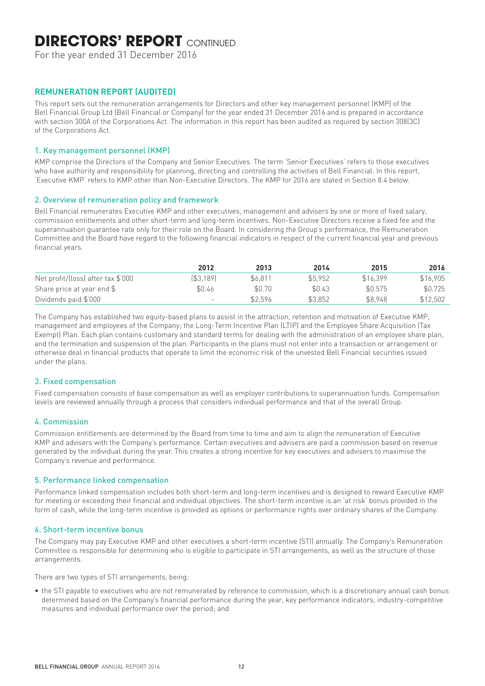## **DIRECTORS' REPORT CONTINUED**

For the year ended 31 December 2016

## **REMUNERATION REPORT (AUDITED)**

This report sets out the remuneration arrangements for Directors and other key management personnel (KMP) of the Bell Financial Group Ltd (Bell Financial or Company) for the year ended 31 December 2016 and is prepared in accordance with section 300A of the Corporations Act. The information in this report has been audited as required by section 308(3C) of the Corporations Act.

### 1. Key management personnel (KMP)

KMP comprise the Directors of the Company and Senior Executives. The term 'Senior Executives' refers to those executives who have authority and responsibility for planning, directing and controlling the activities of Bell Financial. In this report, 'Executive KMP' refers to KMP other than Non-Executive Directors. The KMP for 2016 are stated in Section 8.4 below.

### 2. Overview of remuneration policy and framework

Bell Financial remunerates Executive KMP and other executives, management and advisers by one or more of fixed salary, commission entitlements and other short-term and long-term incentives. Non-Executive Directors receive a fixed fee and the superannuation guarantee rate only for their role on the Board. In considering the Group's performance, the Remuneration Committee and the Board have regard to the following financial indicators in respect of the current financial year and previous financial years.

|                                    | 2012      | 2013    | 2014    | 2015     | 2016     |
|------------------------------------|-----------|---------|---------|----------|----------|
| Net profit/(loss) after tax \$'000 | (\$3.189) | \$6.811 | \$5.952 | \$16.399 | \$16,905 |
| Share price at year end \$         | \$0.46    | \$0.70  | \$0.43  | \$0.575  | \$0.725  |
| Dividends paid \$'000              | -         | \$2.596 | \$3.852 | \$8.948  | \$12.502 |

The Company has established two equity-based plans to assist in the attraction, retention and motivation of Executive KMP, management and employees of the Company; the Long-Term Incentive Plan (LTIP) and the Employee Share Acquisition (Tax Exempt) Plan. Each plan contains customary and standard terms for dealing with the administration of an employee share plan, and the termination and suspension of the plan. Participants in the plans must not enter into a transaction or arrangement or otherwise deal in financial products that operate to limit the economic risk of the unvested Bell Financial securities issued under the plans.

## 3. Fixed compensation

Fixed compensation consists of base compensation as well as employer contributions to superannuation funds. Compensation levels are reviewed annually through a process that considers individual performance and that of the overall Group.

## 4. Commission

Commission entitlements are determined by the Board from time to time and aim to align the remuneration of Executive KMP and advisers with the Company's performance. Certain executives and advisers are paid a commission based on revenue generated by the individual during the year. This creates a strong incentive for key executives and advisers to maximise the Company's revenue and performance.

#### 5. Performance linked compensation

Performance linked compensation includes both short-term and long-term incentives and is designed to reward Executive KMP for meeting or exceeding their financial and individual objectives. The short-term incentive is an 'at risk' bonus provided in the form of cash, while the long-term incentive is provided as options or performance rights over ordinary shares of the Company.

#### 6. Short-term incentive bonus

The Company may pay Executive KMP and other executives a short-term incentive (STI) annually. The Company's Remuneration Committee is responsible for determining who is eligible to participate in STI arrangements, as well as the structure of those arrangements.

There are two types of STI arrangements, being:

• the STI payable to executives who are not remunerated by reference to commission, which is a discretionary annual cash bonus determined based on the Company's financial performance during the year, key performance indicators, industry-competitive measures and individual performance over the period; and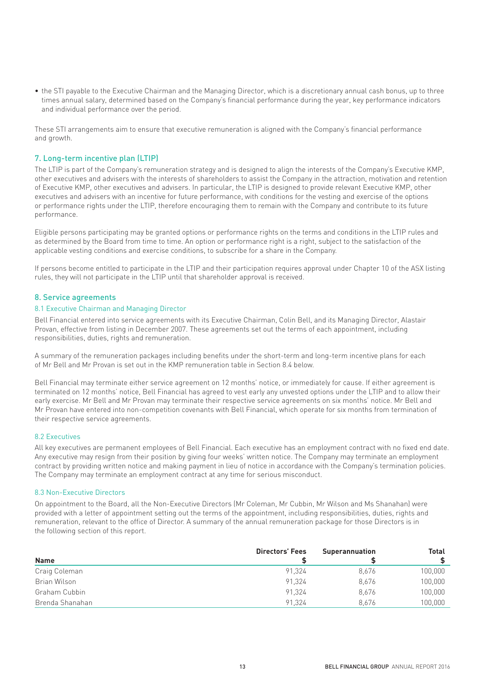• the STI payable to the Executive Chairman and the Managing Director, which is a discretionary annual cash bonus, up to three times annual salary, determined based on the Company's financial performance during the year, key performance indicators and individual performance over the period.

These STI arrangements aim to ensure that executive remuneration is aligned with the Company's financial performance and growth.

## 7. Long-term incentive plan (LTIP)

The LTIP is part of the Company's remuneration strategy and is designed to align the interests of the Company's Executive KMP, other executives and advisers with the interests of shareholders to assist the Company in the attraction, motivation and retention of Executive KMP, other executives and advisers. In particular, the LTIP is designed to provide relevant Executive KMP, other executives and advisers with an incentive for future performance, with conditions for the vesting and exercise of the options or performance rights under the LTIP, therefore encouraging them to remain with the Company and contribute to its future performance.

Eligible persons participating may be granted options or performance rights on the terms and conditions in the LTIP rules and as determined by the Board from time to time. An option or performance right is a right, subject to the satisfaction of the applicable vesting conditions and exercise conditions, to subscribe for a share in the Company.

If persons become entitled to participate in the LTIP and their participation requires approval under Chapter 10 of the ASX listing rules, they will not participate in the LTIP until that shareholder approval is received.

#### 8. Service agreements

#### 8.1 Executive Chairman and Managing Director

Bell Financial entered into service agreements with its Executive Chairman, Colin Bell, and its Managing Director, Alastair Provan, effective from listing in December 2007. These agreements set out the terms of each appointment, including responsibilities, duties, rights and remuneration.

A summary of the remuneration packages including benefits under the short-term and long-term incentive plans for each of Mr Bell and Mr Provan is set out in the KMP remuneration table in Section 8.4 below.

Bell Financial may terminate either service agreement on 12 months' notice, or immediately for cause. If either agreement is terminated on 12 months' notice, Bell Financial has agreed to vest early any unvested options under the LTIP and to allow their early exercise. Mr Bell and Mr Provan may terminate their respective service agreements on six months' notice. Mr Bell and Mr Provan have entered into non-competition covenants with Bell Financial, which operate for six months from termination of their respective service agreements.

#### 8.2 Executives

All key executives are permanent employees of Bell Financial. Each executive has an employment contract with no fixed end date. Any executive may resign from their position by giving four weeks' written notice. The Company may terminate an employment contract by providing written notice and making payment in lieu of notice in accordance with the Company's termination policies. The Company may terminate an employment contract at any time for serious misconduct.

#### 8.3 Non-Executive Directors

On appointment to the Board, all the Non-Executive Directors (Mr Coleman, Mr Cubbin, Mr Wilson and Ms Shanahan) were provided with a letter of appointment setting out the terms of the appointment, including responsibilities, duties, rights and remuneration, relevant to the office of Director. A summary of the annual remuneration package for those Directors is in the following section of this report.

| <b>Name</b>     | <b>Directors' Fees</b> | <b>Superannuation</b> | <b>Total</b> |
|-----------------|------------------------|-----------------------|--------------|
| Craig Coleman   | 91.324                 | 8,676                 | 100,000      |
| Brian Wilson    | 91.324                 | 8.676                 | 100,000      |
| Graham Cubbin   | 91.324                 | 8,676                 | 100,000      |
| Brenda Shanahan | 91.324                 | 8.676                 | 100,000      |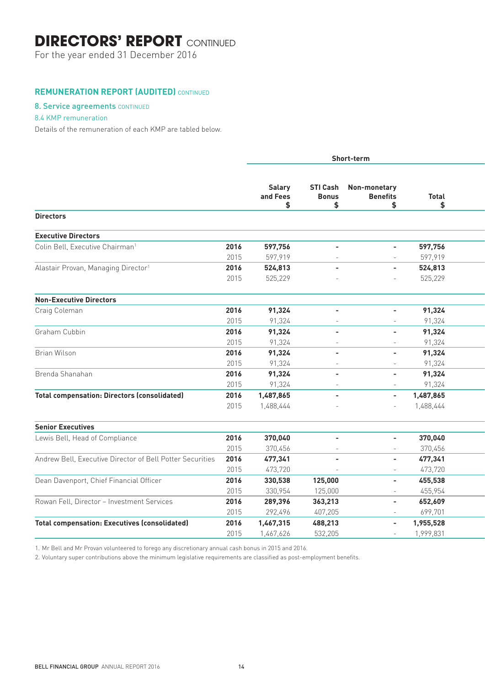## **DIRECTORS' REPORT** CONTINUED

For the year ended 31 December 2016

## **REMUNERATION REPORT (AUDITED)** CONTINUED

## 8. Service agreements CONTINUED

## 8.4 KMP remuneration

Details of the remuneration of each KMP are tabled below.

|                                                           |      |                          | Short-term               |                                                       |                    |  |
|-----------------------------------------------------------|------|--------------------------|--------------------------|-------------------------------------------------------|--------------------|--|
|                                                           |      | Salary<br>and Fees<br>\$ | <b>Bonus</b><br>\$       | <b>STI Cash Non-monetary</b><br><b>Benefits</b><br>\$ | <b>Total</b><br>\$ |  |
| <b>Directors</b>                                          |      |                          |                          |                                                       |                    |  |
| <b>Executive Directors</b>                                |      |                          |                          |                                                       |                    |  |
| Colin Bell, Executive Chairman <sup>1</sup>               | 2016 | 597,756                  | $\sim$                   | $\sim$                                                | 597,756            |  |
|                                                           | 2015 | 597,919                  | $\sim$                   | $\sim$                                                | 597,919            |  |
| Alastair Provan, Managing Director <sup>1</sup>           | 2016 | 524,813                  | $\sim$                   | $\sim$                                                | 524,813            |  |
|                                                           | 2015 | 525,229                  |                          | $\sim$                                                | 525,229            |  |
|                                                           |      |                          |                          |                                                       |                    |  |
| <b>Non-Executive Directors</b>                            |      |                          |                          |                                                       |                    |  |
| Craig Coleman                                             | 2016 | 91,324                   | $\sim$                   | $\sim$                                                | 91,324             |  |
|                                                           | 2015 | 91,324                   | $\sim$                   | $\sim$                                                | 91,324             |  |
| Graham Cubbin                                             | 2016 | 91,324                   | $\overline{\phantom{a}}$ | $\sim$                                                | 91,324             |  |
|                                                           | 2015 | 91,324                   | $\sim$                   | $\sim$                                                | 91,324             |  |
| Brian Wilson                                              | 2016 | 91,324                   | $\sim$                   | $\sim$                                                | 91,324             |  |
|                                                           | 2015 | 91,324                   | $\sim$                   | $\sim$                                                | 91,324             |  |
| Brenda Shanahan                                           | 2016 | 91,324                   | $\overline{\phantom{a}}$ | $\overline{\phantom{a}}$                              | 91,324             |  |
|                                                           | 2015 | 91,324                   | $\sim$                   | $\sim$                                                | 91,324             |  |
| <b>Total compensation: Directors (consolidated)</b>       | 2016 | 1,487,865                | $\overline{\phantom{a}}$ | $\sim$                                                | 1,487,865          |  |
|                                                           | 2015 | 1,488,444                |                          |                                                       | 1,488,444          |  |
|                                                           |      |                          |                          |                                                       |                    |  |
| <b>Senior Executives</b>                                  |      |                          |                          |                                                       |                    |  |
| Lewis Bell, Head of Compliance                            | 2016 | 370,040                  | $\sim$                   | $\sim$                                                | 370,040            |  |
|                                                           | 2015 | 370,456                  | $\sim$                   | $\sim$                                                | 370,456            |  |
| Andrew Bell, Executive Director of Bell Potter Securities | 2016 | 477,341                  | $\sim$                   | $\sim$                                                | 477,341            |  |
|                                                           | 2015 | 473,720                  | $\sim$                   | $\sim$                                                | 473,720            |  |
| Dean Davenport, Chief Financial Officer                   | 2016 | 330,538                  | 125,000                  | $\sim$                                                | 455,538            |  |
|                                                           | 2015 | 330,954                  | 125,000                  | $\sim$                                                | 455,954            |  |
| Rowan Fell, Director - Investment Services                | 2016 | 289,396                  | 363,213                  | $\sim$                                                | 652,609            |  |
|                                                           | 2015 | 292,496                  | 407,205                  | $\sim$                                                | 699,701            |  |
| <b>Total compensation: Executives (consolidated)</b>      | 2016 | 1,467,315                | 488,213                  | $\sim$                                                | 1,955,528          |  |
|                                                           |      |                          |                          |                                                       |                    |  |

1. Mr Bell and Mr Provan volunteered to forego any discretionary annual cash bonus in 2015 and 2016.

2. Voluntary super contributions above the minimum legislative requirements are classified as post-employment benefits.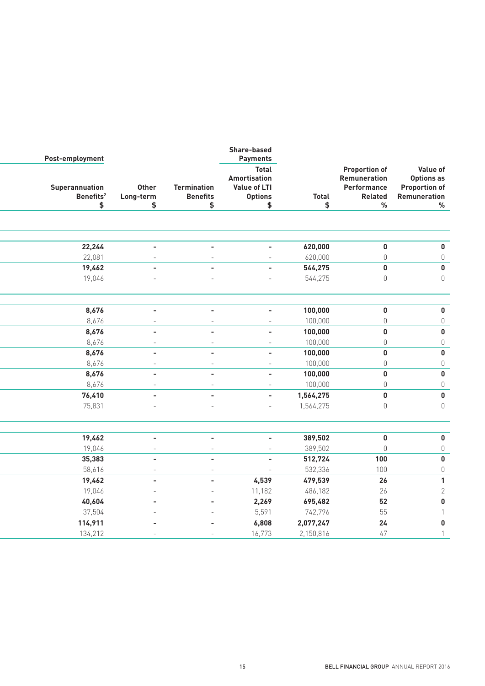|                                                                       |                                                                |               | <b>Share-based</b><br><b>Payments</b>                          |                                       |                          | Post-employment                         |
|-----------------------------------------------------------------------|----------------------------------------------------------------|---------------|----------------------------------------------------------------|---------------------------------------|--------------------------|-----------------------------------------|
| <b>Value of</b><br>Options as<br><b>Proportion of</b><br>Remuneration | <b>Proportion of</b><br>Remuneration<br>Performance<br>Related | <b>Total</b>  | <b>Total</b><br>Amortisation<br>Value of LTI<br><b>Options</b> | <b>Termination</b><br><b>Benefits</b> | Other<br>Long-term       | Superannuation<br>Benefits <sup>2</sup> |
| $\%$                                                                  | $\%$                                                           | $\frac{1}{2}$ | $\frac{1}{2}$                                                  | \$                                    | $\frac{1}{2}$            | $\frac{1}{2}$                           |
|                                                                       |                                                                |               |                                                                |                                       |                          |                                         |
| $\pmb{0}$                                                             | $\mathbf 0$                                                    | 620,000       | $\overline{\phantom{a}}$                                       | $\blacksquare$                        |                          | 22,244                                  |
| $\mathbb O$                                                           | $\mathbb O$                                                    | 620,000       | $\sim$                                                         | $\equiv$                              |                          | 22,081                                  |
| $\pmb{0}$                                                             | $\pmb{0}$                                                      | 544,275       | $\sim$                                                         | $\overline{\phantom{a}}$              |                          | 19,462                                  |
| $\mathbb O$                                                           | $\mathbb O$                                                    | 544,275       | $\sim$                                                         |                                       |                          | 19,046                                  |
|                                                                       |                                                                |               |                                                                |                                       |                          |                                         |
|                                                                       | $\pmb{0}$                                                      | 100,000       | $\sim$                                                         | $\sim$                                | $\sim$                   | 8,676                                   |
|                                                                       | $\mathbb O$                                                    | 100,000       | $\sim$                                                         | $\sim$                                | $\sim$                   | 8,676                                   |
|                                                                       | $\pmb{0}$                                                      | 100,000       | $\sim$                                                         | $\overline{\phantom{a}}$              | $\sim$                   | 8,676                                   |
|                                                                       | $\mathbb O$                                                    | 100,000       | $\sim$                                                         | $\equiv$                              | $\sim$                   | 8,676                                   |
|                                                                       | $\pmb{0}$                                                      | 100,000       | $\sim$                                                         | $\overline{\phantom{a}}$              | $\sim$                   | 8,676                                   |
|                                                                       | $\mathbb O$                                                    | 100,000       | $\sim$                                                         | $\sim$                                | $\sim$                   | 8,676                                   |
|                                                                       | $\pmb{0}$                                                      | 100,000       | $\sim$                                                         | $\sim$                                | $\sim$                   | 8,676                                   |
|                                                                       | $\mathbb O$                                                    | 100,000       | $\sim$                                                         | $\sim$                                | $\sim$                   | 8,676                                   |
|                                                                       | $\pmb{0}$                                                      | 1,564,275     | $\overline{\phantom{a}}$                                       | $\sim$                                | $\sim$                   | 76,410                                  |
|                                                                       | $\mathbb O$                                                    | 1,564,275     | $\equiv$                                                       |                                       |                          | 75,831                                  |
|                                                                       | $\pmb{0}$                                                      | 389,502       | $\sim$                                                         | $\overline{\phantom{a}}$              | $\sim$                   | 19,462                                  |
|                                                                       | $\overline{0}$                                                 | 389,502       | $\sim$                                                         | $\sim$                                | $\sim$                   | 19,046                                  |
|                                                                       | 100                                                            | 512,724       | $\blacksquare$                                                 | $\sim$                                | $\sim$                   | 35,383                                  |
|                                                                       | 100                                                            | 532,336       | $\sim$ $-$                                                     | $\sim$                                | $\sim$                   | 58,616                                  |
|                                                                       | 26                                                             | 479,539       | 4,539                                                          | $\sim$                                | $\overline{a}$           | 19,462                                  |
|                                                                       | 26                                                             | 486,182       | 11,182                                                         | $\sim$                                | $\sim$                   | 19,046                                  |
|                                                                       | 52                                                             | 695,482       | 2,269                                                          | $\sim$                                | $\sim$                   | 40,604                                  |
|                                                                       | 55                                                             | 742,796       | 5,591                                                          | $\sim$                                | $\sim$                   | 37,504                                  |
|                                                                       | 24                                                             | 2,077,247     | 6,808                                                          | $\sim$                                | $\overline{\phantom{a}}$ | 114,911                                 |
|                                                                       | 47                                                             | 2,150,816     | 16,773                                                         | $\sim$                                | $\sim$                   | 134,212                                 |
|                                                                       |                                                                |               |                                                                |                                       |                          |                                         |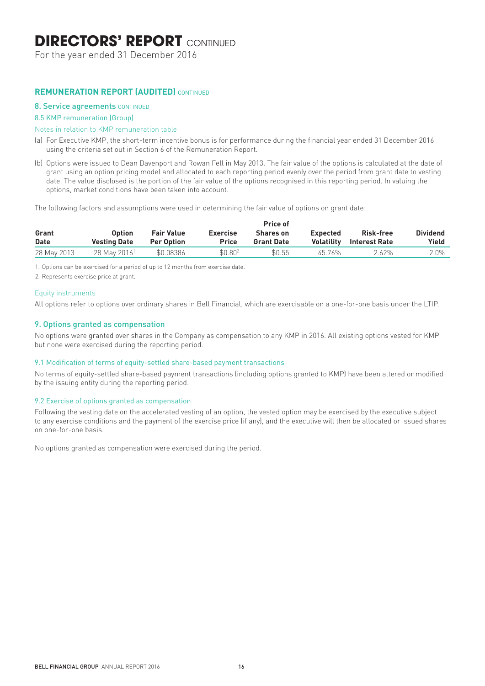## **DIRECTORS' REPORT CONTINUED**

For the year ended 31 December 2016

## **REMUNERATION REPORT (AUDITED)** CONTINUED

#### 8. Service agreements CONTINUED

#### 8.5 KMP remuneration (Group)

#### Notes in relation to KMP remuneration table

- (a) For Executive KMP, the short-term incentive bonus is for performance during the financial year ended 31 December 2016 using the criteria set out in Section 6 of the Remuneration Report.
- (b) Options were issued to Dean Davenport and Rowan Fell in May 2013. The fair value of the options is calculated at the date of grant using an option pricing model and allocated to each reporting period evenly over the period from grant date to vesting date. The value disclosed is the portion of the fair value of the options recognised in this reporting period. In valuing the options, market conditions have been taken into account.

The following factors and assumptions were used in determining the fair value of options on grant date:

|             |                          |                   |                     | Price of          |                   |               |                 |
|-------------|--------------------------|-------------------|---------------------|-------------------|-------------------|---------------|-----------------|
| Grant       | <b>Option</b>            | <b>Fair Value</b> | <b>Exercise</b>     | <b>Shares on</b>  | <b>Expected</b>   | Risk-free     | <b>Dividend</b> |
| <b>Date</b> | <b>Vesting Date</b>      | <b>Per Option</b> | <b>Price</b>        | <b>Grant Date</b> | <b>Volatility</b> | Interest Rate | Yield           |
| 28 May 2013 | 28 May 2016 <sup>1</sup> | \$0.08386         | \$0.80 <sup>2</sup> | \$0.55            | 45.76%            | 2.62%         | $2.0\%$         |

1. Options can be exercised for a period of up to 12 months from exercise date.

2. Represents exercise price at grant.

#### Equity instruments

All options refer to options over ordinary shares in Bell Financial, which are exercisable on a one-for-one basis under the LTIP.

### 9. Options granted as compensation

No options were granted over shares in the Company as compensation to any KMP in 2016. All existing options vested for KMP but none were exercised during the reporting period.

#### 9.1 Modification of terms of equity-settled share-based payment transactions

No terms of equity-settled share-based payment transactions (including options granted to KMP) have been altered or modified by the issuing entity during the reporting period.

#### 9.2 Exercise of options granted as compensation

Following the vesting date on the accelerated vesting of an option, the vested option may be exercised by the executive subject to any exercise conditions and the payment of the exercise price (if any), and the executive will then be allocated or issued shares on one-for-one basis.

No options granted as compensation were exercised during the period.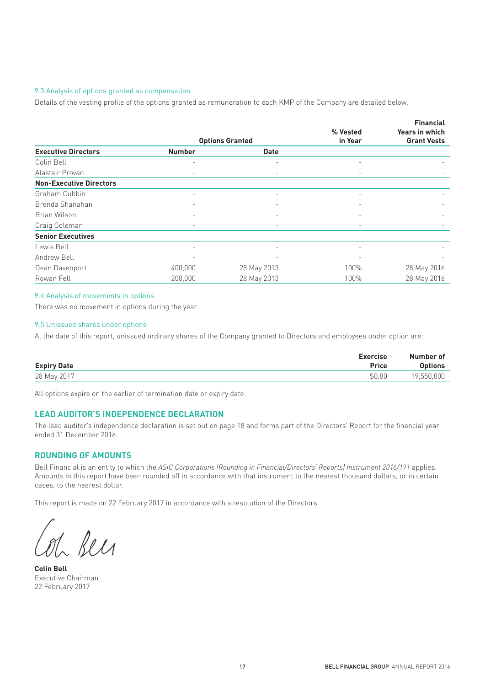#### 9.3 Analysis of options granted as compensation

Details of the vesting profile of the options granted as remuneration to each KMP of the Company are detailed below.

|                                |                          |                        |                          | <b>Financial</b>      |
|--------------------------------|--------------------------|------------------------|--------------------------|-----------------------|
|                                |                          |                        | % Vested                 | <b>Years in which</b> |
|                                |                          | <b>Options Granted</b> | in Year                  | <b>Grant Vests</b>    |
| <b>Executive Directors</b>     | <b>Number</b>            | <b>Date</b>            |                          |                       |
| Colin Bell                     |                          |                        |                          |                       |
| Alastair Provan                | $\overline{\phantom{0}}$ |                        | $\overline{\phantom{m}}$ |                       |
| <b>Non-Executive Directors</b> |                          |                        |                          |                       |
| Graham Cubbin                  |                          |                        | $\overline{\phantom{a}}$ |                       |
| Brenda Shanahan                |                          |                        |                          |                       |
| Brian Wilson                   |                          |                        |                          |                       |
| Craig Coleman                  | $\overline{\phantom{0}}$ |                        | $\overline{\phantom{0}}$ |                       |
| <b>Senior Executives</b>       |                          |                        |                          |                       |
| Lewis Bell                     |                          |                        |                          |                       |
| Andrew Bell                    |                          |                        |                          |                       |
| Dean Davenport                 | 400,000                  | 28 May 2013            | 100%                     | 28 May 2016           |
| Rowan Fell                     | 200,000                  | 28 May 2013            | 100%                     | 28 May 2016           |

#### 9.4 Analysis of movements in options

There was no movement in options during the year.

#### 9.5 Unissued shares under options

At the date of this report, unissued ordinary shares of the Company granted to Directors and employees under option are:

| <b>Expiry Date</b> | <b>Exercise</b><br><b>Price</b> | Number of<br><b>Options</b> |
|--------------------|---------------------------------|-----------------------------|
| 28 May 2017        | \$0.80                          | 19,550,000                  |

All options expire on the earlier of termination date or expiry date.

#### **LEAD AUDITOR'S INDEPENDENCE DECLARATION**

The lead auditor's independence declaration is set out on page 18 and forms part of the Directors' Report for the financial year ended 31 December 2016.

## **ROUNDING OF AMOUNTS**

Bell Financial is an entity to which the *ASIC Corporations (Rounding in Financial/Directors' Reports) Instrument 2016/191* applies. Amounts in this report have been rounded off in accordance with that instrument to the nearest thousand dollars, or in certain cases, to the nearest dollar.

This report is made on 22 February 2017 in accordance with a resolution of the Directors.

Bell

**Colin Bell**  Executive Chairman 22 February 2017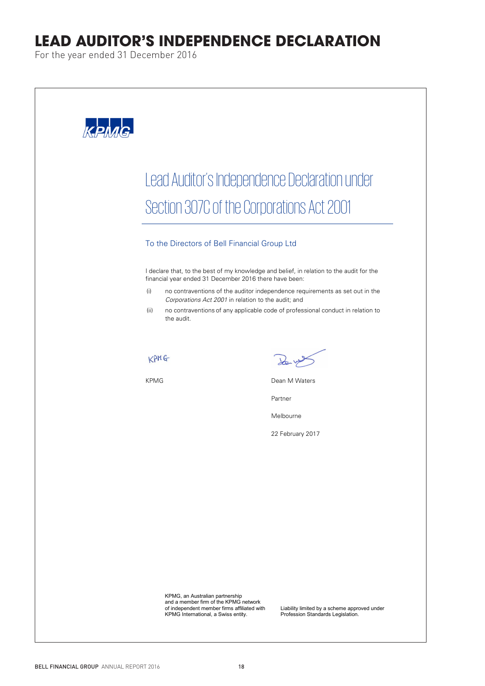## **LEAD AUDITOR'S INDEPENDENCE DECLARATION**

For the year ended 31 December 2016

 $\sqrt{2}$ 

| Lead Auditor's Independence Declaration under                                                                                                                  |                                                                                                                                                                 |
|----------------------------------------------------------------------------------------------------------------------------------------------------------------|-----------------------------------------------------------------------------------------------------------------------------------------------------------------|
| Section 307C of the Corporations Act 2001                                                                                                                      |                                                                                                                                                                 |
| To the Directors of Bell Financial Group Ltd                                                                                                                   |                                                                                                                                                                 |
| I declare that, to the best of my knowledge and belief, in relation to the audit for the<br>financial year ended 31 December 2016 there have been:             |                                                                                                                                                                 |
| (i)<br>Corporations Act 2001 in relation to the audit; and<br>(ii)<br>the audit.                                                                               | no contraventions of the auditor independence requirements as set out in the<br>no contraventions of any applicable code of professional conduct in relation to |
|                                                                                                                                                                |                                                                                                                                                                 |
| KPMG<br><b>KPMG</b>                                                                                                                                            | Dean M Waters                                                                                                                                                   |
|                                                                                                                                                                | Partner                                                                                                                                                         |
|                                                                                                                                                                | Melbourne                                                                                                                                                       |
|                                                                                                                                                                | 22 February 2017                                                                                                                                                |
|                                                                                                                                                                |                                                                                                                                                                 |
|                                                                                                                                                                |                                                                                                                                                                 |
|                                                                                                                                                                |                                                                                                                                                                 |
|                                                                                                                                                                |                                                                                                                                                                 |
|                                                                                                                                                                |                                                                                                                                                                 |
| KPMG, an Australian partnership<br>and a member firm of the KPMG network<br>of independent member firms affiliated with<br>KPMG International, a Swiss entity. | Liability limited by a scheme approved under<br>Profession Standards Legislation.                                                                               |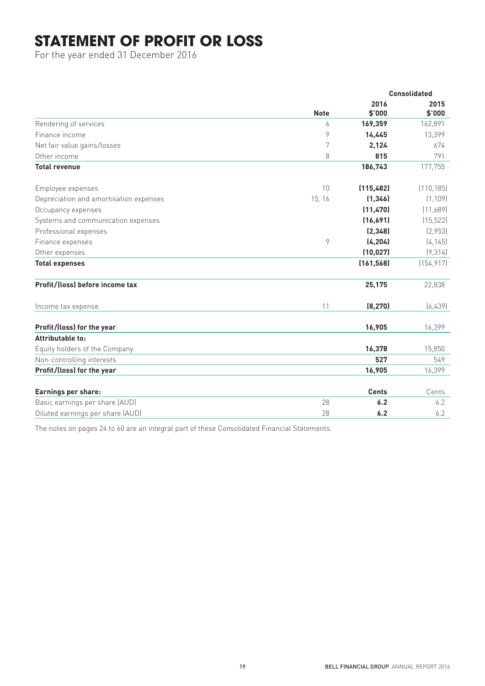## **STATEMENT OF PROFIT OR LOSS**

For the year ended 31 December 2016

|                                        |             |                | <b>Consolidated</b> |
|----------------------------------------|-------------|----------------|---------------------|
|                                        | <b>Note</b> | 2016<br>\$'000 | 2015<br>\$'000      |
| Rendering of services                  | 6           | 169,359        | 162,891             |
| Finance income                         | 9           | 14,445         | 13,399              |
| Net fair value gains/losses            | 7           | 2,124          | 674                 |
| Other income                           | 8           | 815            | 791                 |
| <b>Total revenue</b>                   |             | 186,743        | 177,755             |
| Employee expenses                      | 10          | (115, 482)     | (110, 185)          |
| Depreciation and amortisation expenses | 15, 16      | (1, 346)       | (1, 109)            |
| Occupancy expenses                     |             | (11, 470)      | (11,689)            |
| Systems and communication expenses     |             | (16,691)       | (15, 522)           |
| Professional expenses                  |             | (2, 348)       | (2,953)             |
| Finance expenses                       | 9           | (4, 204)       | (4, 145)            |
| Other expenses                         |             | (10, 027)      | (9, 314)            |
| <b>Total expenses</b>                  |             | (161, 568)     | (154, 917)          |
| Profit/(loss) before income tax        |             | 25,175         | 22,838              |
| Income tax expense                     | 11          | (8, 270)       | (6,439)             |
| Profit/(loss) for the year             |             | 16,905         | 16,399              |
| Attributable to:                       |             |                |                     |
| Equity holders of the Company          |             | 16,378         | 15,850              |
| Non-controlling interests              |             | 527            | 549                 |
| Profit/(loss) for the year             |             | 16,905         | 16,399              |
| Earnings per share:                    |             | <b>Cents</b>   | Cents               |
| Basic earnings per share (AUD)         | 28          | 6.2            | 6.2                 |
| Diluted earnings per share (AUD)       | 28          | 6.2            | 6.2                 |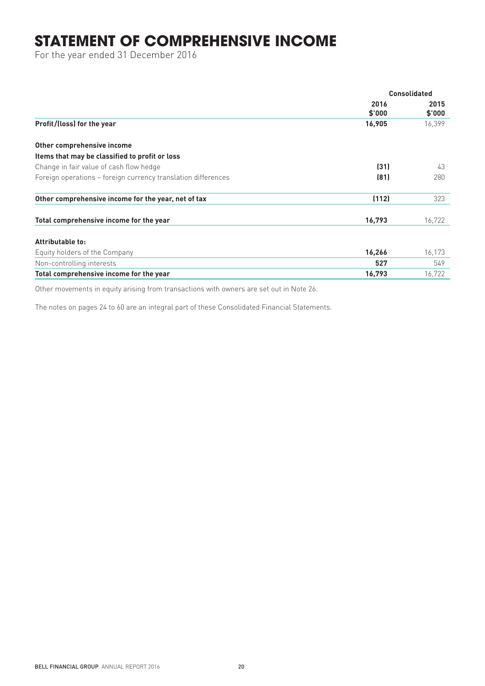## **STATEMENT OF COMPREHENSIVE INCOME**

For the year ended 31 December 2016

|                                                                                             | <b>Consolidated</b> |                |
|---------------------------------------------------------------------------------------------|---------------------|----------------|
|                                                                                             | 2016<br>\$'000      | 2015<br>\$'000 |
| Profit/(loss) for the year                                                                  | 16,905              | 16,399         |
| Other comprehensive income                                                                  |                     |                |
| Items that may be classified to profit or loss                                              |                     |                |
| Change in fair value of cash flow hedge                                                     | (31)                | 43             |
| Foreign operations - foreign currency translation differences                               | (81)                | 280            |
| Other comprehensive income for the year, net of tax                                         | (112)               | 323            |
| Total comprehensive income for the year                                                     | 16,793              | 16,722         |
| Attributable to:                                                                            |                     |                |
| Equity holders of the Company                                                               | 16,266              | 16,173         |
| Non-controlling interests                                                                   | 527                 | 549            |
| Total comprehensive income for the year                                                     | 16,793              | 16,722         |
| $\bigcap_{i=1}^{n}$<br>and the state of the state of<br>$\cdots$ $\cdots$ $\cdots$ $\cdots$ |                     |                |

Other movements in equity arising from transactions with owners are set out in Note 26.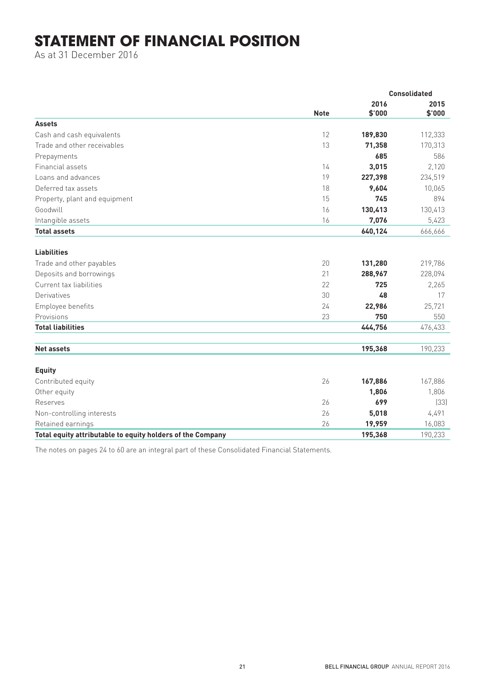## **STATEMENT OF FINANCIAL POSITION**

As at 31 December 2016

|                                                            | <b>Note</b> | <b>Consolidated</b> |                |  |
|------------------------------------------------------------|-------------|---------------------|----------------|--|
|                                                            |             | 2016<br>\$'000      | 2015<br>\$'000 |  |
| <b>Assets</b>                                              |             |                     |                |  |
| Cash and cash equivalents                                  | 12          | 189,830             | 112,333        |  |
| Trade and other receivables                                | 13          | 71,358              | 170,313        |  |
| Prepayments                                                |             | 685                 | 586            |  |
| Financial assets                                           | 14          | 3,015               | 2,120          |  |
| Loans and advances                                         | 19          | 227,398             | 234,519        |  |
| Deferred tax assets                                        | 18          | 9,604               | 10,065         |  |
| Property, plant and equipment                              | 15          | 745                 | 894            |  |
| Goodwill                                                   | 16          | 130,413             | 130,413        |  |
| Intangible assets                                          | 16          | 7,076               | 5,423          |  |
| <b>Total assets</b>                                        |             | 640,124             | 666,666        |  |
| <b>Liabilities</b>                                         |             |                     |                |  |
| Trade and other payables                                   | 20          | 131,280             | 219,786        |  |
| Deposits and borrowings                                    | 21          | 288,967             | 228,094        |  |
| Current tax liabilities                                    | 22          | 725                 | 2,265          |  |
| Derivatives                                                | 30          | 48                  | 17             |  |
| Employee benefits                                          | 24          | 22,986              | 25,721         |  |
| Provisions                                                 | 23          | 750                 | 550            |  |
| <b>Total liabilities</b>                                   |             | 444,756             | 476,433        |  |
| <b>Net assets</b>                                          |             | 195,368             | 190,233        |  |
|                                                            |             |                     |                |  |
| <b>Equity</b>                                              |             |                     |                |  |
| Contributed equity                                         | 26          | 167,886             | 167,886        |  |
| Other equity                                               |             | 1,806               | 1,806          |  |
| Reserves                                                   | 26          | 699                 | (33)           |  |
| Non-controlling interests                                  | 26          | 5,018               | 4,491          |  |
| Retained earnings                                          | 26          | 19,959              | 16,083         |  |
| Total equity attributable to equity holders of the Company |             | 195,368             | 190,233        |  |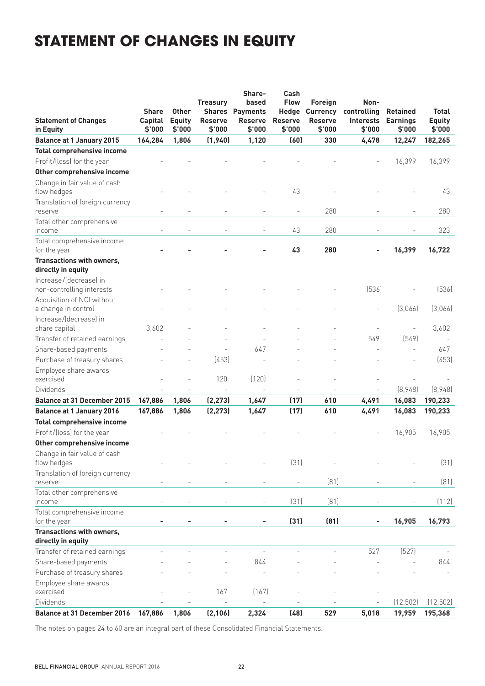## **STATEMENT OF CHANGES IN EQUITY**

| <b>Statement of Changes</b><br>in Equity            | <b>Share</b><br>Capital<br>\$'000 | <b>Other</b><br><b>Equity</b><br>\$'000 | <b>Treasury</b><br><b>Reserve</b><br>\$'000 | Share-<br>based<br><b>Shares Payments</b><br><b>Reserve</b><br>\$'000 | Cash<br><b>Flow</b><br>Hedge<br><b>Reserve</b><br>\$'000 | Foreign<br><b>Currency</b><br><b>Reserve</b><br>\$'000 | Non-<br>controlling<br><b>Interests</b><br>\$'000 | <b>Retained</b><br><b>Earnings</b><br>\$'000 | <b>Total</b><br><b>Equity</b><br>\$'000 |
|-----------------------------------------------------|-----------------------------------|-----------------------------------------|---------------------------------------------|-----------------------------------------------------------------------|----------------------------------------------------------|--------------------------------------------------------|---------------------------------------------------|----------------------------------------------|-----------------------------------------|
| <b>Balance at 1 January 2015</b>                    | 164,284                           | 1,806                                   | (1,940)                                     | 1,120                                                                 | (60)                                                     | 330                                                    | 4,478                                             | 12,247                                       | 182,265                                 |
| <b>Total comprehensive income</b>                   |                                   |                                         |                                             |                                                                       |                                                          |                                                        |                                                   |                                              |                                         |
| Profit/(loss) for the year                          |                                   |                                         |                                             |                                                                       |                                                          |                                                        |                                                   | 16,399                                       | 16,399                                  |
| Other comprehensive income                          |                                   |                                         |                                             |                                                                       |                                                          |                                                        |                                                   |                                              |                                         |
| Change in fair value of cash<br>flow hedges         |                                   |                                         |                                             |                                                                       | 43                                                       |                                                        |                                                   |                                              | 43                                      |
| Translation of foreign currency<br>reserve          |                                   |                                         |                                             |                                                                       |                                                          | 280                                                    |                                                   |                                              | 280                                     |
| Total other comprehensive<br>income                 |                                   |                                         |                                             |                                                                       | 43                                                       | 280                                                    |                                                   |                                              | 323                                     |
| Total comprehensive income<br>for the year          |                                   |                                         |                                             |                                                                       | 43                                                       | 280                                                    |                                                   | 16,399                                       | 16,722                                  |
| Transactions with owners,                           |                                   |                                         |                                             |                                                                       |                                                          |                                                        |                                                   |                                              |                                         |
| directly in equity                                  |                                   |                                         |                                             |                                                                       |                                                          |                                                        |                                                   |                                              |                                         |
| Increase/(decrease) in<br>non-controlling interests |                                   |                                         |                                             |                                                                       |                                                          |                                                        | (536)                                             |                                              | (536)                                   |
| Acquisition of NCI without<br>a change in control   |                                   |                                         |                                             |                                                                       |                                                          |                                                        |                                                   | (3,066)                                      | (3,066)                                 |
| Increase/(decrease) in<br>share capital             | 3,602                             |                                         |                                             |                                                                       |                                                          |                                                        |                                                   |                                              | 3,602                                   |
| Transfer of retained earnings                       |                                   |                                         |                                             |                                                                       |                                                          |                                                        | 549                                               | (549)                                        |                                         |
| Share-based payments                                |                                   |                                         |                                             | 647                                                                   |                                                          |                                                        |                                                   | $\overline{a}$                               | 647                                     |
| Purchase of treasury shares                         |                                   |                                         | (453)                                       |                                                                       |                                                          |                                                        |                                                   |                                              | (453)                                   |
| Employee share awards<br>exercised                  |                                   |                                         | 120                                         | (120)                                                                 |                                                          |                                                        |                                                   |                                              |                                         |
| <b>Dividends</b>                                    |                                   |                                         |                                             |                                                                       |                                                          |                                                        |                                                   | [8,948]                                      | [8,948]                                 |
| <b>Balance at 31 December 2015</b>                  | 167,886                           | 1,806                                   | (2, 273)                                    | 1,647                                                                 | (17)                                                     | 610                                                    | 4,491                                             | 16,083                                       | 190,233                                 |
| <b>Balance at 1 January 2016</b>                    | 167,886                           | 1,806                                   | (2, 273)                                    | 1,647                                                                 | (17)                                                     | 610                                                    | 4,491                                             | 16,083                                       | 190,233                                 |
| <b>Total comprehensive income</b>                   |                                   |                                         |                                             |                                                                       |                                                          |                                                        |                                                   |                                              |                                         |
| Profit/(loss) for the year                          |                                   |                                         |                                             |                                                                       |                                                          |                                                        |                                                   | 16,905                                       | 16,905                                  |
| Other comprehensive income                          |                                   |                                         |                                             |                                                                       |                                                          |                                                        |                                                   |                                              |                                         |
| Change in fair value of cash<br>flow hedges         |                                   |                                         |                                             |                                                                       | (31)                                                     |                                                        |                                                   |                                              | (31)                                    |
| Translation of foreign currency                     |                                   |                                         |                                             |                                                                       |                                                          |                                                        |                                                   |                                              |                                         |
| reserve                                             |                                   |                                         |                                             |                                                                       |                                                          | (81)                                                   |                                                   |                                              | [81]                                    |
| Total other comprehensive<br>income                 |                                   |                                         |                                             |                                                                       | (31)                                                     | (81)                                                   |                                                   |                                              | (112)                                   |
| Total comprehensive income<br>for the year          |                                   |                                         |                                             |                                                                       | (31)                                                     | (81)                                                   |                                                   | 16,905                                       | 16,793                                  |
| Transactions with owners,                           |                                   |                                         |                                             |                                                                       |                                                          |                                                        |                                                   |                                              |                                         |
| directly in equity                                  |                                   |                                         |                                             |                                                                       |                                                          |                                                        |                                                   |                                              |                                         |
| Transfer of retained earnings                       |                                   |                                         |                                             |                                                                       |                                                          |                                                        | 527                                               | (527)                                        |                                         |
| Share-based payments                                |                                   |                                         |                                             | 844                                                                   |                                                          |                                                        |                                                   |                                              | 844                                     |
| Purchase of treasury shares                         |                                   |                                         |                                             |                                                                       |                                                          |                                                        |                                                   |                                              |                                         |
| Employee share awards<br>exercised                  |                                   |                                         | 167                                         | (167)                                                                 |                                                          |                                                        |                                                   |                                              |                                         |
| Dividends                                           |                                   |                                         |                                             |                                                                       |                                                          |                                                        |                                                   | (12, 502)                                    | (12, 502)                               |
| <b>Balance at 31 December 2016</b>                  | 167,886                           | 1,806                                   | (2, 106)                                    | 2,324                                                                 | (48)                                                     | 529                                                    | 5,018                                             | 19,959                                       | 195,368                                 |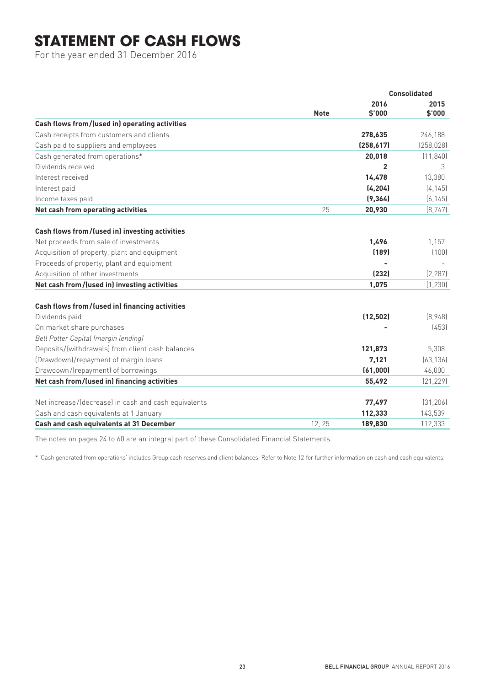## **STATEMENT OF CASH FLOWS**

For the year ended 31 December 2016

|                                                      |             | <b>Consolidated</b> |                |  |
|------------------------------------------------------|-------------|---------------------|----------------|--|
|                                                      | <b>Note</b> | 2016<br>\$'000      | 2015<br>\$'000 |  |
| Cash flows from/(used in) operating activities       |             |                     |                |  |
| Cash receipts from customers and clients             |             | 278,635             | 246,188        |  |
| Cash paid to suppliers and employees                 |             | (258, 617)          | (258, 028)     |  |
| Cash generated from operations*                      |             | 20,018              | (11, 840)      |  |
| Dividends received                                   |             | $\overline{2}$      | 3              |  |
| Interest received                                    |             | 14,478              | 13,380         |  |
| Interest paid                                        |             | (4, 204)            | [4, 145]       |  |
| Income taxes paid                                    |             | (9, 364)            | (6, 145)       |  |
| Net cash from operating activities                   | 25          | 20,930              | (8, 747)       |  |
| Cash flows from/(used in) investing activities       |             |                     |                |  |
| Net proceeds from sale of investments                |             | 1,496               | 1,157          |  |
| Acquisition of property, plant and equipment         |             | (189)               | (100)          |  |
| Proceeds of property, plant and equipment            |             |                     |                |  |
| Acquisition of other investments                     |             | (232)               | (2, 287)       |  |
| Net cash from/(used in) investing activities         |             | 1,075               | (1, 230)       |  |
| Cash flows from/(used in) financing activities       |             |                     |                |  |
| Dividends paid                                       |             | (12, 502)           | (8,948)        |  |
| On market share purchases                            |             |                     | (453)          |  |
| Bell Potter Capital (margin lending)                 |             |                     |                |  |
| Deposits/(withdrawals) from client cash balances     |             | 121,873             | 5,308          |  |
| (Drawdown)/repayment of margin loans                 |             | 7,121               | (63, 136)      |  |
| Drawdown/(repayment) of borrowings                   |             | (61,000)            | 46,000         |  |
| Net cash from/(used in) financing activities         |             | 55,492              | [21, 229]      |  |
| Net increase/(decrease) in cash and cash equivalents |             | 77,497              | [31, 206]      |  |
| Cash and cash equivalents at 1 January               |             | 112,333             | 143,539        |  |
| Cash and cash equivalents at 31 December             | 12, 25      | 189,830             | 112,333        |  |

The notes on pages 24 to 60 are an integral part of these Consolidated Financial Statements.

\* 'Cash generated from operations' includes Group cash reserves and client balances. Refer to Note 12 for further information on cash and cash equivalents.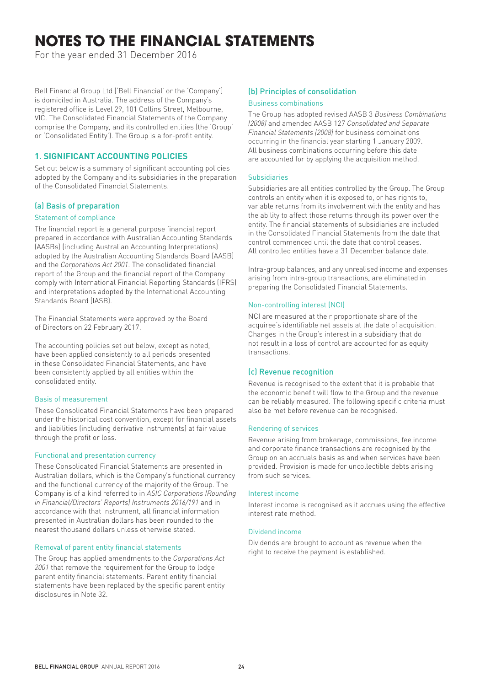# **NOTES TO THE FINANCIAL STATEMENTS**

For the year ended 31 December 2016

Bell Financial Group Ltd ('Bell Financial' or the 'Company') is domiciled in Australia. The address of the Company's registered office is Level 29, 101 Collins Street, Melbourne, VIC. The Consolidated Financial Statements of the Company comprise the Company, and its controlled entities (the 'Group' or 'Consolidated Entity'). The Group is a for-profit entity.

## **1. SIGNIFICANT ACCOUNTING POLICIES**

Set out below is a summary of significant accounting policies adopted by the Company and its subsidiaries in the preparation of the Consolidated Financial Statements.

## (a) Basis of preparation

### Statement of compliance

The financial report is a general purpose financial report prepared in accordance with Australian Accounting Standards (AASBs) (including Australian Accounting Interpretations) adopted by the Australian Accounting Standards Board (AASB) and the *Corporations Act 2001*. The consolidated financial report of the Group and the financial report of the Company comply with International Financial Reporting Standards (IFRS) and interpretations adopted by the International Accounting Standards Board (IASB).

The Financial Statements were approved by the Board of Directors on 22 February 2017.

The accounting policies set out below, except as noted, have been applied consistently to all periods presented in these Consolidated Financial Statements, and have been consistently applied by all entities within the consolidated entity.

#### Basis of measurement

These Consolidated Financial Statements have been prepared under the historical cost convention, except for financial assets and liabilities (including derivative instruments) at fair value through the profit or loss.

#### Functional and presentation currency

These Consolidated Financial Statements are presented in Australian dollars, which is the Company's functional currency and the functional currency of the majority of the Group. The Company is of a kind referred to in *ASIC Corporations (Rounding in Financial/Directors' Reports) Instruments 2016/191* and in accordance with that Instrument, all financial information presented in Australian dollars has been rounded to the nearest thousand dollars unless otherwise stated.

#### Removal of parent entity financial statements

The Group has applied amendments to the *Corporations Act 2001* that remove the requirement for the Group to lodge parent entity financial statements. Parent entity financial statements have been replaced by the specific parent entity disclosures in Note 32.

## (b) Principles of consolidation

#### Business combinations

The Group has adopted revised AASB 3 *Business Combinations (2008)* and amended AASB 127 *Consolidated and Separate Financial Statements (2008)* for business combinations occurring in the financial year starting 1 January 2009. All business combinations occurring before this date are accounted for by applying the acquisition method.

#### Subsidiaries

Subsidiaries are all entities controlled by the Group. The Group controls an entity when it is exposed to, or has rights to, variable returns from its involvement with the entity and has the ability to affect those returns through its power over the entity. The financial statements of subsidiaries are included in the Consolidated Financial Statements from the date that control commenced until the date that control ceases. All controlled entities have a 31 December balance date.

Intra-group balances, and any unrealised income and expenses arising from intra-group transactions, are eliminated in preparing the Consolidated Financial Statements.

## Non-controlling interest (NCI)

NCI are measured at their proportionate share of the acquiree's identifiable net assets at the date of acquisition. Changes in the Group's interest in a subsidiary that do not result in a loss of control are accounted for as equity transactions.

## (c) Revenue recognition

Revenue is recognised to the extent that it is probable that the economic benefit will flow to the Group and the revenue can be reliably measured. The following specific criteria must also be met before revenue can be recognised.

#### Rendering of services

Revenue arising from brokerage, commissions, fee income and corporate finance transactions are recognised by the Group on an accruals basis as and when services have been provided. Provision is made for uncollectible debts arising from such services.

#### Interest income

Interest income is recognised as it accrues using the effective interest rate method.

#### Dividend income

Dividends are brought to account as revenue when the right to receive the payment is established.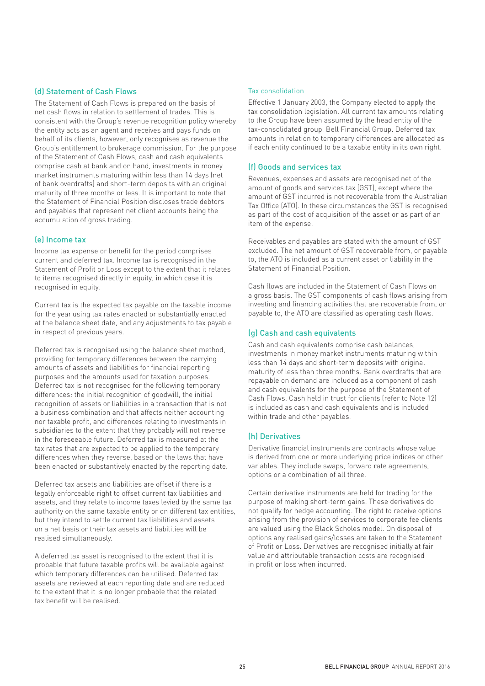## (d) Statement of Cash Flows

The Statement of Cash Flows is prepared on the basis of net cash flows in relation to settlement of trades. This is consistent with the Group's revenue recognition policy whereby the entity acts as an agent and receives and pays funds on behalf of its clients, however, only recognises as revenue the Group's entitlement to brokerage commission. For the purpose of the Statement of Cash Flows, cash and cash equivalents comprise cash at bank and on hand, investments in money market instruments maturing within less than 14 days (net of bank overdrafts) and short-term deposits with an original maturity of three months or less. It is important to note that the Statement of Financial Position discloses trade debtors and payables that represent net client accounts being the accumulation of gross trading.

#### (e) Income tax

Income tax expense or benefit for the period comprises current and deferred tax. Income tax is recognised in the Statement of Profit or Loss except to the extent that it relates to items recognised directly in equity, in which case it is recognised in equity.

Current tax is the expected tax payable on the taxable income for the year using tax rates enacted or substantially enacted at the balance sheet date, and any adjustments to tax payable in respect of previous years.

Deferred tax is recognised using the balance sheet method, providing for temporary differences between the carrying amounts of assets and liabilities for financial reporting purposes and the amounts used for taxation purposes. Deferred tax is not recognised for the following temporary differences: the initial recognition of goodwill, the initial recognition of assets or liabilities in a transaction that is not a business combination and that affects neither accounting nor taxable profit, and differences relating to investments in subsidiaries to the extent that they probably will not reverse in the foreseeable future. Deferred tax is measured at the tax rates that are expected to be applied to the temporary differences when they reverse, based on the laws that have been enacted or substantively enacted by the reporting date.

Deferred tax assets and liabilities are offset if there is a legally enforceable right to offset current tax liabilities and assets, and they relate to income taxes levied by the same tax authority on the same taxable entity or on different tax entities, but they intend to settle current tax liabilities and assets on a net basis or their tax assets and liabilities will be realised simultaneously.

A deferred tax asset is recognised to the extent that it is probable that future taxable profits will be available against which temporary differences can be utilised. Deferred tax assets are reviewed at each reporting date and are reduced to the extent that it is no longer probable that the related tax benefit will be realised.

#### Tax consolidation

Effective 1 January 2003, the Company elected to apply the tax consolidation legislation. All current tax amounts relating to the Group have been assumed by the head entity of the tax-consolidated group, Bell Financial Group. Deferred tax amounts in relation to temporary differences are allocated as if each entity continued to be a taxable entity in its own right.

#### (f) Goods and services tax

Revenues, expenses and assets are recognised net of the amount of goods and services tax (GST), except where the amount of GST incurred is not recoverable from the Australian Tax Office (ATO). In these circumstances the GST is recognised as part of the cost of acquisition of the asset or as part of an item of the expense.

Receivables and payables are stated with the amount of GST excluded. The net amount of GST recoverable from, or payable to, the ATO is included as a current asset or liability in the Statement of Financial Position.

Cash flows are included in the Statement of Cash Flows on a gross basis. The GST components of cash flows arising from investing and financing activities that are recoverable from, or payable to, the ATO are classified as operating cash flows.

### (g) Cash and cash equivalents

Cash and cash equivalents comprise cash balances, investments in money market instruments maturing within less than 14 days and short-term deposits with original maturity of less than three months. Bank overdrafts that are repayable on demand are included as a component of cash and cash equivalents for the purpose of the Statement of Cash Flows. Cash held in trust for clients (refer to Note 12) is included as cash and cash equivalents and is included within trade and other payables.

#### (h) Derivatives

Derivative financial instruments are contracts whose value is derived from one or more underlying price indices or other variables. They include swaps, forward rate agreements, options or a combination of all three.

Certain derivative instruments are held for trading for the purpose of making short-term gains. These derivatives do not qualify for hedge accounting. The right to receive options arising from the provision of services to corporate fee clients are valued using the Black Scholes model. On disposal of options any realised gains/losses are taken to the Statement of Profit or Loss. Derivatives are recognised initially at fair value and attributable transaction costs are recognised in profit or loss when incurred.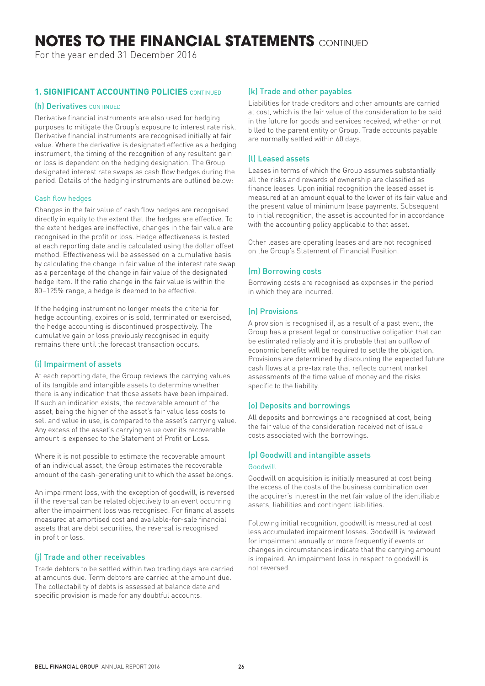# **NOTES TO THE FINANCIAL STATEMENTS** CONTINUED

For the year ended 31 December 2016

## **1. SIGNIFICANT ACCOUNTING POLICIES** CONTINUED

#### (h) Derivatives CONTINUED

Derivative financial instruments are also used for hedging purposes to mitigate the Group's exposure to interest rate risk. Derivative financial instruments are recognised initially at fair value. Where the derivative is designated effective as a hedging instrument, the timing of the recognition of any resultant gain or loss is dependent on the hedging designation. The Group designated interest rate swaps as cash flow hedges during the period. Details of the hedging instruments are outlined below:

#### Cash flow hedges

Changes in the fair value of cash flow hedges are recognised directly in equity to the extent that the hedges are effective. To the extent hedges are ineffective, changes in the fair value are recognised in the profit or loss. Hedge effectiveness is tested at each reporting date and is calculated using the dollar offset method. Effectiveness will be assessed on a cumulative basis by calculating the change in fair value of the interest rate swap as a percentage of the change in fair value of the designated hedge item. If the ratio change in the fair value is within the 80–125% range, a hedge is deemed to be effective.

If the hedging instrument no longer meets the criteria for hedge accounting, expires or is sold, terminated or exercised, the hedge accounting is discontinued prospectively. The cumulative gain or loss previously recognised in equity remains there until the forecast transaction occurs.

#### (i) Impairment of assets

At each reporting date, the Group reviews the carrying values of its tangible and intangible assets to determine whether there is any indication that those assets have been impaired. If such an indication exists, the recoverable amount of the asset, being the higher of the asset's fair value less costs to sell and value in use, is compared to the asset's carrying value. Any excess of the asset's carrying value over its recoverable amount is expensed to the Statement of Profit or Loss.

Where it is not possible to estimate the recoverable amount of an individual asset, the Group estimates the recoverable amount of the cash-generating unit to which the asset belongs.

An impairment loss, with the exception of goodwill, is reversed if the reversal can be related objectively to an event occurring after the impairment loss was recognised. For financial assets measured at amortised cost and available-for-sale financial assets that are debt securities, the reversal is recognised in profit or loss.

## (j) Trade and other receivables

Trade debtors to be settled within two trading days are carried at amounts due. Term debtors are carried at the amount due. The collectability of debts is assessed at balance date and specific provision is made for any doubtful accounts.

#### (k) Trade and other payables

Liabilities for trade creditors and other amounts are carried at cost, which is the fair value of the consideration to be paid in the future for goods and services received, whether or not billed to the parent entity or Group. Trade accounts payable are normally settled within 60 days.

## (l) Leased assets

Leases in terms of which the Group assumes substantially all the risks and rewards of ownership are classified as finance leases. Upon initial recognition the leased asset is measured at an amount equal to the lower of its fair value and the present value of minimum lease payments. Subsequent to initial recognition, the asset is accounted for in accordance with the accounting policy applicable to that asset.

Other leases are operating leases and are not recognised on the Group's Statement of Financial Position.

### (m) Borrowing costs

Borrowing costs are recognised as expenses in the period in which they are incurred.

#### (n) Provisions

A provision is recognised if, as a result of a past event, the Group has a present legal or constructive obligation that can be estimated reliably and it is probable that an outflow of economic benefits will be required to settle the obligation. Provisions are determined by discounting the expected future cash flows at a pre-tax rate that reflects current market assessments of the time value of money and the risks specific to the liability.

#### (o) Deposits and borrowings

All deposits and borrowings are recognised at cost, being the fair value of the consideration received net of issue costs associated with the borrowings.

## (p) Goodwill and intangible assets

#### Goodwill

Goodwill on acquisition is initially measured at cost being the excess of the costs of the business combination over the acquirer's interest in the net fair value of the identifiable assets, liabilities and contingent liabilities.

Following initial recognition, goodwill is measured at cost less accumulated impairment losses. Goodwill is reviewed for impairment annually or more frequently if events or changes in circumstances indicate that the carrying amount is impaired. An impairment loss in respect to goodwill is not reversed.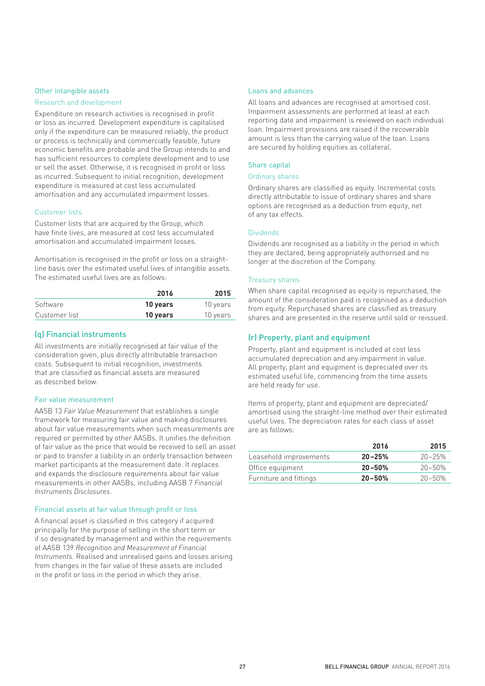#### Other intangible assets

#### Research and development

Expenditure on research activities is recognised in profit or loss as incurred. Development expenditure is capitalised only if the expenditure can be measured reliably, the product or process is technically and commercially feasible, future economic benefits are probable and the Group intends to and has sufficient resources to complete development and to use or sell the asset. Otherwise, it is recognised in profit or loss as incurred. Subsequent to initial recognition, development expenditure is measured at cost less accumulated amortisation and any accumulated impairment losses.

#### Customer lists

Customer lists that are acquired by the Group, which have finite lives, are measured at cost less accumulated amortisation and accumulated impairment losses.

Amortisation is recognised in the profit or loss on a straightline basis over the estimated useful lives of intangible assets. The estimated useful lives are as follows:

|               | 2016     | 2015     |
|---------------|----------|----------|
| Software      | 10 years | 10 years |
| Customer list | 10 years | 10 years |

### (q) Financial instruments

All investments are initially recognised at fair value of the consideration given, plus directly attributable transaction costs. Subsequent to initial recognition, investments that are classified as financial assets are measured as described below.

#### Fair value measurement

AASB 13 *Fair Value Measurement* that establishes a single framework for measuring fair value and making disclosures about fair value measurements when such measurements are required or permitted by other AASBs. It unifies the definition of fair value as the price that would be received to sell an asset or paid to transfer a liability in an orderly transaction between market participants at the measurement date. It replaces and expands the disclosure requirements about fair value measurements in other AASBs, including AASB 7 *Financial Instruments Disclosures*.

#### Financial assets at fair value through profit or loss

A financial asset is classified in this category if acquired principally for the purpose of selling in the short term or if so designated by management and within the requirements of AASB 139 *Recognition and Measurement of Financial Instruments*. Realised and unrealised gains and losses arising from changes in the fair value of these assets are included in the profit or loss in the period in which they arise.

#### Loans and advances

All loans and advances are recognised at amortised cost. Impairment assessments are performed at least at each reporting date and impairment is reviewed on each individual loan. Impairment provisions are raised if the recoverable amount is less than the carrying value of the loan. Loans are secured by holding equities as collateral.

#### Share capital

#### Ordinary shares

Ordinary shares are classified as equity. Incremental costs directly attributable to issue of ordinary shares and share options are recognised as a deduction from equity, net of any tax effects.

#### Dividends

Dividends are recognised as a liability in the period in which they are declared, being appropriately authorised and no longer at the discretion of the Company.

#### Treasury shares

When share capital recognised as equity is repurchased, the amount of the consideration paid is recognised as a deduction from equity. Repurchased shares are classified as treasury shares and are presented in the reserve until sold or reissued.

## (r) Property, plant and equipment

Property, plant and equipment is included at cost less accumulated depreciation and any impairment in value. All property, plant and equipment is depreciated over its estimated useful life, commencing from the time assets are held ready for use.

Items of property, plant and equipment are depreciated/ amortised using the straight-line method over their estimated useful lives. The depreciation rates for each class of asset are as follows:

|                        | 2016       | 2015       |
|------------------------|------------|------------|
| Leasehold improvements | $20 - 25%$ | $20 - 25%$ |
| Office equipment       | $20 - 50%$ | $20 - 50%$ |
| Furniture and fittings | $20 - 50%$ | $20 - 50%$ |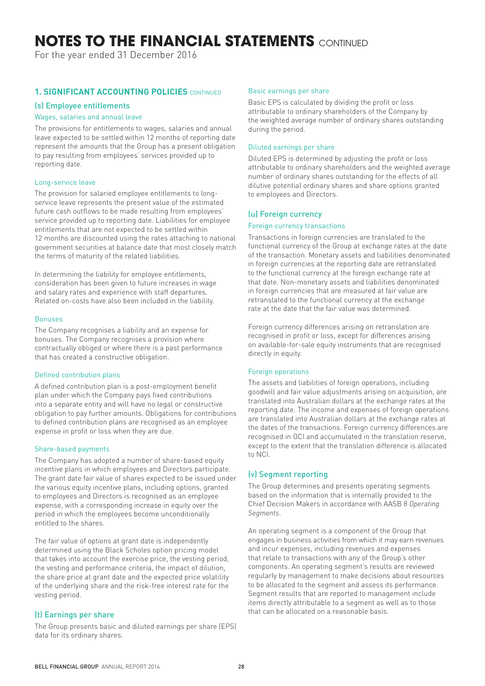# **NOTES TO THE FINANCIAL STATEMENTS** CONTINUED

For the year ended 31 December 2016

## **1. SIGNIFICANT ACCOUNTING POLICIES** CONTINUED

#### (s) Employee entitlements

#### Wages, salaries and annual leave

The provisions for entitlements to wages, salaries and annual leave expected to be settled within 12 months of reporting date represent the amounts that the Group has a present obligation to pay resulting from employees' services provided up to reporting date.

#### Long-service leave

The provision for salaried employee entitlements to longservice leave represents the present value of the estimated future cash outflows to be made resulting from employees' service provided up to reporting date. Liabilities for employee entitlements that are not expected to be settled within 12 months are discounted using the rates attaching to national government securities at balance date that most closely match the terms of maturity of the related liabilities.

In determining the liability for employee entitlements, consideration has been given to future increases in wage and salary rates and experience with staff departures. Related on-costs have also been included in the liability.

#### Bonuses

The Company recognises a liability and an expense for bonuses. The Company recognises a provision where contractually obliged or where there is a past performance that has created a constructive obligation.

#### Defined contribution plans

A defined contribution plan is a post-employment benefit plan under which the Company pays fixed contributions into a separate entity and will have no legal or constructive obligation to pay further amounts. Obligations for contributions to defined contribution plans are recognised as an employee expense in profit or loss when they are due.

#### Share-based payments

The Company has adopted a number of share-based equity incentive plans in which employees and Directors participate. The grant date fair value of shares expected to be issued under the various equity incentive plans, including options, granted to employees and Directors is recognised as an employee expense, with a corresponding increase in equity over the period in which the employees become unconditionally entitled to the shares.

The fair value of options at grant date is independently determined using the Black Scholes option pricing model that takes into account the exercise price, the vesting period, the vesting and performance criteria, the impact of dilution, the share price at grant date and the expected price volatility of the underlying share and the risk-free interest rate for the vesting period.

## (t) Earnings per share

The Group presents basic and diluted earnings per share (EPS) data for its ordinary shares.

#### Basic earnings per share

Basic EPS is calculated by dividing the profit or loss attributable to ordinary shareholders of the Company by the weighted average number of ordinary shares outstanding during the period.

#### Diluted earnings per share

Diluted EPS is determined by adjusting the profit or loss attributable to ordinary shareholders and the weighted average number of ordinary shares outstanding for the effects of all dilutive potential ordinary shares and share options granted to employees and Directors.

### (u) Foreign currency

#### Foreign currency transactions

Transactions in foreign currencies are translated to the functional currency of the Group at exchange rates at the date of the transaction. Monetary assets and liabilities denominated in foreign currencies at the reporting date are retranslated to the functional currency at the foreign exchange rate at that date. Non-monetary assets and liabilities denominated in foreign currencies that are measured at fair value are retranslated to the functional currency at the exchange rate at the date that the fair value was determined.

Foreign currency differences arising on retranslation are recognised in profit or loss, except for differences arising on available-for-sale equity instruments that are recognised directly in equity.

#### Foreign operations

The assets and liabilities of foreign operations, including goodwill and fair value adjustments arising on acquisition, are translated into Australian dollars at the exchange rates at the reporting date. The income and expenses of foreign operations are translated into Australian dollars at the exchange rates at the dates of the transactions. Foreign currency differences are recognised in OCI and accumulated in the translation reserve, except to the extent that the translation difference is allocated to NCI.

## (v) Segment reporting

The Group determines and presents operating segments based on the information that is internally provided to the Chief Decision Makers in accordance with AASB 8 *Operating Segments*.

An operating segment is a component of the Group that engages in business activities from which it may earn revenues and incur expenses, including revenues and expenses that relate to transactions with any of the Group's other components. An operating segment's results are reviewed regularly by management to make decisions about resources to be allocated to the segment and assess its performance. Segment results that are reported to management include items directly attributable to a segment as well as to those that can be allocated on a reasonable basis.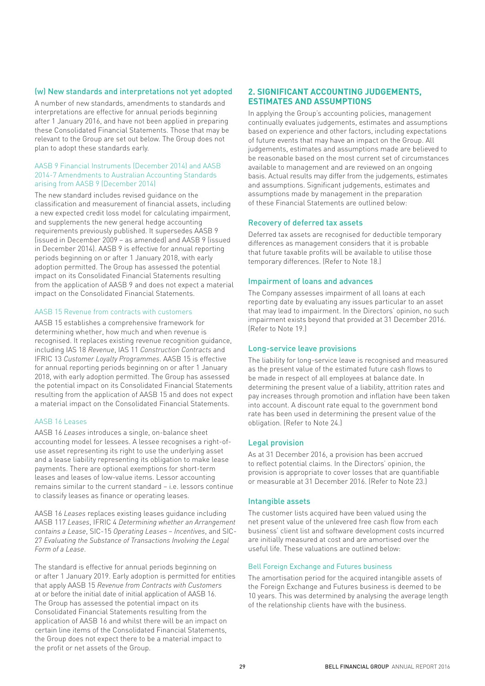#### (w) New standards and interpretations not yet adopted

A number of new standards, amendments to standards and interpretations are effective for annual periods beginning after 1 January 2016, and have not been applied in preparing these Consolidated Financial Statements. Those that may be relevant to the Group are set out below. The Group does not plan to adopt these standards early.

#### AASB 9 Financial Instruments (December 2014) and AASB 2014-7 Amendments to Australian Accounting Standards arising from AASB 9 (December 2014)

The new standard includes revised guidance on the classification and measurement of financial assets, including a new expected credit loss model for calculating impairment, and supplements the new general hedge accounting requirements previously published. It supersedes AASB 9 (issued in December 2009 – as amended) and AASB 9 (issued in December 2014). AASB 9 is effective for annual reporting periods beginning on or after 1 January 2018, with early adoption permitted. The Group has assessed the potential impact on its Consolidated Financial Statements resulting from the application of AASB 9 and does not expect a material impact on the Consolidated Financial Statements.

#### AASB 15 Revenue from contracts with customers

AASB 15 establishes a comprehensive framework for determining whether, how much and when revenue is recognised. It replaces existing revenue recognition guidance, including IAS 18 *Revenue*, IAS 11 *Construction Contracts* and IFRIC 13 *Customer Loyalty Programmes*. AASB 15 is effective for annual reporting periods beginning on or after 1 January 2018, with early adoption permitted. The Group has assessed the potential impact on its Consolidated Financial Statements resulting from the application of AASB 15 and does not expect a material impact on the Consolidated Financial Statements.

#### AASB 16 Leases

AASB 16 *Leases* introduces a single, on-balance sheet accounting model for lessees. A lessee recognises a right-ofuse asset representing its right to use the underlying asset and a lease liability representing its obligation to make lease payments. There are optional exemptions for short-term leases and leases of low-value items. Lessor accounting remains similar to the current standard – i.e. lessors continue to classify leases as finance or operating leases.

AASB 16 *Leases* replaces existing leases guidance including AASB 117 *Leases*, IFRIC 4 *Determining whether an Arrangement contains a Lease*, SIC-15 *Operating Leases – Incentives*, and SIC-27 *Evaluating the Substance of Transactions Involving the Legal Form of a Lease*.

The standard is effective for annual periods beginning on or after 1 January 2019. Early adoption is permitted for entities that apply AASB 15 *Revenue from Contracts with Customers* at or before the initial date of initial application of AASB 16. The Group has assessed the potential impact on its Consolidated Financial Statements resulting from the application of AASB 16 and whilst there will be an impact on certain line items of the Consolidated Financial Statements, the Group does not expect there to be a material impact to the profit or net assets of the Group.

#### **2. SIGNIFICANT ACCOUNTING JUDGEMENTS, ESTIMATES AND ASSUMPTIONS**

In applying the Group's accounting policies, management continually evaluates judgements, estimates and assumptions based on experience and other factors, including expectations of future events that may have an impact on the Group. All judgements, estimates and assumptions made are believed to be reasonable based on the most current set of circumstances available to management and are reviewed on an ongoing basis. Actual results may differ from the judgements, estimates and assumptions. Significant judgements, estimates and assumptions made by management in the preparation of these Financial Statements are outlined below:

#### Recovery of deferred tax assets

Deferred tax assets are recognised for deductible temporary differences as management considers that it is probable that future taxable profits will be available to utilise those temporary differences. (Refer to Note 18.)

#### Impairment of loans and advances

The Company assesses impairment of all loans at each reporting date by evaluating any issues particular to an asset that may lead to impairment. In the Directors' opinion, no such impairment exists beyond that provided at 31 December 2016. (Refer to Note 19.)

#### Long-service leave provisions

The liability for long-service leave is recognised and measured as the present value of the estimated future cash flows to be made in respect of all employees at balance date. In determining the present value of a liability, attrition rates and pay increases through promotion and inflation have been taken into account. A discount rate equal to the government bond rate has been used in determining the present value of the obligation. (Refer to Note 24.)

#### Legal provision

As at 31 December 2016, a provision has been accrued to reflect potential claims. In the Directors' opinion, the provision is appropriate to cover losses that are quantifiable or measurable at 31 December 2016. (Refer to Note 23.)

#### Intangible assets

The customer lists acquired have been valued using the net present value of the unlevered free cash flow from each business' client list and software development costs incurred are initially measured at cost and are amortised over the useful life. These valuations are outlined below:

#### Bell Foreign Exchange and Futures business

The amortisation period for the acquired intangible assets of the Foreign Exchange and Futures business is deemed to be 10 years. This was determined by analysing the average length of the relationship clients have with the business.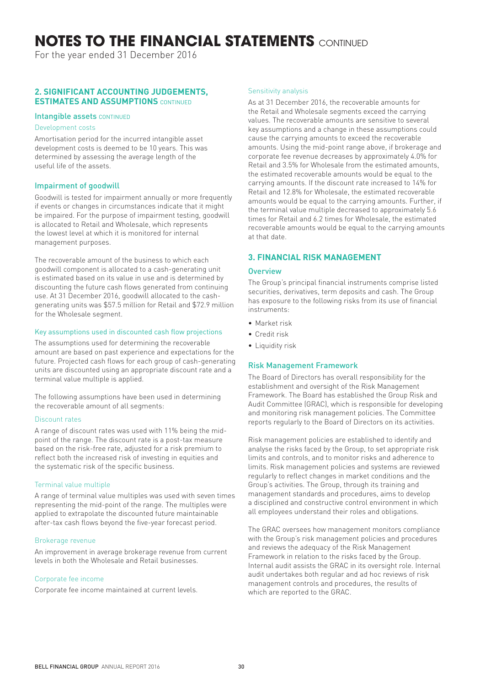# **NOTES TO THE FINANCIAL STATEMENTS** CONTINUED

For the year ended 31 December 2016

## **2. SIGNIFICANT ACCOUNTING JUDGEMENTS, ESTIMATES AND ASSUMPTIONS** CONTINUED

#### Intangible assets CONTINUED

#### Development costs

Amortisation period for the incurred intangible asset development costs is deemed to be 10 years. This was determined by assessing the average length of the useful life of the assets.

### Impairment of goodwill

Goodwill is tested for impairment annually or more frequently if events or changes in circumstances indicate that it might be impaired. For the purpose of impairment testing, goodwill is allocated to Retail and Wholesale, which represents the lowest level at which it is monitored for internal management purposes.

The recoverable amount of the business to which each goodwill component is allocated to a cash-generating unit is estimated based on its value in use and is determined by discounting the future cash flows generated from continuing use. At 31 December 2016, goodwill allocated to the cashgenerating units was \$57.5 million for Retail and \$72.9 million for the Wholesale segment.

#### Key assumptions used in discounted cash flow projections

The assumptions used for determining the recoverable amount are based on past experience and expectations for the future. Projected cash flows for each group of cash-generating units are discounted using an appropriate discount rate and a terminal value multiple is applied.

The following assumptions have been used in determining the recoverable amount of all segments:

#### Discount rates

A range of discount rates was used with 11% being the midpoint of the range. The discount rate is a post-tax measure based on the risk-free rate, adjusted for a risk premium to reflect both the increased risk of investing in equities and the systematic risk of the specific business.

#### Terminal value multiple

A range of terminal value multiples was used with seven times representing the mid-point of the range. The multiples were applied to extrapolate the discounted future maintainable after-tax cash flows beyond the five-year forecast period.

#### Brokerage revenue

An improvement in average brokerage revenue from current levels in both the Wholesale and Retail businesses.

#### Corporate fee income

Corporate fee income maintained at current levels.

#### Sensitivity analysis

As at 31 December 2016, the recoverable amounts for the Retail and Wholesale segments exceed the carrying values. The recoverable amounts are sensitive to several key assumptions and a change in these assumptions could cause the carrying amounts to exceed the recoverable amounts. Using the mid-point range above, if brokerage and corporate fee revenue decreases by approximately 4.0% for Retail and 3.5% for Wholesale from the estimated amounts, the estimated recoverable amounts would be equal to the carrying amounts. If the discount rate increased to 14% for Retail and 12.8% for Wholesale, the estimated recoverable amounts would be equal to the carrying amounts. Further, if the terminal value multiple decreased to approximately 5.6 times for Retail and 6.2 times for Wholesale, the estimated recoverable amounts would be equal to the carrying amounts at that date.

## **3. FINANCIAL RISK MANAGEMENT**

#### **Overview**

The Group's principal financial instruments comprise listed securities, derivatives, term deposits and cash. The Group has exposure to the following risks from its use of financial instruments:

- Market risk
- Credit risk
- Liquidity risk

#### Risk Management Framework

The Board of Directors has overall responsibility for the establishment and oversight of the Risk Management Framework. The Board has established the Group Risk and Audit Committee (GRAC), which is responsible for developing and monitoring risk management policies. The Committee reports regularly to the Board of Directors on its activities.

Risk management policies are established to identify and analyse the risks faced by the Group, to set appropriate risk limits and controls, and to monitor risks and adherence to limits. Risk management policies and systems are reviewed regularly to reflect changes in market conditions and the Group's activities. The Group, through its training and management standards and procedures, aims to develop a disciplined and constructive control environment in which all employees understand their roles and obligations.

The GRAC oversees how management monitors compliance with the Group's risk management policies and procedures and reviews the adequacy of the Risk Management Framework in relation to the risks faced by the Group. Internal audit assists the GRAC in its oversight role. Internal audit undertakes both regular and ad hoc reviews of risk management controls and procedures, the results of which are reported to the GRAC.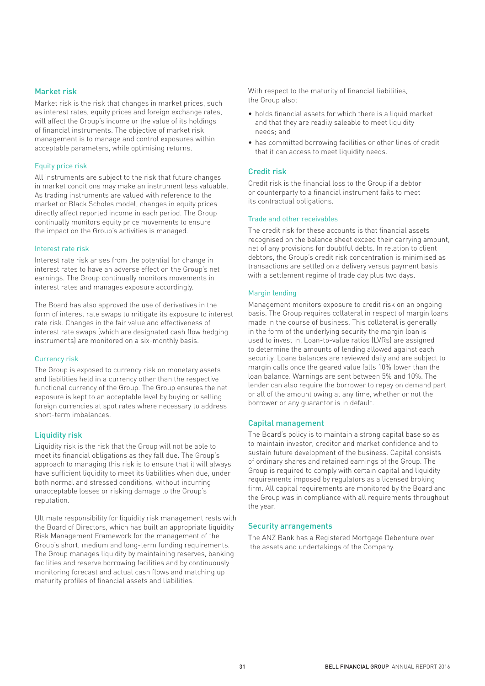#### Market risk

Market risk is the risk that changes in market prices, such as interest rates, equity prices and foreign exchange rates, will affect the Group's income or the value of its holdings of financial instruments. The objective of market risk management is to manage and control exposures within acceptable parameters, while optimising returns.

#### Equity price risk

All instruments are subject to the risk that future changes in market conditions may make an instrument less valuable. As trading instruments are valued with reference to the market or Black Scholes model, changes in equity prices directly affect reported income in each period. The Group continually monitors equity price movements to ensure the impact on the Group's activities is managed.

#### Interest rate risk

Interest rate risk arises from the potential for change in interest rates to have an adverse effect on the Group's net earnings. The Group continually monitors movements in interest rates and manages exposure accordingly.

The Board has also approved the use of derivatives in the form of interest rate swaps to mitigate its exposure to interest rate risk. Changes in the fair value and effectiveness of interest rate swaps (which are designated cash flow hedging instruments) are monitored on a six-monthly basis.

#### Currency risk

The Group is exposed to currency risk on monetary assets and liabilities held in a currency other than the respective functional currency of the Group. The Group ensures the net exposure is kept to an acceptable level by buying or selling foreign currencies at spot rates where necessary to address short-term imbalances.

#### Liquidity risk

Liquidity risk is the risk that the Group will not be able to meet its financial obligations as they fall due. The Group's approach to managing this risk is to ensure that it will always have sufficient liquidity to meet its liabilities when due, under both normal and stressed conditions, without incurring unacceptable losses or risking damage to the Group's reputation.

Ultimate responsibility for liquidity risk management rests with the Board of Directors, which has built an appropriate liquidity Risk Management Framework for the management of the Group's short, medium and long-term funding requirements. The Group manages liquidity by maintaining reserves, banking facilities and reserve borrowing facilities and by continuously monitoring forecast and actual cash flows and matching up maturity profiles of financial assets and liabilities.

With respect to the maturity of financial liabilities, the Group also:

- holds financial assets for which there is a liquid market and that they are readily saleable to meet liquidity needs; and
- has committed borrowing facilities or other lines of credit that it can access to meet liquidity needs.

### Credit risk

Credit risk is the financial loss to the Group if a debtor or counterparty to a financial instrument fails to meet its contractual obligations.

#### Trade and other receivables

The credit risk for these accounts is that financial assets recognised on the balance sheet exceed their carrying amount, net of any provisions for doubtful debts. In relation to client debtors, the Group's credit risk concentration is minimised as transactions are settled on a delivery versus payment basis with a settlement regime of trade day plus two days.

#### Margin lending

Management monitors exposure to credit risk on an ongoing basis. The Group requires collateral in respect of margin loans made in the course of business. This collateral is generally in the form of the underlying security the margin loan is used to invest in. Loan-to-value ratios (LVRs) are assigned to determine the amounts of lending allowed against each security. Loans balances are reviewed daily and are subject to margin calls once the geared value falls 10% lower than the loan balance. Warnings are sent between 5% and 10%. The lender can also require the borrower to repay on demand part or all of the amount owing at any time, whether or not the borrower or any guarantor is in default.

#### Capital management

The Board's policy is to maintain a strong capital base so as to maintain investor, creditor and market confidence and to sustain future development of the business. Capital consists of ordinary shares and retained earnings of the Group. The Group is required to comply with certain capital and liquidity requirements imposed by regulators as a licensed broking firm. All capital requirements are monitored by the Board and the Group was in compliance with all requirements throughout the year.

#### Security arrangements

The ANZ Bank has a Registered Mortgage Debenture over the assets and undertakings of the Company.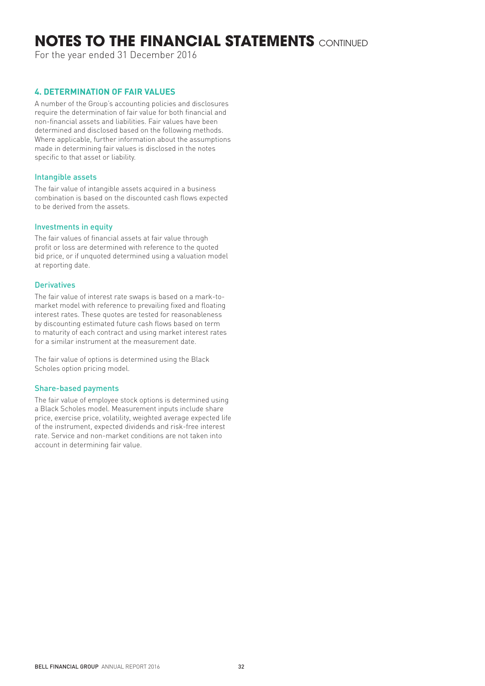# **NOTES TO THE FINANCIAL STATEMENTS** CONTINUED

For the year ended 31 December 2016

## **4. DETERMINATION OF FAIR VALUES**

A number of the Group's accounting policies and disclosures require the determination of fair value for both financial and non-financial assets and liabilities. Fair values have been determined and disclosed based on the following methods. Where applicable, further information about the assumptions made in determining fair values is disclosed in the notes specific to that asset or liability.

### Intangible assets

The fair value of intangible assets acquired in a business combination is based on the discounted cash flows expected to be derived from the assets.

#### Investments in equity

The fair values of financial assets at fair value through profit or loss are determined with reference to the quoted bid price, or if unquoted determined using a valuation model at reporting date.

### **Derivatives**

The fair value of interest rate swaps is based on a mark-tomarket model with reference to prevailing fixed and floating interest rates. These quotes are tested for reasonableness by discounting estimated future cash flows based on term to maturity of each contract and using market interest rates for a similar instrument at the measurement date.

The fair value of options is determined using the Black Scholes option pricing model.

#### Share-based payments

The fair value of employee stock options is determined using a Black Scholes model. Measurement inputs include share price, exercise price, volatility, weighted average expected life of the instrument, expected dividends and risk-free interest rate. Service and non-market conditions are not taken into account in determining fair value.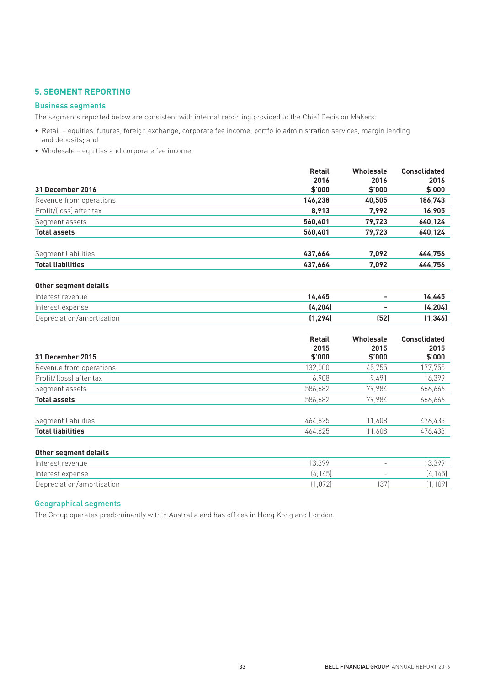## **5. SEGMENT REPORTING**

### Business segments

The segments reported below are consistent with internal reporting provided to the Chief Decision Makers:

- Retail equities, futures, foreign exchange, corporate fee income, portfolio administration services, margin lending and deposits; and
- Wholesale equities and corporate fee income.

|                          | <b>Retail</b> | <b>Wholesale</b> | <b>Consolidated</b> |
|--------------------------|---------------|------------------|---------------------|
|                          | 2016          | 2016             | 2016                |
| 31 December 2016         | \$'000        | \$'000           | \$'000              |
| Revenue from operations  | 146.238       | 40,505           | 186,743             |
| Profit/(loss) after tax  | 8,913         | 7,992            | 16,905              |
| Segment assets           | 560.401       | 79,723           | 640,124             |
| <b>Total assets</b>      | 560,401       | 79.723           | 640,124             |
| Segment liabilities      | 437.664       | 7,092            | 444,756             |
| <b>Total liabilities</b> | 437.664       | 7,092            | 444,756             |
|                          |               |                  |                     |

#### **Other segment details**

| Interest revenue          | 14.445   |      | 14.445   |
|---------------------------|----------|------|----------|
| Interest expense          | (4.204)  |      | (4, 204) |
| Depreciation/amortisation | (1, 294) | (52) | (1,346)  |

| 31 December 2015         | <b>Retail</b><br>2015<br>\$'000 | <b>Wholesale</b><br>2015<br>\$'000 | <b>Consolidated</b><br>2015<br>\$'000 |
|--------------------------|---------------------------------|------------------------------------|---------------------------------------|
| Revenue from operations  | 132,000                         | 45,755                             | 177,755                               |
| Profit/(loss) after tax  | 6,908                           | 9.491                              | 16,399                                |
| Segment assets           | 586,682                         | 79,984                             | 666,666                               |
| <b>Total assets</b>      | 586,682                         | 79,984                             | 666,666                               |
| Segment liabilities      | 464,825                         | 11,608                             | 476,433                               |
| <b>Total liabilities</b> | 464.825                         | 11.608                             | 476,433                               |

#### **Other segment details**

| Interest revenue          | 13.399  |                      | 13.399   |
|---------------------------|---------|----------------------|----------|
| Interest expense          | [4.145] | $\sim$ $\sim$ $\sim$ | [4, 145] |
| Depreciation/amortisation | (1.072) |                      | 1,109)   |

## Geographical segments

The Group operates predominantly within Australia and has offices in Hong Kong and London.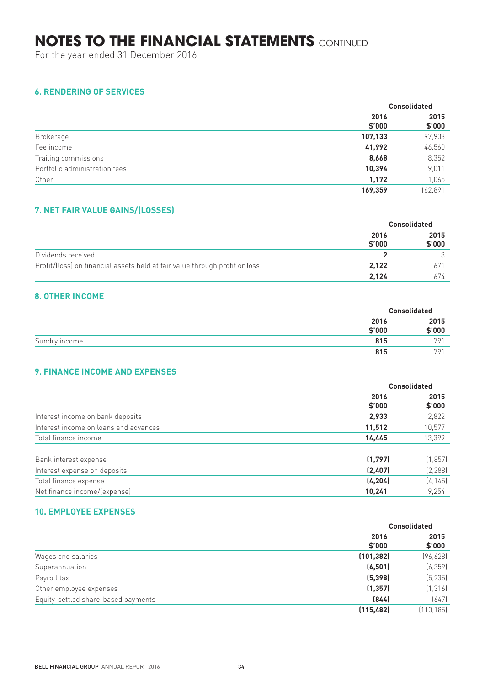For the year ended 31 December 2016

## **6. RENDERING OF SERVICES**

|                               |                | <b>Consolidated</b> |
|-------------------------------|----------------|---------------------|
|                               | 2016<br>\$'000 | 2015<br>\$'000      |
| Brokerage                     | 107,133        | 97,903              |
| Fee income                    | 41,992         | 46,560              |
| Trailing commissions          | 8,668          | 8,352               |
| Portfolio administration fees | 10,394         | 9,011               |
| Other                         | 1,172          | 1,065               |
|                               | 169.359        | 162,891             |

## **7. NET FAIR VALUE GAINS/(LOSSES)**

|                                                                             | <b>Consolidated</b> |                |
|-----------------------------------------------------------------------------|---------------------|----------------|
|                                                                             | 2016<br>\$'000      | 2015<br>\$'000 |
| Dividends received                                                          |                     |                |
| Profit/(loss) on financial assets held at fair value through profit or loss | 2.122               | 671            |
|                                                                             | 2,124               | 674            |

## **8. OTHER INCOME**

|               |                | <b>Consolidated</b> |
|---------------|----------------|---------------------|
|               | 2016<br>\$'000 | 2015<br>\$'000      |
| Sundry income | 815            | 791                 |
|               | 815            | 791                 |

## **9. FINANCE INCOME AND EXPENSES**

|                                       | <b>Consolidated</b> |                |
|---------------------------------------|---------------------|----------------|
|                                       | 2016<br>\$'000      | 2015<br>\$'000 |
| Interest income on bank deposits      | 2,933               | 2,822          |
| Interest income on loans and advances | 11,512              | 10,577         |
| Total finance income                  | 14,445              | 13,399         |
| Bank interest expense                 | (1,797)             | (1, 857)       |
| Interest expense on deposits          | (2,407)             | [2, 288]       |
| Total finance expense                 | (4, 204)            | (4, 145)       |
| Net finance income/(expense)          | 10,241              | 9,254          |

## **10. EMPLOYEE EXPENSES**

|                                     | <b>Consolidated</b> |                |
|-------------------------------------|---------------------|----------------|
|                                     | 2016<br>\$'000      | 2015<br>\$'000 |
| Wages and salaries                  | (101, 382)          | (96, 628)      |
| Superannuation                      | (6, 501)            | (6, 359)       |
| Payroll tax                         | (5, 398)            | (5, 235)       |
| Other employee expenses             | (1, 357)            | (1, 316)       |
| Equity-settled share-based payments | (844)               | (647)          |
|                                     | (115, 482)          | (110, 185)     |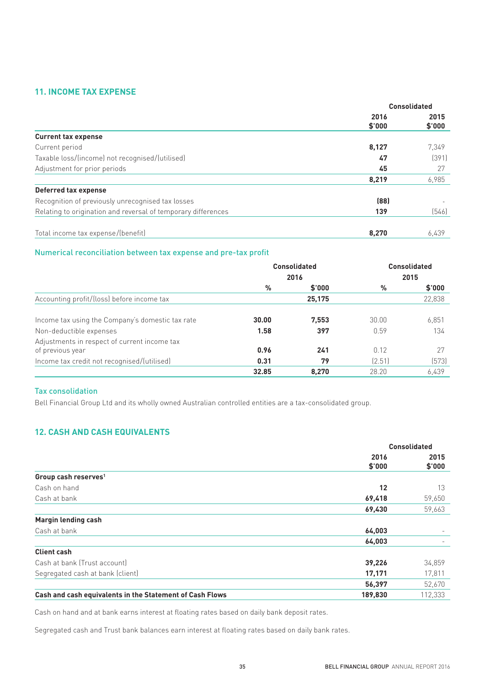## **11. INCOME TAX EXPENSE**

|                                                               | <b>Consolidated</b> |                |
|---------------------------------------------------------------|---------------------|----------------|
|                                                               | 2016<br>\$'000      | 2015<br>\$'000 |
| <b>Current tax expense</b>                                    |                     |                |
| Current period                                                | 8,127               | 7,349          |
| Taxable loss/(income) not recognised/(utilised)               | 47                  | (391)          |
| Adjustment for prior periods                                  | 45                  | 27             |
|                                                               | 8,219               | 6,985          |
| Deferred tax expense                                          |                     |                |
| Recognition of previously unrecognised tax losses             | (88)                |                |
| Relating to origination and reversal of temporary differences | 139                 | (546)          |
| Total income tax expense/(benefit)                            | 8.270               | 6,439          |

#### Numerical reconciliation between tax expense and pre-tax profit

|                                                  |       | <b>Consolidated</b> |        | <b>Consolidated</b> |
|--------------------------------------------------|-------|---------------------|--------|---------------------|
|                                                  | 2016  |                     | 2015   |                     |
|                                                  | %     | \$'000              | %      | \$'000              |
| Accounting profit/(loss) before income tax       |       | 25,175              |        | 22,838              |
| Income tax using the Company's domestic tax rate | 30.00 | 7,553               | 30.00  | 6,851               |
| Non-deductible expenses                          | 1.58  | 397                 | 0.59   | 134                 |
| Adjustments in respect of current income tax     |       |                     |        |                     |
| of previous year                                 | 0.96  | 241                 | 0.12   | 27                  |
| Income tax credit not recognised/(utilised)      | 0.31  | 79                  | (2.51) | [573]               |
|                                                  | 32.85 | 8.270               | 28.20  | 6.439               |

#### Tax consolidation

Bell Financial Group Ltd and its wholly owned Australian controlled entities are a tax-consolidated group.

## **12. CASH AND CASH EQUIVALENTS**

|                                                          | <b>Consolidated</b> |                |
|----------------------------------------------------------|---------------------|----------------|
|                                                          | 2016<br>\$'000      | 2015<br>\$'000 |
| Group cash reserves <sup>1</sup>                         |                     |                |
| Cash on hand                                             | 12                  | 13             |
| Cash at bank                                             | 69,418              | 59,650         |
|                                                          | 69,430              | 59,663         |
| <b>Margin lending cash</b>                               |                     |                |
| Cash at bank                                             | 64,003              |                |
|                                                          | 64,003              |                |
| <b>Client cash</b>                                       |                     |                |
| Cash at bank (Trust account)                             | 39,226              | 34,859         |
| Segregated cash at bank (client)                         | 17,171              | 17,811         |
|                                                          | 56,397              | 52,670         |
| Cash and cash equivalents in the Statement of Cash Flows | 189,830             | 112,333        |

Cash on hand and at bank earns interest at floating rates based on daily bank deposit rates.

Segregated cash and Trust bank balances earn interest at floating rates based on daily bank rates.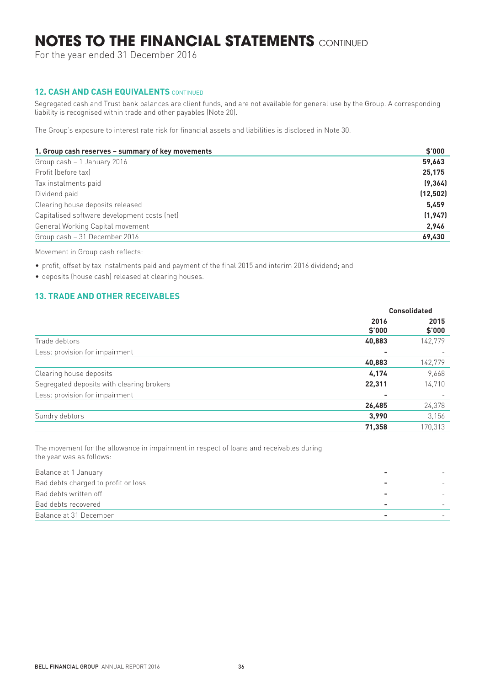For the year ended 31 December 2016

## **12. CASH AND CASH EQUIVALENTS CONTINUED**

Segregated cash and Trust bank balances are client funds, and are not available for general use by the Group. A corresponding liability is recognised within trade and other payables (Note 20).

The Group's exposure to interest rate risk for financial assets and liabilities is disclosed in Note 30.

| 1. Group cash reserves - summary of key movements | \$'000   |
|---------------------------------------------------|----------|
| Group cash - 1 January 2016                       | 59,663   |
| Profit (before tax)                               | 25,175   |
| Tax instalments paid                              | (9, 364) |
| Dividend paid                                     | (12,502) |
| Clearing house deposits released                  | 5.459    |
| Capitalised software development costs (net)      | (1, 947) |
| General Working Capital movement                  | 2,946    |
| Group cash - 31 December 2016                     | 69,430   |

Movement in Group cash reflects:

- profit, offset by tax instalments paid and payment of the final 2015 and interim 2016 dividend; and
- deposits (house cash) released at clearing houses.

## **13. TRADE AND OTHER RECEIVABLES**

|                                           | <b>Consolidated</b>      |                |
|-------------------------------------------|--------------------------|----------------|
|                                           | 2016<br>\$'000           | 2015<br>\$'000 |
| Trade debtors                             | 40,883                   | 142,779        |
| Less: provision for impairment            | $\overline{\phantom{0}}$ |                |
|                                           | 40,883                   | 142,779        |
| Clearing house deposits                   | 4,174                    | 9,668          |
| Segregated deposits with clearing brokers | 22,311                   | 14,710         |
| Less: provision for impairment            | -                        |                |
|                                           | 26,485                   | 24,378         |
| Sundry debtors                            | 3,990                    | 3,156          |
|                                           | 71,358                   | 170,313        |

The movement for the allowance in impairment in respect of loans and receivables during the year was as follows:

| Balance at 1 January                |  |
|-------------------------------------|--|
| Bad debts charged to profit or loss |  |
| Bad debts written off               |  |
| Bad debts recovered                 |  |
| Balance at 31 December              |  |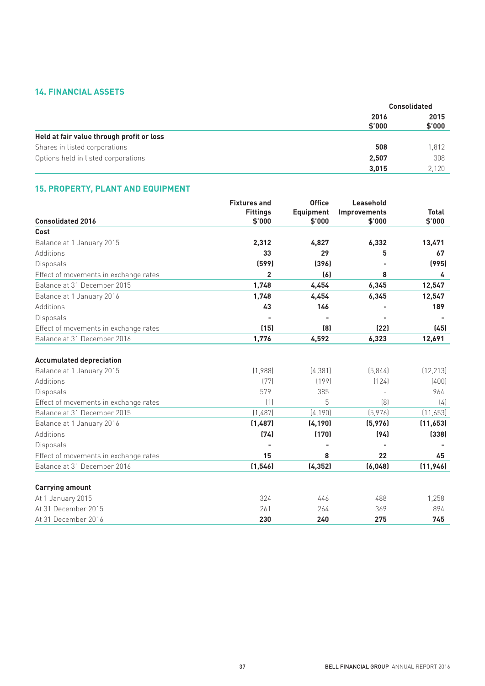## **14. FINANCIAL ASSETS**

|                                           |                | <b>Consolidated</b> |  |
|-------------------------------------------|----------------|---------------------|--|
|                                           | 2016<br>\$'000 | 2015<br>\$'000      |  |
| Held at fair value through profit or loss |                |                     |  |
| Shares in listed corporations             | 508            | 1,812               |  |
| Options held in listed corporations       | 2,507          | 308                 |  |
|                                           | 3,015          | 2,120               |  |

## **15. PROPERTY, PLANT AND EQUIPMENT**

|                                                                      | <b>Fixtures and</b> | <b>Office</b>    | Leasehold           |              |
|----------------------------------------------------------------------|---------------------|------------------|---------------------|--------------|
|                                                                      | <b>Fittings</b>     | <b>Equipment</b> | <b>Improvements</b> | <b>Total</b> |
| <b>Consolidated 2016</b>                                             | \$'000              | \$'000           | \$'000              | \$'000       |
| Cost                                                                 |                     |                  |                     |              |
| Balance at 1 January 2015                                            | 2,312               | 4,827            | 6,332               | 13,471       |
| Additions                                                            | 33                  | 29               | 5                   | 67           |
| Disposals                                                            | (599)               | (396)            |                     | (995)        |
| Effect of movements in exchange rates                                | $\overline{2}$      | (6)              | 8                   | 4            |
| Balance at 31 December 2015                                          | 1,748               | 4,454            | 6,345               | 12,547       |
| Balance at 1 January 2016                                            | 1,748               | 4,454            | 6,345               | 12,547       |
| Additions                                                            | 43                  | 146              |                     | 189          |
| Disposals                                                            |                     |                  |                     |              |
| Effect of movements in exchange rates                                | (15)                | (8)              | (22)                | (45)         |
| Balance at 31 December 2016                                          | 1,776               | 4,592            | 6,323               | 12,691       |
|                                                                      |                     |                  |                     |              |
| <b>Accumulated depreciation</b><br>Balance at 1 January 2015         | (1,988)             | (4, 381)         | (5,844)             | (12, 213)    |
| Additions                                                            | (77)                | [199]            | (124)               | (400)        |
| Disposals                                                            | 579                 | 385              |                     | 964          |
|                                                                      | (1)                 | 5                | [8]                 | (4)          |
| Effect of movements in exchange rates<br>Balance at 31 December 2015 | (1,487)             | (4, 190)         | (5,976)             | (11,653)     |
|                                                                      | (1,487)             | (4, 190)         | (5, 976)            | (11, 653)    |
| Balance at 1 January 2016<br>Additions                               | (74)                | (170)            | (94)                | (338)        |
|                                                                      |                     |                  |                     |              |
| Disposals                                                            |                     |                  |                     |              |
| Effect of movements in exchange rates                                | 15                  | 8                | 22                  | 45           |
| Balance at 31 December 2016                                          | (1, 546)            | (4, 352)         | (6,048)             | (11, 946)    |
| <b>Carrying amount</b>                                               |                     |                  |                     |              |
| At 1 January 2015                                                    | 324                 | 446              | 488                 | 1,258        |
| At 31 December 2015                                                  | 261                 | 264              | 369                 | 894          |
| At 31 December 2016                                                  | 230                 | 240              | 275                 | 745          |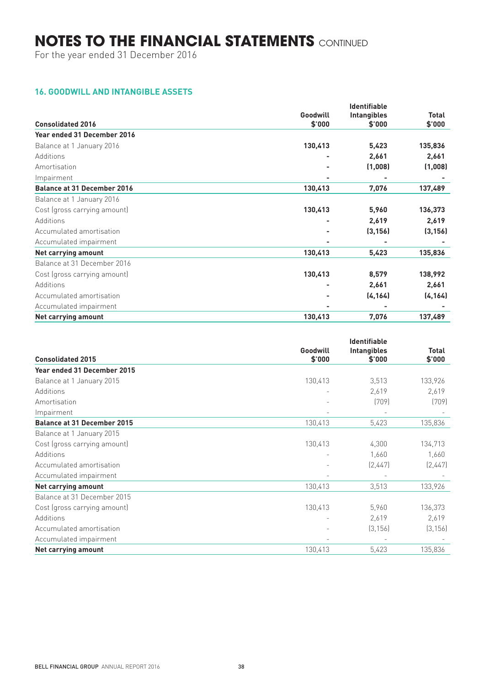For the year ended 31 December 2016

## **16. GOODWILL AND INTANGIBLE ASSETS**

|                                    |          | <b>Identifiable</b> |              |
|------------------------------------|----------|---------------------|--------------|
|                                    | Goodwill | <b>Intangibles</b>  | <b>Total</b> |
| <b>Consolidated 2016</b>           | \$'000   | \$'000              | \$'000       |
| Year ended 31 December 2016        |          |                     |              |
| Balance at 1 January 2016          | 130,413  | 5,423               | 135,836      |
| Additions                          |          | 2,661               | 2,661        |
| Amortisation                       |          | (1,008)             | (1,008)      |
| Impairment                         |          | ۰                   |              |
| <b>Balance at 31 December 2016</b> | 130,413  | 7,076               | 137,489      |
| Balance at 1 January 2016          |          |                     |              |
| Cost (gross carrying amount)       | 130,413  | 5,960               | 136,373      |
| Additions                          |          | 2,619               | 2,619        |
| Accumulated amortisation           |          | (3, 156)            | (3, 156)     |
| Accumulated impairment             |          |                     |              |
| Net carrying amount                | 130,413  | 5,423               | 135,836      |
| Balance at 31 December 2016        |          |                     |              |
| Cost (gross carrying amount)       | 130,413  | 8,579               | 138,992      |
| Additions                          |          | 2,661               | 2,661        |
| Accumulated amortisation           |          | (4, 164)            | (4, 164)     |
| Accumulated impairment             |          |                     |              |
| Net carrying amount                | 130,413  | 7,076               | 137,489      |

|                                    | <b>Identifiable</b>      |                    |              |
|------------------------------------|--------------------------|--------------------|--------------|
|                                    | Goodwill                 | <b>Intangibles</b> | <b>Total</b> |
| <b>Consolidated 2015</b>           | \$'000                   | \$'000             | \$'000       |
| Year ended 31 December 2015        |                          |                    |              |
| Balance at 1 January 2015          | 130,413                  | 3,513              | 133,926      |
| Additions                          | $\overline{\phantom{a}}$ | 2,619              | 2,619        |
| Amortisation                       |                          | (709)              | (709)        |
| Impairment                         |                          |                    |              |
| <b>Balance at 31 December 2015</b> | 130,413                  | 5,423              | 135,836      |
| Balance at 1 January 2015          |                          |                    |              |
| Cost (gross carrying amount)       | 130,413                  | 4,300              | 134,713      |
| Additions                          |                          | 1,660              | 1,660        |
| Accumulated amortisation           |                          | (2,447)            | [2,447]      |
| Accumulated impairment             | $\overline{\phantom{m}}$ |                    |              |
| Net carrying amount                | 130,413                  | 3,513              | 133,926      |
| Balance at 31 December 2015        |                          |                    |              |
| Cost (gross carrying amount)       | 130,413                  | 5,960              | 136,373      |
| Additions                          |                          | 2,619              | 2,619        |
| Accumulated amortisation           |                          | (3, 156)           | (3, 156)     |
| Accumulated impairment             | $\overline{\phantom{a}}$ |                    |              |
| Net carrying amount                | 130,413                  | 5,423              | 135,836      |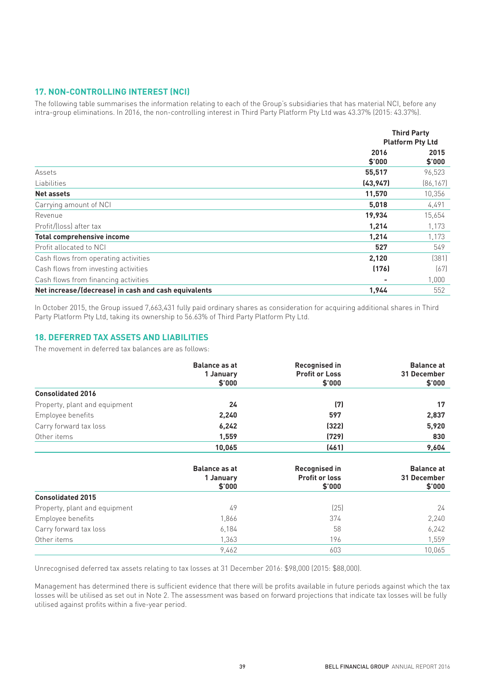## **17. NON-CONTROLLING INTEREST (NCI)**

The following table summarises the information relating to each of the Group's subsidiaries that has material NCI, before any intra-group eliminations. In 2016, the non-controlling interest in Third Party Platform Pty Ltd was 43.37% (2015: 43.37%).

|                                                      | <b>Third Party</b>      |                |
|------------------------------------------------------|-------------------------|----------------|
|                                                      | <b>Platform Pty Ltd</b> |                |
|                                                      | 2016<br>\$'000          | 2015<br>\$'000 |
| Assets                                               | 55,517                  | 96,523         |
| Liabilities                                          | (43, 947)               | [86, 167]      |
| Net assets                                           | 11,570                  | 10,356         |
| Carrying amount of NCI                               | 5,018                   | 4,491          |
| Revenue                                              | 19,934                  | 15,654         |
| Profit/(loss) after tax                              | 1,214                   | 1,173          |
| <b>Total comprehensive income</b>                    | 1,214                   | 1,173          |
| Profit allocated to NCI                              | 527                     | 549            |
| Cash flows from operating activities                 | 2,120                   | (381)          |
| Cash flows from investing activities                 | (176)                   | (67)           |
| Cash flows from financing activities                 |                         | 1,000          |
| Net increase/(decrease) in cash and cash equivalents | 1,944                   | 552            |

In October 2015, the Group issued 7,663,431 fully paid ordinary shares as consideration for acquiring additional shares in Third Party Platform Pty Ltd, taking its ownership to 56.63% of Third Party Platform Pty Ltd.

## **18. DEFERRED TAX ASSETS AND LIABILITIES**

The movement in deferred tax balances are as follows:

|                               | <b>Balance as at</b><br>1 January | <b>Recognised in</b><br><b>Profit or Loss</b> | <b>Balance at</b><br>31 December |
|-------------------------------|-----------------------------------|-----------------------------------------------|----------------------------------|
|                               | \$'000                            | \$'000                                        | \$'000                           |
| <b>Consolidated 2016</b>      |                                   |                                               |                                  |
| Property, plant and equipment | 24                                | (7)                                           | 17                               |
| Employee benefits             | 2,240                             | 597                                           | 2,837                            |
| Carry forward tax loss        | 6,242                             | (322)                                         | 5,920                            |
| Other items                   | 1,559                             | (729)                                         | 830                              |
|                               | 10,065                            | (461)                                         | 9,604                            |
|                               | <b>Balance as at</b><br>1 January | <b>Recognised in</b><br><b>Profit or loss</b> | <b>Balance at</b><br>31 December |
|                               | \$'000                            | \$'000                                        | \$'000                           |
| <b>Consolidated 2015</b>      |                                   |                                               |                                  |
| Property, plant and equipment | 49                                | (25)                                          | 24                               |
| Employee benefits             | 1,866                             | 374                                           | 2,240                            |
| Carry forward tax loss        | 6,184                             | 58                                            | 6,242                            |
| Other items                   | 1,363                             | 196                                           | 1,559                            |
|                               | 9,462                             | 603                                           | 10,065                           |

Unrecognised deferred tax assets relating to tax losses at 31 December 2016: \$98,000 (2015: \$88,000).

Management has determined there is sufficient evidence that there will be profits available in future periods against which the tax losses will be utilised as set out in Note 2. The assessment was based on forward projections that indicate tax losses will be fully utilised against profits within a five-year period.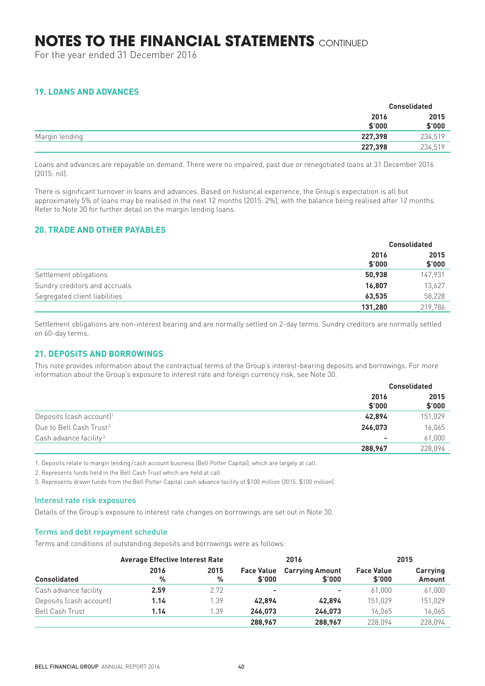For the year ended 31 December 2016

## **19. LOANS AND ADVANCES**

|                |                | <b>Consolidated</b> |  |
|----------------|----------------|---------------------|--|
|                | 2016<br>\$'000 | 2015<br>\$'000      |  |
| Margin lending | 227.398        | 234,519             |  |
|                | 227,398        | 234,519             |  |

Loans and advances are repayable on demand. There were no impaired, past due or renegotiated loans at 31 December 2016 (2015: nil).

There is significant turnover in loans and advances. Based on historical experience, the Group's expectation is all but approximately 5% of loans may be realised in the next 12 months (2015: 2%), with the balance being realised after 12 months. Refer to Note 30 for further detail on the margin lending loans.

## **20. TRADE AND OTHER PAYABLES**

|                               | <b>Consolidated</b> |                |
|-------------------------------|---------------------|----------------|
|                               | 2016<br>\$'000      | 2015<br>\$'000 |
| Settlement obligations        | 50,938              | 147,931        |
| Sundry creditors and accruals | 16.807              | 13,627         |
| Segregated client liabilities | 63,535              | 58,228         |
|                               | 131,280             | 219,786        |

Settlement obligations are non-interest bearing and are normally settled on 2-day terms. Sundry creditors are normally settled on 60-day terms.

## **21. DEPOSITS AND BORROWINGS**

This note provides information about the contractual terms of the Group's interest-bearing deposits and borrowings. For more information about the Group's exposure to interest rate and foreign currency risk, see Note 30.

|                                         | <b>Consolidated</b> |                |
|-----------------------------------------|---------------------|----------------|
|                                         | 2016<br>\$'000      | 2015<br>\$'000 |
| Deposits (cash account) <sup>1</sup>    | 42.894              | 151,029        |
| Due to Bell Cash Trust <sup>2</sup>     | 246,073             | 16,065         |
| Cash advance facility <sup>3</sup><br>- | 61,000              |                |
|                                         | 288,967             | 228.094        |

1. Deposits relate to margin lending/cash account business (Bell Potter Capital), which are largely at call.

2. Represents funds held in the Bell Cash Trust which are held at call.

3. Represents drawn funds from the Bell Potter Capital cash advance facility of \$100 million (2015: \$100 million).

#### Interest rate risk exposures

Details of the Group's exposure to interest rate changes on borrowings are set out in Note 30.

#### Terms and debt repayment schedule

Terms and conditions of outstanding deposits and borrowings were as follows:

|                         |           | <b>Average Effective Interest Rate</b><br>2016 |                             |                                  |                             | 2015               |  |
|-------------------------|-----------|------------------------------------------------|-----------------------------|----------------------------------|-----------------------------|--------------------|--|
| <b>Consolidated</b>     | 2016<br>% | 2015<br>%                                      | <b>Face Value</b><br>\$'000 | <b>Carrying Amount</b><br>\$'000 | <b>Face Value</b><br>\$'000 | Carrying<br>Amount |  |
| Cash advance facility   | 2.59      | 2.72                                           | ۰                           | ۰                                | 61.000                      | 61,000             |  |
| Deposits (cash account) | 1.14      | 1.39                                           | 42.894                      | 42.894                           | 151.029                     | 151,029            |  |
| <b>Bell Cash Trust</b>  | 1.14      | 1.39                                           | 246.073                     | 246.073                          | 16,065                      | 16,065             |  |
|                         |           |                                                | 288.967                     | 288.967                          | 228.094                     | 228.094            |  |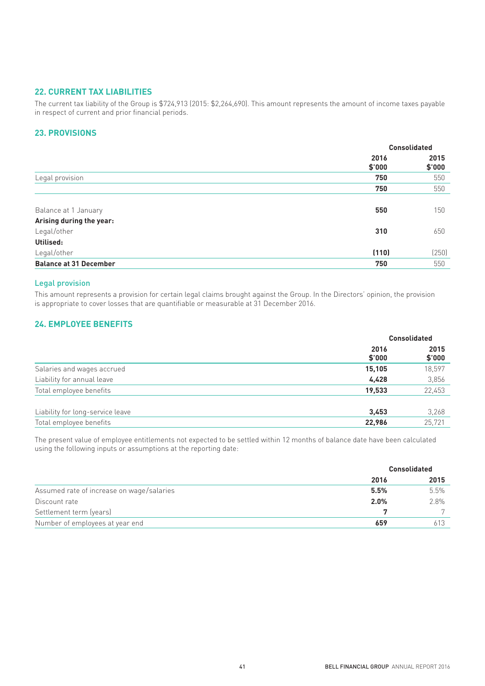### **22. CURRENT TAX LIABILITIES**

The current tax liability of the Group is \$724,913 (2015: \$2,264,690). This amount represents the amount of income taxes payable in respect of current and prior financial periods.

## **23. PROVISIONS**

|                               |                | <b>Consolidated</b> |  |
|-------------------------------|----------------|---------------------|--|
|                               | 2016<br>\$'000 | 2015<br>\$'000      |  |
| Legal provision               | 750            | 550                 |  |
|                               | 750            | 550                 |  |
|                               |                |                     |  |
| Balance at 1 January          | 550            | 150                 |  |
| Arising during the year:      |                |                     |  |
| Legal/other                   | 310            | 650                 |  |
| Utilised:                     |                |                     |  |
| Legal/other                   | (110)          | (250)               |  |
| <b>Balance at 31 December</b> | 750            | 550                 |  |

## Legal provision

This amount represents a provision for certain legal claims brought against the Group. In the Directors' opinion, the provision is appropriate to cover losses that are quantifiable or measurable at 31 December 2016.

## **24. EMPLOYEE BENEFITS**

|                                  | <b>Consolidated</b> |                |
|----------------------------------|---------------------|----------------|
|                                  | 2016<br>\$'000      | 2015<br>\$'000 |
| Salaries and wages accrued       | 15,105              | 18,597         |
| Liability for annual leave       | 4,428               | 3,856          |
| Total employee benefits          | 19,533              | 22,453         |
| Liability for long-service leave | 3,453               | 3,268          |
| Total employee benefits          | 22,986              | 25,721         |

The present value of employee entitlements not expected to be settled within 12 months of balance date have been calculated using the following inputs or assumptions at the reporting date:

|                                           | <b>Consolidated</b> |      |
|-------------------------------------------|---------------------|------|
|                                           | 2016                | 2015 |
| Assumed rate of increase on wage/salaries | 5.5%                | 5.5% |
| Discount rate                             | 2.0%                | 2.8% |
| Settlement term (years)                   |                     |      |
| Number of employees at year end           | 659                 | 613  |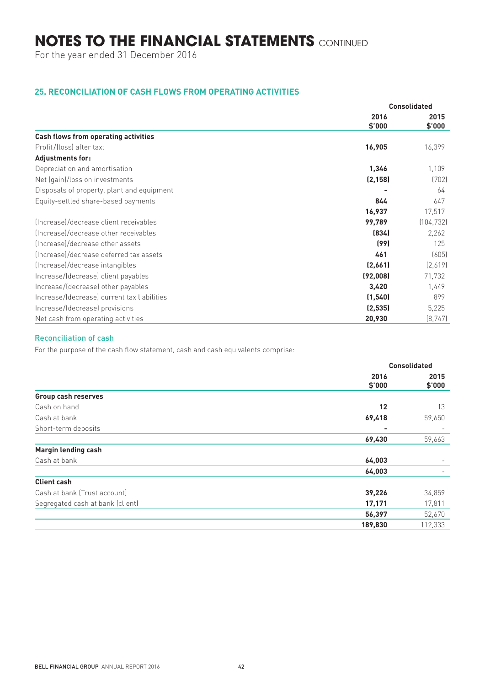For the year ended 31 December 2016

## **25. RECONCILIATION OF CASH FLOWS FROM OPERATING ACTIVITIES**

|                                             | <b>Consolidated</b> |            |
|---------------------------------------------|---------------------|------------|
|                                             | 2016                | 2015       |
|                                             | \$'000              | \$'000     |
| <b>Cash flows from operating activities</b> |                     |            |
| Profit/(loss) after tax:                    | 16,905              | 16,399     |
| <b>Adjustments for:</b>                     |                     |            |
| Depreciation and amortisation               | 1,346               | 1,109      |
| Net (gain)/loss on investments              | (2, 158)            | (702)      |
| Disposals of property, plant and equipment  |                     | 64         |
| Equity-settled share-based payments         | 844                 | 647        |
|                                             | 16,937              | 17,517     |
| (Increase)/decrease client receivables      | 99,789              | (104, 732) |
| Increasel/decrease other receivables        | (834)               | 2,262      |
| (Increase)/decrease other assets            | (99)                | 125        |
| (Increase)/decrease deferred tax assets     | 461                 | (605)      |
| (Increase)/decrease intangibles             | (2,661)             | [2,619]    |
| Increase/(decrease) client payables         | (92,008)            | 71,732     |
| Increase/(decrease) other payables          | 3,420               | 1,449      |
| Increase/(decrease) current tax liabilities | (1, 540)            | 899        |
| Increase/(decrease) provisions              | (2, 535)            | 5,225      |
| Net cash from operating activities          | 20,930              | (8, 747)   |

## Reconciliation of cash

For the purpose of the cash flow statement, cash and cash equivalents comprise:

|                                  |                | <b>Consolidated</b>      |
|----------------------------------|----------------|--------------------------|
|                                  | 2016<br>\$'000 | 2015<br>\$'000           |
| <b>Group cash reserves</b>       |                |                          |
| Cash on hand                     | 12             | 13                       |
| Cash at bank                     | 69,418         | 59,650                   |
| Short-term deposits              | -              |                          |
|                                  | 69,430         | 59,663                   |
| <b>Margin lending cash</b>       |                |                          |
| Cash at bank                     | 64,003         | $\overline{\phantom{m}}$ |
|                                  | 64,003         |                          |
| <b>Client cash</b>               |                |                          |
| Cash at bank (Trust account)     | 39,226         | 34,859                   |
| Segregated cash at bank (client) | 17,171         | 17,811                   |
|                                  | 56,397         | 52,670                   |
|                                  | 189,830        | 112,333                  |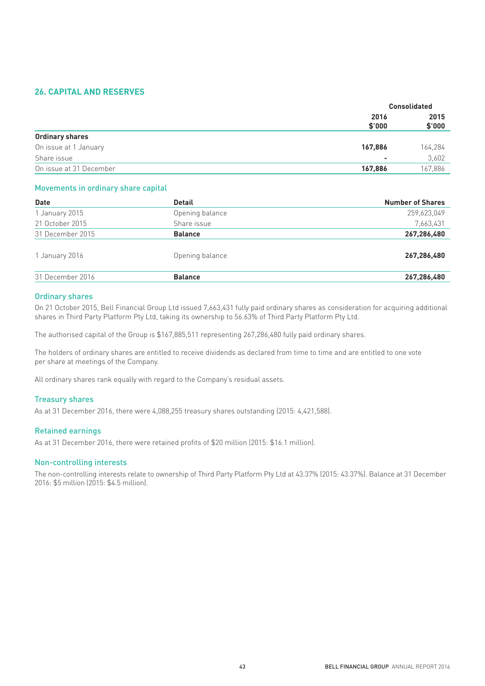## **26. CAPITAL AND RESERVES**

|                         |                | <b>Consolidated</b> |
|-------------------------|----------------|---------------------|
|                         | 2016<br>\$'000 | 2015<br>\$'000      |
| <b>Ordinary shares</b>  |                |                     |
| On issue at 1 January   | 167,886        | 164,284             |
| Share issue             | -              | 3,602               |
| On issue at 31 December | 167,886        | 167,886             |
|                         |                |                     |

### Movements in ordinary share capital

| <b>Date</b>      | <b>Detail</b>   | <b>Number of Shares</b> |
|------------------|-----------------|-------------------------|
| 1 January 2015   | Opening balance | 259,623,049             |
| 21 October 2015  | Share issue     | 7,663,431               |
| 31 December 2015 | <b>Balance</b>  | 267,286,480             |
| 1 January 2016   | Opening balance | 267,286,480             |
| 31 December 2016 | <b>Balance</b>  | 267,286,480             |

#### Ordinary shares

On 21 October 2015, Bell Financial Group Ltd issued 7,663,431 fully paid ordinary shares as consideration for acquiring additional shares in Third Party Platform Pty Ltd, taking its ownership to 56.63% of Third Party Platform Pty Ltd.

The authorised capital of the Group is \$167,885,511 representing 267,286,480 fully paid ordinary shares.

The holders of ordinary shares are entitled to receive dividends as declared from time to time and are entitled to one vote per share at meetings of the Company.

All ordinary shares rank equally with regard to the Company's residual assets.

#### Treasury shares

As at 31 December 2016, there were 4,088,255 treasury shares outstanding (2015: 4,421,588).

#### Retained earnings

As at 31 December 2016, there were retained profits of \$20 million (2015: \$16.1 million).

#### Non-controlling interests

The non-controlling interests relate to ownership of Third Party Platform Pty Ltd at 43.37% (2015: 43.37%). Balance at 31 December 2016: \$5 million (2015: \$4.5 million).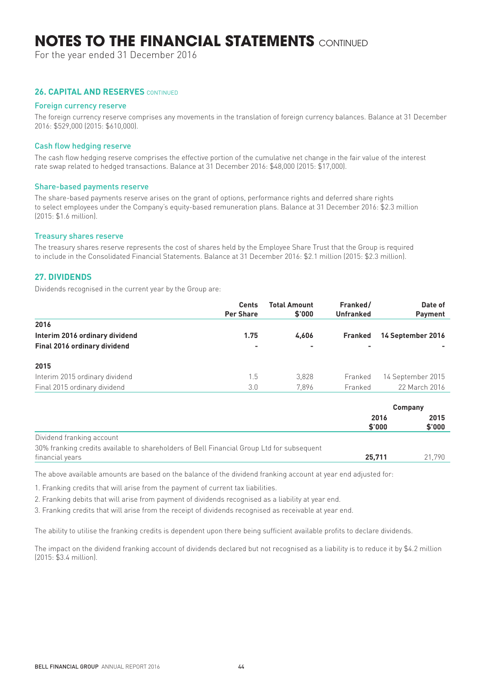For the year ended 31 December 2016

### **26. CAPITAL AND RESERVES** CONTINUED

#### Foreign currency reserve

The foreign currency reserve comprises any movements in the translation of foreign currency balances. Balance at 31 December 2016: \$529,000 (2015: \$610,000).

#### Cash flow hedging reserve

The cash flow hedging reserve comprises the effective portion of the cumulative net change in the fair value of the interest rate swap related to hedged transactions. Balance at 31 December 2016: \$48,000 (2015: \$17,000).

#### Share-based payments reserve

The share-based payments reserve arises on the grant of options, performance rights and deferred share rights to select employees under the Company's equity-based remuneration plans. Balance at 31 December 2016: \$2.3 million (2015: \$1.6 million).

#### Treasury shares reserve

The treasury shares reserve represents the cost of shares held by the Employee Share Trust that the Group is required to include in the Consolidated Financial Statements. Balance at 31 December 2016: \$2.1 million (2015: \$2.3 million).

### **27. DIVIDENDS**

Dividends recognised in the current year by the Group are:

|                                | <b>Cents</b><br><b>Per Share</b> | Total Amount<br>\$'000 | Franked/<br><b>Unfranked</b> | Date of<br><b>Payment</b> |
|--------------------------------|----------------------------------|------------------------|------------------------------|---------------------------|
| 2016                           |                                  |                        |                              |                           |
| Interim 2016 ordinary dividend | 1.75                             | 4.606                  | <b>Franked</b>               | 14 September 2016         |
| Final 2016 ordinary dividend   |                                  |                        | $\overline{\phantom{0}}$     |                           |
| 2015                           |                                  |                        |                              |                           |
| Interim 2015 ordinary dividend | 1.5                              | 3,828                  | Franked                      | 14 September 2015         |
| Final 2015 ordinary dividend   | 3.0                              | 7.896                  | Franked                      | 22 March 2016             |

|                                                                                                              | Company        |                |
|--------------------------------------------------------------------------------------------------------------|----------------|----------------|
|                                                                                                              | 2016<br>\$'000 | 2015<br>\$'000 |
| Dividend franking account                                                                                    |                |                |
| 30% franking credits available to shareholders of Bell Financial Group Ltd for subsequent<br>financial years | 25.711         | 21.790         |

The above available amounts are based on the balance of the dividend franking account at year end adjusted for:

1. Franking credits that will arise from the payment of current tax liabilities.

2. Franking debits that will arise from payment of dividends recognised as a liability at year end.

3. Franking credits that will arise from the receipt of dividends recognised as receivable at year end.

The ability to utilise the franking credits is dependent upon there being sufficient available profits to declare dividends.

The impact on the dividend franking account of dividends declared but not recognised as a liability is to reduce it by \$4.2 million (2015: \$3.4 million).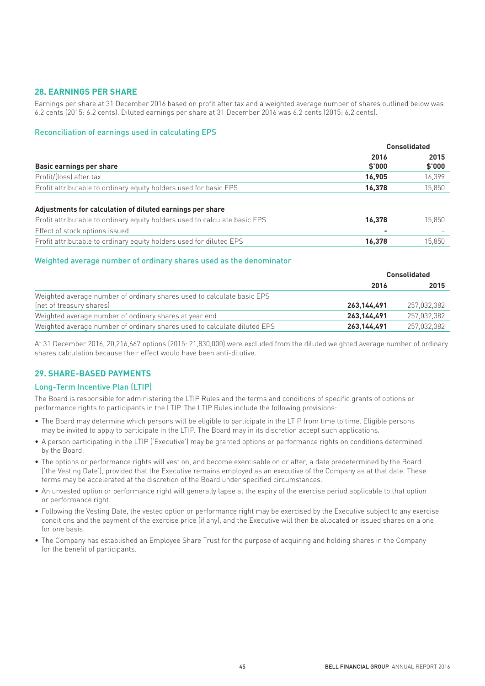## **28. EARNINGS PER SHARE**

Earnings per share at 31 December 2016 based on profit after tax and a weighted average number of shares outlined below was 6.2 cents (2015: 6.2 cents). Diluted earnings per share at 31 December 2016 was 6.2 cents (2015: 6.2 cents).

#### Reconciliation of earnings used in calculating EPS

|                                                                            | <b>Consolidated</b> |                |
|----------------------------------------------------------------------------|---------------------|----------------|
| Basic earnings per share                                                   | 2016<br>\$'000      | 2015<br>\$'000 |
| Profit/(loss) after tax                                                    | 16,905              | 16,399         |
| Profit attributable to ordinary equity holders used for basic EPS          | 16,378              | 15,850         |
| Adjustments for calculation of diluted earnings per share                  |                     |                |
| Profit attributable to ordinary equity holders used to calculate basic EPS | 16.378              | 15.850         |
| Effect of stock options issued                                             |                     |                |
| Profit attributable to ordinary equity holders used for diluted EPS        | 16.378              | 15.850         |

#### Weighted average number of ordinary shares used as the denominator

|                                                                          | <b>Consolidated</b> |             |
|--------------------------------------------------------------------------|---------------------|-------------|
|                                                                          | 2016                | 2015        |
| Weighted average number of ordinary shares used to calculate basic EPS   |                     |             |
| (net of treasury shares)                                                 | 263.144.491         | 257,032,382 |
| Weighted average number of ordinary shares at year end                   | 263.144.491         | 257.032.382 |
| Weighted average number of ordinary shares used to calculate diluted EPS | 263, 144, 491       | 257,032,382 |

At 31 December 2016, 20,216,667 options (2015: 21,830,000) were excluded from the diluted weighted average number of ordinary shares calculation because their effect would have been anti-dilutive.

### **29. SHARE-BASED PAYMENTS**

### Long-Term Incentive Plan (LTIP)

The Board is responsible for administering the LTIP Rules and the terms and conditions of specific grants of options or performance rights to participants in the LTIP. The LTIP Rules include the following provisions:

- The Board may determine which persons will be eligible to participate in the LTIP from time to time. Eligible persons may be invited to apply to participate in the LTIP. The Board may in its discretion accept such applications.
- A person participating in the LTIP ('Executive') may be granted options or performance rights on conditions determined by the Board.
- The options or performance rights will vest on, and become exercisable on or after, a date predetermined by the Board ('the Vesting Date'), provided that the Executive remains employed as an executive of the Company as at that date. These terms may be accelerated at the discretion of the Board under specified circumstances.
- An unvested option or performance right will generally lapse at the expiry of the exercise period applicable to that option or performance right.
- Following the Vesting Date, the vested option or performance right may be exercised by the Executive subject to any exercise conditions and the payment of the exercise price (if any), and the Executive will then be allocated or issued shares on a one for one basis.
- The Company has established an Employee Share Trust for the purpose of acquiring and holding shares in the Company for the benefit of participants.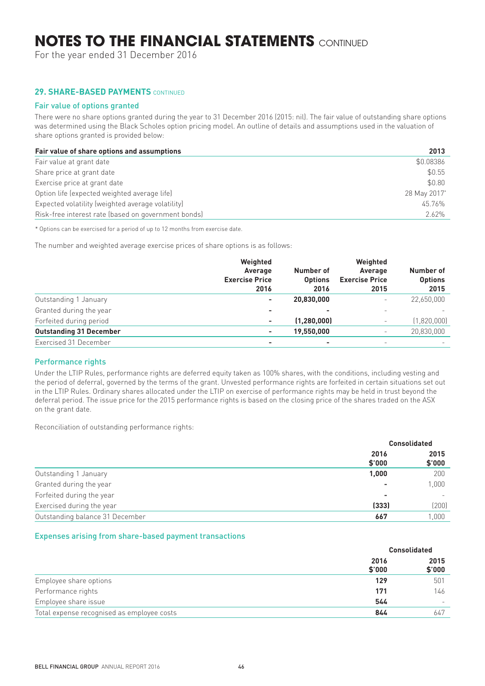For the year ended 31 December 2016

## **29. SHARE-BASED PAYMENTS CONTINUED**

#### Fair value of options granted

There were no share options granted during the year to 31 December 2016 (2015: nil). The fair value of outstanding share options was determined using the Black Scholes option pricing model. An outline of details and assumptions used in the valuation of share options granted is provided below:

| Fair value of share options and assumptions         | 2013         |
|-----------------------------------------------------|--------------|
| Fair value at grant date                            | \$0.08386    |
| Share price at grant date                           | \$0.55       |
| Exercise price at grant date                        | \$0.80       |
| Option life (expected weighted average life)        | 28 May 2017* |
| Expected volatility (weighted average volatility)   | 45.76%       |
| Risk-free interest rate (based on government bonds) | 2.62%        |

\* Options can be exercised for a period of up to 12 months from exercise date.

The number and weighted average exercise prices of share options is as follows:

|                                | Weighted<br>Average<br><b>Exercise Price</b><br>2016 | Number of<br><b>Options</b><br>2016 | Weighted<br>Average<br><b>Exercise Price</b><br>2015 | Number of<br><b>Options</b><br>2015 |
|--------------------------------|------------------------------------------------------|-------------------------------------|------------------------------------------------------|-------------------------------------|
| Outstanding 1 January          | $\overline{\phantom{a}}$                             | 20,830,000                          | $\overline{\phantom{a}}$                             | 22,650,000                          |
| Granted during the year        | ۰                                                    |                                     |                                                      |                                     |
| Forfeited during period        | ٠                                                    | (1, 280, 000)                       |                                                      | (1,820,000)                         |
| <b>Outstanding 31 December</b> | $\overline{\phantom{a}}$                             | 19,550,000                          | $\overline{\phantom{0}}$                             | 20,830,000                          |
| Exercised 31 December          | ٠                                                    | $\overline{\phantom{a}}$            |                                                      |                                     |

### Performance rights

Under the LTIP Rules, performance rights are deferred equity taken as 100% shares, with the conditions, including vesting and the period of deferral, governed by the terms of the grant. Unvested performance rights are forfeited in certain situations set out in the LTIP Rules. Ordinary shares allocated under the LTIP on exercise of performance rights may be held in trust beyond the deferral period. The issue price for the 2015 performance rights is based on the closing price of the shares traded on the ASX on the grant date.

Reconciliation of outstanding performance rights:

|                                 |                | <b>Consolidated</b>      |
|---------------------------------|----------------|--------------------------|
|                                 | 2016<br>\$'000 | 2015<br>\$'000           |
| Outstanding 1 January           | 1,000          | 200                      |
| Granted during the year         | ۰              | 1,000                    |
| Forfeited during the year       | ۰              | $\overline{\phantom{0}}$ |
| Exercised during the year       | (333)          | (200)                    |
| Outstanding balance 31 December | 667            | 1,000                    |

#### Expenses arising from share-based payment transactions

|                                            |                | <b>Consolidated</b>      |
|--------------------------------------------|----------------|--------------------------|
|                                            | 2016<br>\$'000 | 2015<br>\$'000           |
| Employee share options                     | 129            | 501                      |
| Performance rights                         | 171            | 146                      |
| Employee share issue                       | 544            | $\overline{\phantom{a}}$ |
| Total expense recognised as employee costs | 844            | 647                      |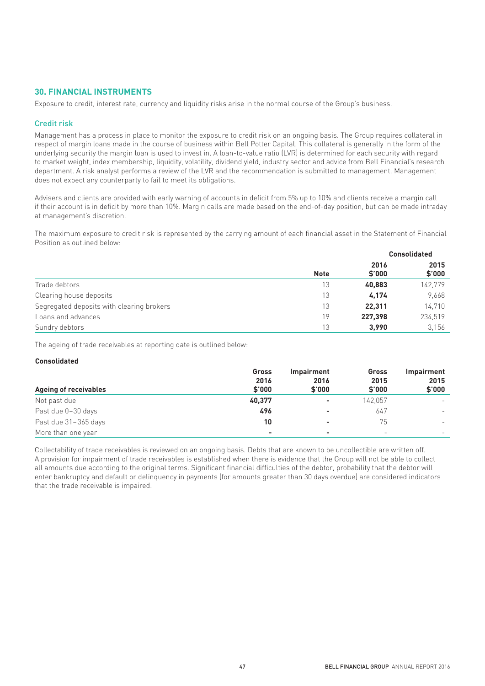### **30. FINANCIAL INSTRUMENTS**

Exposure to credit, interest rate, currency and liquidity risks arise in the normal course of the Group's business.

#### Credit risk

Management has a process in place to monitor the exposure to credit risk on an ongoing basis. The Group requires collateral in respect of margin loans made in the course of business within Bell Potter Capital. This collateral is generally in the form of the underlying security the margin loan is used to invest in. A loan-to-value ratio (LVR) is determined for each security with regard to market weight, index membership, liquidity, volatility, dividend yield, industry sector and advice from Bell Financial's research department. A risk analyst performs a review of the LVR and the recommendation is submitted to management. Management does not expect any counterparty to fail to meet its obligations.

Advisers and clients are provided with early warning of accounts in deficit from 5% up to 10% and clients receive a margin call if their account is in deficit by more than 10%. Margin calls are made based on the end-of-day position, but can be made intraday at management's discretion.

The maximum exposure to credit risk is represented by the carrying amount of each financial asset in the Statement of Financial Position as outlined below:

|                                           |             |                | <b>Consolidated</b> |  |
|-------------------------------------------|-------------|----------------|---------------------|--|
|                                           | <b>Note</b> | 2016<br>\$'000 | 2015<br>\$'000      |  |
| Trade debtors                             | 13          | 40,883         | 142,779             |  |
| Clearing house deposits                   | 13          | 4.174          | 9,668               |  |
| Segregated deposits with clearing brokers | 13          | 22.311         | 14,710              |  |
| Loans and advances                        | 19          | 227.398        | 234,519             |  |
| Sundry debtors                            | 13          | 3.990          | 3,156               |  |

The ageing of trade receivables at reporting date is outlined below:

#### **Consolidated**

|                              | Gross                    | Impairment               | Gross                    | <b>Impairment</b>        |
|------------------------------|--------------------------|--------------------------|--------------------------|--------------------------|
| <b>Ageing of receivables</b> | 2016<br>\$'000           | 2016<br>\$'000           | 2015<br>\$'000           | 2015<br>\$'000           |
| Not past due                 | 40,377                   | $\sim$                   | 142.057                  | $\overline{\phantom{0}}$ |
| Past due 0-30 days           | 496                      | $\overline{\phantom{a}}$ | 647                      | $\overline{\phantom{0}}$ |
| Past due 31-365 days         | 10                       | $\overline{\phantom{a}}$ | 75                       | $\overline{\phantom{0}}$ |
| More than one year           | $\overline{\phantom{a}}$ | $\overline{\phantom{0}}$ | $\overline{\phantom{0}}$ | $\overline{\phantom{0}}$ |

Collectability of trade receivables is reviewed on an ongoing basis. Debts that are known to be uncollectible are written off. A provision for impairment of trade receivables is established when there is evidence that the Group will not be able to collect all amounts due according to the original terms. Significant financial difficulties of the debtor, probability that the debtor will enter bankruptcy and default or delinquency in payments (for amounts greater than 30 days overdue) are considered indicators that the trade receivable is impaired.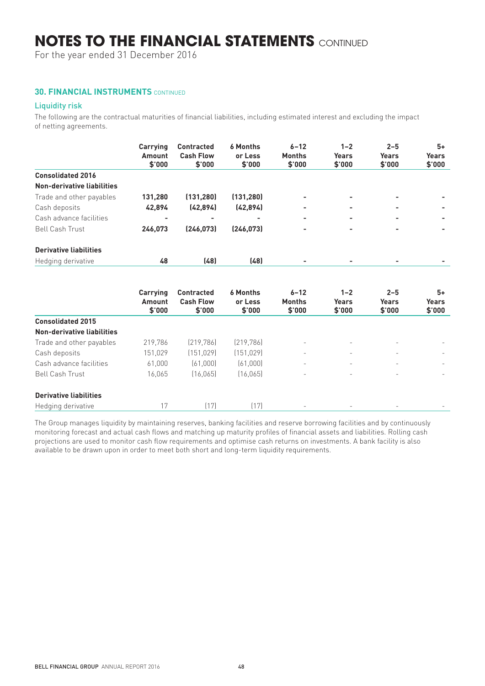For the year ended 31 December 2016

### **30. FINANCIAL INSTRUMENTS** CONTINUED

### Liquidity risk

The following are the contractual maturities of financial liabilities, including estimated interest and excluding the impact of netting agreements.

|                               | Carrying<br>Amount<br>\$'000 | <b>Contracted</b><br><b>Cash Flow</b><br>\$'000 | <b>6 Months</b><br>or Less<br>\$'000 | $6 - 12$<br><b>Months</b><br>\$'000 | $1 - 2$<br><b>Years</b><br>\$'000 | $2 - 5$<br>Years<br>\$'000 | $5+$<br><b>Years</b><br>\$'000 |
|-------------------------------|------------------------------|-------------------------------------------------|--------------------------------------|-------------------------------------|-----------------------------------|----------------------------|--------------------------------|
| <b>Consolidated 2016</b>      |                              |                                                 |                                      |                                     |                                   |                            |                                |
| Non-derivative liabilities    |                              |                                                 |                                      |                                     |                                   |                            |                                |
| Trade and other payables      | 131,280                      | (131, 280)                                      | (131, 280)                           | $\overline{\phantom{0}}$            | -                                 | $\overline{\phantom{0}}$   |                                |
| Cash deposits                 | 42,894                       | (42, 894)                                       | (42, 894)                            | $\overline{\phantom{a}}$            | -                                 | $\overline{\phantom{0}}$   | $\overline{\phantom{a}}$       |
| Cash advance facilities       | ۰                            | ۰                                               | $\overline{\phantom{a}}$             | $\overline{\phantom{0}}$            | -                                 | -                          | -                              |
| <b>Bell Cash Trust</b>        | 246,073                      | [246.073]                                       | (246, 073)                           | $\overline{\phantom{a}}$            | ٠                                 | $\overline{\phantom{0}}$   | -                              |
| <b>Derivative liabilities</b> |                              |                                                 |                                      |                                     |                                   |                            |                                |
| Hedging derivative            | 48                           | (48)                                            | (48)                                 |                                     |                                   |                            |                                |

|                               | Carrying<br>Amount<br>\$'000 | <b>Contracted</b><br><b>Cash Flow</b><br>\$'000 | <b>6 Months</b><br>or Less<br>\$'000 | $6 - 12$<br><b>Months</b><br>\$'000 | $1 - 2$<br>Years<br>\$'000 | $2 - 5$<br><b>Years</b><br>\$'000 | 5+<br><b>Years</b><br>\$'000 |
|-------------------------------|------------------------------|-------------------------------------------------|--------------------------------------|-------------------------------------|----------------------------|-----------------------------------|------------------------------|
| <b>Consolidated 2015</b>      |                              |                                                 |                                      |                                     |                            |                                   |                              |
| Non-derivative liabilities    |                              |                                                 |                                      |                                     |                            |                                   |                              |
| Trade and other payables      | 219,786                      | (219, 786)                                      | (219, 786)                           | $\overline{\phantom{a}}$            |                            |                                   |                              |
| Cash deposits                 | 151,029                      | (151, 029)                                      | (151, 029)                           | -                                   |                            | $\overline{\phantom{m}}$          |                              |
| Cash advance facilities       | 61,000                       | (61,000)                                        | (61,000)                             | $\overline{\phantom{0}}$            |                            | $\overline{\phantom{0}}$          |                              |
| <b>Bell Cash Trust</b>        | 16.065                       | (16, 065)                                       | (16, 065)                            | $\overline{\phantom{0}}$            |                            | $\overline{\phantom{0}}$          |                              |
| <b>Derivative liabilities</b> |                              |                                                 |                                      |                                     |                            |                                   |                              |
| Hedging derivative            | 17                           | (17)                                            | (17)                                 | $\overline{\phantom{a}}$            |                            | $\overline{\phantom{m}}$          |                              |

The Group manages liquidity by maintaining reserves, banking facilities and reserve borrowing facilities and by continuously monitoring forecast and actual cash flows and matching up maturity profiles of financial assets and liabilities. Rolling cash projections are used to monitor cash flow requirements and optimise cash returns on investments. A bank facility is also available to be drawn upon in order to meet both short and long-term liquidity requirements.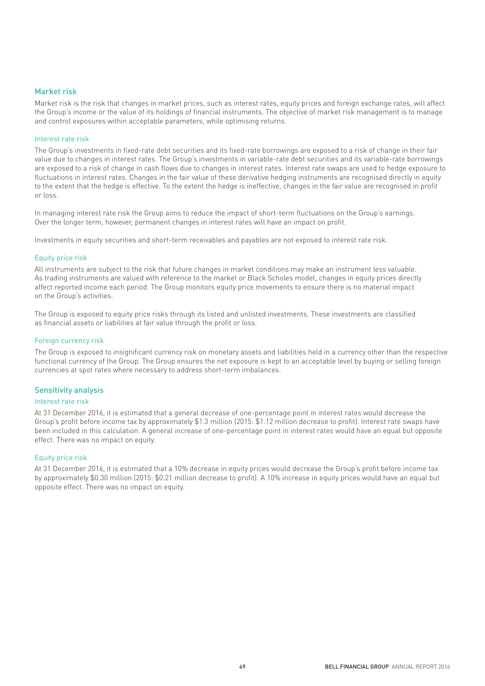#### Market risk

Market risk is the risk that changes in market prices, such as interest rates, equity prices and foreign exchange rates, will affect the Group's income or the value of its holdings of financial instruments. The objective of market risk management is to manage and control exposures within acceptable parameters, while optimising returns.

#### Interest rate risk

The Group's investments in fixed-rate debt securities and its fixed-rate borrowings are exposed to a risk of change in their fair value due to changes in interest rates. The Group's investments in variable-rate debt securities and its variable-rate borrowings are exposed to a risk of change in cash flows due to changes in interest rates. Interest rate swaps are used to hedge exposure to fluctuations in interest rates. Changes in the fair value of these derivative hedging instruments are recognised directly in equity to the extent that the hedge is effective. To the extent the hedge is ineffective, changes in the fair value are recognised in profit or loss.

In managing interest rate risk the Group aims to reduce the impact of short-term fluctuations on the Group's earnings. Over the longer term, however, permanent changes in interest rates will have an impact on profit.

Investments in equity securities and short-term receivables and payables are not exposed to interest rate risk.

#### Equity price risk

All instruments are subject to the risk that future changes in market conditions may make an instrument less valuable. As trading instruments are valued with reference to the market or Black Scholes model, changes in equity prices directly affect reported income each period. The Group monitors equity price movements to ensure there is no material impact on the Group's activities.

The Group is exposed to equity price risks through its listed and unlisted investments. These investments are classified as financial assets or liabilities at fair value through the profit or loss.

#### Foreign currency risk

The Group is exposed to insignificant currency risk on monetary assets and liabilities held in a currency other than the respective functional currency of the Group. The Group ensures the net exposure is kept to an acceptable level by buying or selling foreign currencies at spot rates where necessary to address short-term imbalances.

#### Sensitivity analysis

#### Interest rate risk

At 31 December 2016, it is estimated that a general decrease of one-percentage point in interest rates would decrease the Group's profit before income tax by approximately \$1.3 million (2015: \$1.12 million decrease to profit). Interest rate swaps have been included in this calculation. A general increase of one-percentage point in interest rates would have an equal but opposite effect. There was no impact on equity.

#### Equity price risk

At 31 December 2016, it is estimated that a 10% decrease in equity prices would decrease the Group's profit before income tax by approximately \$0.30 million (2015: \$0.21 million decrease to profit). A 10% increase in equity prices would have an equal but opposite effect. There was no impact on equity.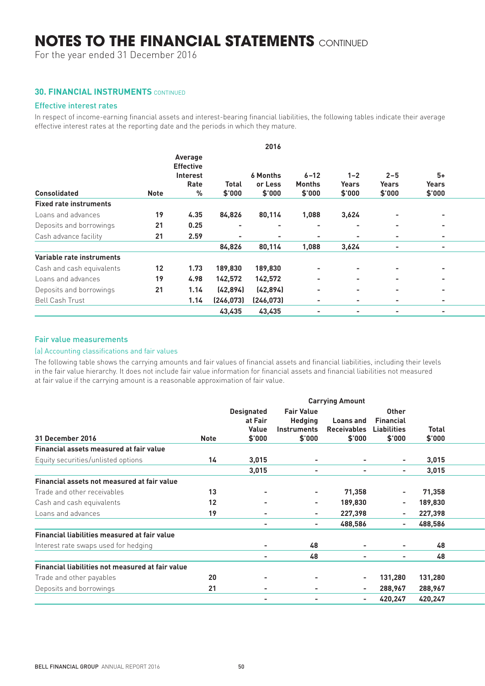For the year ended 31 December 2016

### **30. FINANCIAL INSTRUMENTS** CONTINUED

#### Effective interest rates

In respect of income-earning financial assets and interest-bearing financial liabilities, the following tables indicate their average effective interest rates at the reporting date and the periods in which they mature.

|                               |             |                             |                | 2016                       |                           |                          |                  |                          |
|-------------------------------|-------------|-----------------------------|----------------|----------------------------|---------------------------|--------------------------|------------------|--------------------------|
|                               |             | Average<br><b>Effective</b> |                |                            |                           |                          |                  |                          |
|                               |             | Interest<br>Rate            | <b>Total</b>   | <b>6 Months</b><br>or Less | $6 - 12$<br><b>Months</b> | $1 - 2$<br>Years         | $2 - 5$<br>Years | $5+$<br>Years            |
| <b>Consolidated</b>           | <b>Note</b> | %                           | \$'000         | \$'000                     | \$'000                    | \$'000                   | \$'000           | \$'000                   |
| <b>Fixed rate instruments</b> |             |                             |                |                            |                           |                          |                  |                          |
| Loans and advances            | 19          | 4.35                        | 84,826         | 80,114                     | 1,088                     | 3,624                    | $\sim$           | $\overline{\phantom{a}}$ |
| Deposits and borrowings       | 21          | 0.25                        | $\sim$         | . .                        | $\overline{\phantom{a}}$  | $\overline{\phantom{a}}$ | $\sim$           | $\sim$                   |
| Cash advance facility         | 21          | 2.59                        | $\blacksquare$ | $\blacksquare$             |                           | $\overline{\phantom{a}}$ | $\sim$           | $\overline{\phantom{a}}$ |
|                               |             |                             | 84,826         | 80,114                     | 1,088                     | 3,624                    | $\sim$           | $\sim$                   |
| Variable rate instruments     |             |                             |                |                            |                           |                          |                  |                          |
| Cash and cash equivalents     | 12          | 1.73                        | 189,830        | 189,830                    | $\overline{\phantom{a}}$  |                          |                  | $\overline{\phantom{a}}$ |
| Loans and advances            | 19          | 4.98                        | 142,572        | 142,572                    | $\overline{\phantom{a}}$  | $\overline{\phantom{a}}$ | $\sim$           | $\overline{\phantom{a}}$ |
| Deposits and borrowings       | 21          | 1.14                        | (42, 894)      | (42, 894)                  | $\sim$                    | $\overline{\phantom{a}}$ | $\sim$           | $\overline{\phantom{a}}$ |
| <b>Bell Cash Trust</b>        |             | 1.14                        | (246, 073)     | (246, 073)                 | $\sim$                    | $\overline{\phantom{a}}$ | $\sim$           | $\overline{\phantom{a}}$ |
|                               |             |                             | 43,435         | 43,435                     | $\overline{\phantom{a}}$  | $\overline{\phantom{a}}$ | $\sim$           | $\sim$                   |
|                               |             |                             |                |                            |                           |                          |                  |                          |

#### Fair value measurements

#### (a) Accounting classifications and fair values

The following table shows the carrying amounts and fair values of financial assets and financial liabilities, including their levels in the fair value hierarchy. It does not include fair value information for financial assets and financial liabilities not measured at fair value if the carrying amount is a reasonable approximation of fair value.

|                                                     |             |                          |                          | <b>Carrying Amount</b>   |                          |              |  |
|-----------------------------------------------------|-------------|--------------------------|--------------------------|--------------------------|--------------------------|--------------|--|
|                                                     |             | <b>Designated</b>        | <b>Fair Value</b>        |                          | <b>Other</b>             |              |  |
|                                                     |             | at Fair                  | <b>Hedging</b>           | Loans and                | <b>Financial</b>         |              |  |
|                                                     |             | Value                    | <b>Instruments</b>       | <b>Receivables</b>       | Liabilities              | <b>Total</b> |  |
| 31 December 2016                                    | <b>Note</b> | \$'000                   | \$'000                   | $$^{\prime}000$          | \$'000                   | \$'000       |  |
| Financial assets measured at fair value             |             |                          |                          |                          |                          |              |  |
| Equity securities/unlisted options                  | 14          | 3,015                    | $\blacksquare$           |                          | $\overline{\phantom{a}}$ | 3,015        |  |
|                                                     |             | 3,015                    | $\blacksquare$           | $\overline{\phantom{a}}$ | $\sim$                   | 3,015        |  |
| Financial assets not measured at fair value         |             |                          |                          |                          |                          |              |  |
| Trade and other receivables                         | 13          |                          | $\overline{\phantom{a}}$ | 71,358                   | $\overline{\phantom{a}}$ | 71,358       |  |
| Cash and cash equivalents                           | 12          |                          | $\sim$                   | 189,830                  | $\sim$                   | 189,830      |  |
| Loans and advances                                  | 19          | $\overline{\phantom{0}}$ | $\sim$                   | 227,398                  | $\sim$                   | 227,398      |  |
|                                                     |             | $\sim$                   | $\sim$                   | 488,586                  | $\sim$                   | 488,586      |  |
| <b>Financial liabilities measured at fair value</b> |             |                          |                          |                          |                          |              |  |
| Interest rate swaps used for hedging                |             |                          | 48                       | $\overline{\phantom{a}}$ | $\blacksquare$           | 48           |  |
|                                                     |             | $\sim$                   | 48                       | $\sim$                   | $\overline{\phantom{a}}$ | 48           |  |
| Financial liabilities not measured at fair value    |             |                          |                          |                          |                          |              |  |
| Trade and other payables                            | 20          |                          |                          |                          | 131,280                  | 131,280      |  |
| Deposits and borrowings                             | 21          | $\sim$                   | $\sim$                   | $\overline{\phantom{a}}$ | 288,967                  | 288,967      |  |
|                                                     |             |                          | $\blacksquare$           |                          | 420,247                  | 420,247      |  |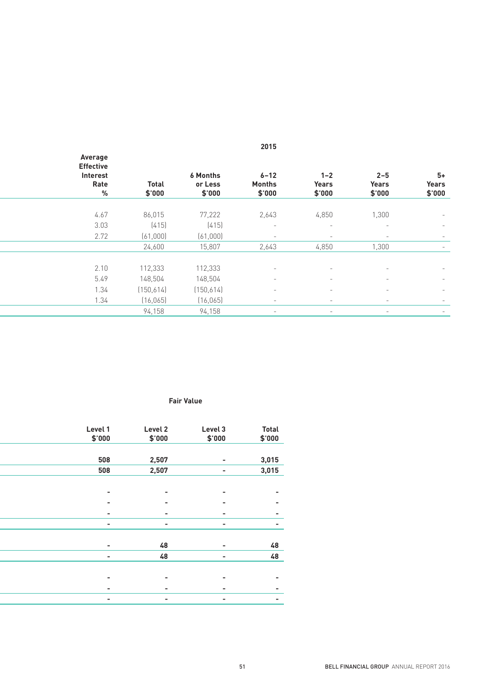| Average<br><b>Effective</b><br>Interest<br>Rate | <b>Total</b> | <b>6 Months</b><br>or Less | $6 - 12$<br>Months | $1 - 2$<br>Years                | $2 - 5$<br>Years         | $5+$<br>Years            |
|-------------------------------------------------|--------------|----------------------------|--------------------|---------------------------------|--------------------------|--------------------------|
| %                                               | \$'000       | \$'000                     | \$'000             | \$'000                          | \$'000                   | \$'000                   |
| 4.67                                            | 86,015       | 77,222                     | 2,643              | 4,850                           | 1,300                    | $\sim$                   |
| 3.03                                            | (415)        | (415)                      | $\sim$             | $\sim$ $ \sim$                  | $\sim$ $ \sim$           | $\sim$                   |
| 2.72                                            | (61,000)     | (61,000)                   | $\sim$             | $\sim$                          | $\sim$ $ \sim$           | $\overline{\phantom{0}}$ |
|                                                 | 24,600       | 15,807                     | 2,643              | 4,850                           | 1,300                    |                          |
|                                                 |              |                            |                    |                                 |                          |                          |
| 2.10                                            | 112,333      | 112,333                    |                    |                                 |                          | $\sim$                   |
| 5.49                                            | 148,504      | 148,504                    |                    | $\hspace{0.1mm}-\hspace{0.1mm}$ | $\overline{\phantom{0}}$ | $\sim$                   |
| 1.34                                            | (150, 614)   | (150,614)                  |                    | $\hspace{0.1mm}-\hspace{0.1mm}$ |                          | $\sim$                   |
| 1.34                                            | (16, 065)    | (16, 065)                  |                    | $\hspace{0.1mm}-\hspace{0.1mm}$ | $\overline{\phantom{0}}$ | $\overline{\phantom{0}}$ |
|                                                 | 94,158       | 94,158                     |                    | $\hspace{0.1mm}-\hspace{0.1mm}$ | $\sim$                   | $\sim$                   |

#### **Carrying Amount Fair Value**

| Level 1<br>\$'000        | Level 2<br>\$'000 | Level 3<br>\$'000 | <b>Total</b><br>\$'000 |
|--------------------------|-------------------|-------------------|------------------------|
|                          |                   |                   |                        |
| 508                      | 2,507             | $\sim$            | 3,015                  |
| 508                      | 2,507             | $\sim$            | 3,015                  |
|                          |                   |                   |                        |
| $\overline{\phantom{a}}$ | $\sim$            | $\sim$            | $\blacksquare$         |
| $\overline{\phantom{a}}$ | $\sim$            | $\sim$            | $\sim$                 |
| $\overline{\phantom{a}}$ | $\sim$            | $\sim$            | $\sim$                 |
| $\sim$                   | $\sim$            | $\sim$            | $\sim$                 |
|                          |                   |                   |                        |
| $\sim$                   | 48                | $\sim$            | 48                     |
| $\sim$                   | 48                | $\sim$            | 48                     |
|                          |                   |                   |                        |
| $\blacksquare$           | $\sim$            | $\sim$            | $\sim$                 |
| $\overline{\phantom{a}}$ | $\sim$            | $\sim$            | $\sim$                 |
| $\sim$                   | $\sim$            | $\sim$            | $\sim$                 |
|                          |                   |                   |                        |

**2016 2015**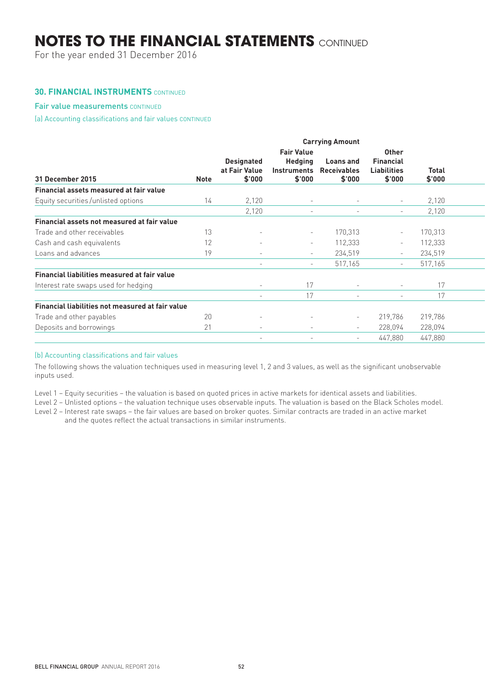For the year ended 31 December 2016

#### **30. FINANCIAL INSTRUMENTS** CONTINUED

### Fair value measurements CONTINUED

(a) Accounting classifications and fair values CONTINUED

|                                                  | <b>Carrying Amount</b> |                                              |                                                              |                                                  |                                                                  |                        |  |
|--------------------------------------------------|------------------------|----------------------------------------------|--------------------------------------------------------------|--------------------------------------------------|------------------------------------------------------------------|------------------------|--|
| 31 December 2015                                 | Note                   | <b>Designated</b><br>at Fair Value<br>\$'000 | <b>Fair Value</b><br><b>Hedging</b><br>Instruments<br>\$'000 | <b>Loans</b> and<br><b>Receivables</b><br>\$'000 | <b>Other</b><br><b>Financial</b><br><b>Liabilities</b><br>\$'000 | <b>Total</b><br>\$'000 |  |
| Financial assets measured at fair value          |                        |                                              |                                                              |                                                  |                                                                  |                        |  |
| Equity securities/unlisted options               | 14                     | 2,120                                        | $\overline{\phantom{0}}$                                     |                                                  |                                                                  | 2,120                  |  |
|                                                  |                        | 2,120                                        | $\overline{\phantom{0}}$                                     | $\overline{\phantom{a}}$                         | $\overline{\phantom{a}}$                                         | 2,120                  |  |
| Financial assets not measured at fair value      |                        |                                              |                                                              |                                                  |                                                                  |                        |  |
| Trade and other receivables                      | 13                     | $\overline{\phantom{a}}$                     | $\overline{\phantom{a}}$                                     | 170,313                                          | $\sim$                                                           | 170,313                |  |
| Cash and cash equivalents                        | 12                     | $\overline{\phantom{a}}$                     | $\sim$                                                       | 112,333                                          | $\sim$                                                           | 112,333                |  |
| Loans and advances                               | 19                     | $\overline{\phantom{a}}$                     | $\overline{\phantom{a}}$                                     | 234,519                                          | $\sim$                                                           | 234,519                |  |
|                                                  |                        | $\overline{\phantom{a}}$                     | $\overline{\phantom{a}}$                                     | 517,165                                          | $\sim$                                                           | 517,165                |  |
| Financial liabilities measured at fair value     |                        |                                              |                                                              |                                                  |                                                                  |                        |  |
| Interest rate swaps used for hedging             |                        | $\overline{\phantom{a}}$                     | 17                                                           | $\overline{\phantom{a}}$                         | $\overline{\phantom{a}}$                                         | 17                     |  |
|                                                  |                        | $\overline{\phantom{a}}$                     | 17                                                           | $\sim$                                           | $\overline{\phantom{a}}$                                         | 17                     |  |
| Financial liabilities not measured at fair value |                        |                                              |                                                              |                                                  |                                                                  |                        |  |
| Trade and other payables                         | 20                     |                                              |                                                              | $\overline{\phantom{a}}$                         | 219,786                                                          | 219,786                |  |
| Deposits and borrowings                          | 21                     | $\overline{\phantom{a}}$                     |                                                              | $\overline{\phantom{a}}$                         | 228,094                                                          | 228,094                |  |
|                                                  |                        | $\overline{\phantom{a}}$                     |                                                              | $\overline{\phantom{a}}$                         | 447,880                                                          | 447,880                |  |
|                                                  |                        |                                              |                                                              |                                                  |                                                                  |                        |  |

#### (b) Accounting classifications and fair values

The following shows the valuation techniques used in measuring level 1, 2 and 3 values, as well as the significant unobservable inputs used.

Level 1 – Equity securities – the valuation is based on quoted prices in active markets for identical assets and liabilities.

Level 2 – Unlisted options – the valuation technique uses observable inputs. The valuation is based on the Black Scholes model.

Level 2 – Interest rate swaps – the fair values are based on broker quotes. Similar contracts are traded in an active market

and the quotes reflect the actual transactions in similar instruments.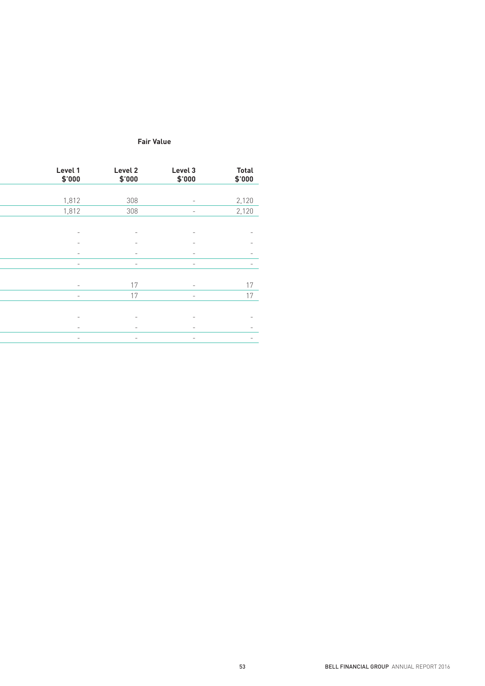#### **Carrying Amount Fair Value**

| Level 1<br>\$'000        | Level 2<br>\$'000        | Level 3<br>\$'000        | <b>Total</b><br>\$'000   |
|--------------------------|--------------------------|--------------------------|--------------------------|
|                          |                          |                          |                          |
| 1,812                    | 308                      | $\sim$                   | 2,120                    |
| 1,812                    | 308                      | $\sim$                   | 2,120                    |
|                          |                          |                          |                          |
| $\overline{\phantom{a}}$ |                          |                          | $\overline{\phantom{a}}$ |
| $\overline{\phantom{a}}$ | $\sim$                   | $\overline{\phantom{a}}$ | $\sim$                   |
| $\sim$                   | $\sim$                   | $\sim$                   | $\sim$                   |
| $\sim$                   | $\sim$                   | $\sim$                   | $\sim$                   |
|                          |                          |                          |                          |
| $\sim$                   | 17                       | $\sim$                   | 17                       |
| $\sim$ $-$               | 17                       | $\sim$ $-$               | 17                       |
|                          |                          |                          |                          |
| $\overline{\phantom{a}}$ | $\overline{\phantom{a}}$ | $\overline{\phantom{a}}$ | $\sim$                   |
| $\sim$                   | $\sim$                   | $\sim$                   | $\overline{\phantom{a}}$ |
| $\sim$ $ \sim$           | $\sim$                   |                          | $\sim$                   |
|                          |                          | $\sim$                   |                          |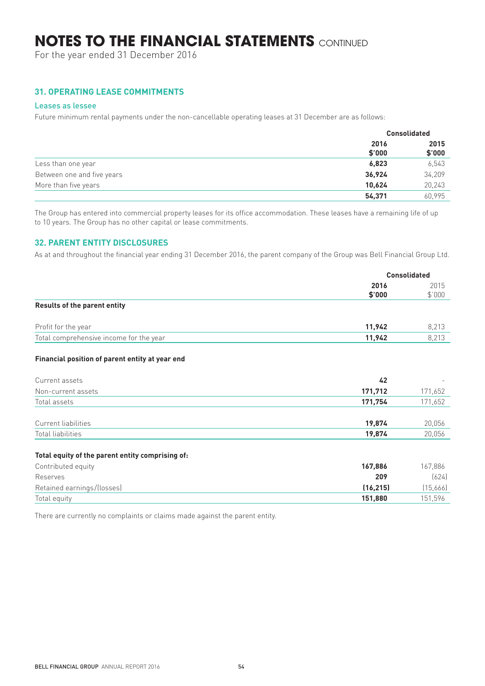For the year ended 31 December 2016

## **31. OPERATING LEASE COMMITMENTS**

#### Leases as lessee

Future minimum rental payments under the non-cancellable operating leases at 31 December are as follows:

|                            |                | <b>Consolidated</b> |
|----------------------------|----------------|---------------------|
|                            | 2016<br>\$'000 | 2015<br>\$'000      |
| Less than one year         | 6,823          | 6,543               |
| Between one and five years | 36.924         | 34,209              |
| More than five years       | 10.624         | 20,243              |
|                            | 54,371         | 60.995              |

The Group has entered into commercial property leases for its office accommodation. These leases have a remaining life of up to 10 years. The Group has no other capital or lease commitments.

### **32. PARENT ENTITY DISCLOSURES**

As at and throughout the financial year ending 31 December 2016, the parent company of the Group was Bell Financial Group Ltd.

|                                         |                | <b>Consolidated</b> |
|-----------------------------------------|----------------|---------------------|
|                                         | 2016<br>\$'000 | 2015<br>\$'000      |
| <b>Results of the parent entity</b>     |                |                     |
| Profit for the year                     | 11,942         | 8,213               |
| Total comprehensive income for the year | 11,942         | 8.213               |

#### **Financial position of parent entity at year end**

| Current assets      | 42      |         |
|---------------------|---------|---------|
| Non-current assets  | 171,712 | 171,652 |
| Total assets        | 171,754 | 171,652 |
|                     |         |         |
| Current liabilities | 19,874  | 20,056  |
| Total liabilities   | 19,874  | 20,056  |
|                     |         |         |

#### **Total equity of the parent entity comprising of:**

| Contributed equity         | 167.886  | 167.886  |
|----------------------------|----------|----------|
| Reserves                   | 209      | (624)    |
| Retained earnings/(losses) | (16.215) | (15,666) |
| Total equity               | 151.880  | 151.596  |

There are currently no complaints or claims made against the parent entity.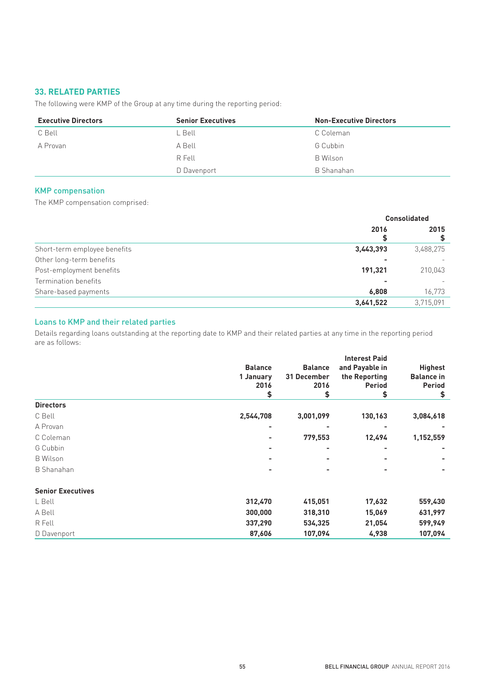## **33. RELATED PARTIES**

The following were KMP of the Group at any time during the reporting period:

| <b>Executive Directors</b> | <b>Senior Executives</b> | <b>Non-Executive Directors</b> |
|----------------------------|--------------------------|--------------------------------|
| C Bell                     | L Bell                   | C Coleman                      |
| A Provan                   | A Bell                   | G Cubbin                       |
|                            | R Fell                   | B Wilson                       |
|                            | D Davenport              | B Shanahan                     |

#### KMP compensation

The KMP compensation comprised:

|                              | <b>Consolidated</b> |           |  |
|------------------------------|---------------------|-----------|--|
|                              | 2016                | 2015      |  |
| Short-term employee benefits | 3,443,393           | 3,488,275 |  |
| Other long-term benefits     |                     |           |  |
| Post-employment benefits     | 191,321             | 210,043   |  |
| Termination benefits         |                     |           |  |
| Share-based payments         | 6,808               | 16,773    |  |
|                              | 3,641,522           | 3,715,091 |  |

## Loans to KMP and their related parties

Details regarding loans outstanding at the reporting date to KMP and their related parties at any time in the reporting period are as follows:

|                          | <b>Balance</b> | <b>Balance</b> | and Payable in | <b>Highest</b>                           |  |
|--------------------------|----------------|----------------|----------------|------------------------------------------|--|
|                          | 1 January      | 31 December    | the Reporting  | <b>Balance in</b><br><b>Period</b><br>\$ |  |
|                          | 2016           | 2016           | <b>Period</b>  |                                          |  |
|                          | \$             | \$             | 5              |                                          |  |
| <b>Directors</b>         |                |                |                |                                          |  |
| C Bell                   | 2,544,708      | 3,001,099      | 130,163        | 3,084,618                                |  |
| A Provan                 |                |                |                |                                          |  |
| C Coleman                | ۰              | 779,553        | 12,494         | 1,152,559                                |  |
| G Cubbin                 |                |                |                |                                          |  |
| <b>B</b> Wilson          |                |                |                |                                          |  |
| <b>B</b> Shanahan        | ۰              |                |                |                                          |  |
| <b>Senior Executives</b> |                |                |                |                                          |  |
| L Bell                   | 312,470        | 415,051        | 17,632         | 559,430                                  |  |
| A Bell                   | 300,000        | 318,310        | 15,069         | 631,997                                  |  |
| R Fell                   | 337,290        | 534,325        | 21,054         | 599,949                                  |  |
| D Davenport              | 87,606         | 107,094        | 4,938          | 107,094                                  |  |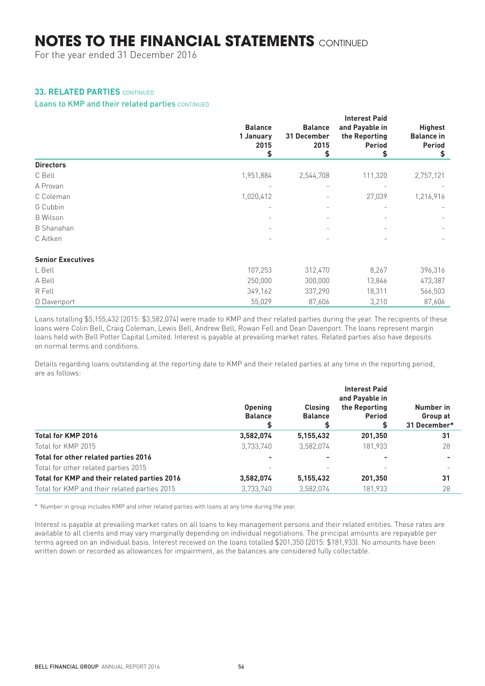For the year ended 31 December 2016

## **33. RELATED PARTIES** CONTINUED

#### Loans to KMP and their related parties CONTINUED

|                          | <b>Balance</b><br>1 January<br>2015<br>\$ | <b>Balance</b><br>31 December<br>2015<br>\$ | <b>Interest Paid</b><br>and Payable in<br>the Reporting<br><b>Period</b><br>S | <b>Highest</b><br><b>Balance in</b><br>Period<br>\$ |
|--------------------------|-------------------------------------------|---------------------------------------------|-------------------------------------------------------------------------------|-----------------------------------------------------|
| <b>Directors</b>         |                                           |                                             |                                                                               |                                                     |
| C Bell                   | 1,951,884                                 | 2,544,708                                   | 111,320                                                                       | 2,757,121                                           |
| A Provan                 |                                           |                                             |                                                                               |                                                     |
| C Coleman                | 1,020,412                                 |                                             | 27,039                                                                        | 1,216,916                                           |
| G Cubbin                 | $\overline{\phantom{0}}$                  |                                             |                                                                               |                                                     |
| <b>B</b> Wilson          | $\overline{\phantom{0}}$                  | $\overline{\phantom{0}}$                    | $\overline{\phantom{0}}$                                                      |                                                     |
| <b>B</b> Shanahan        | $\overline{\phantom{a}}$                  |                                             |                                                                               |                                                     |
| C Aitken                 |                                           |                                             |                                                                               |                                                     |
| <b>Senior Executives</b> |                                           |                                             |                                                                               |                                                     |
| L Bell                   | 107,253                                   | 312,470                                     | 8,267                                                                         | 396,316                                             |
| A Bell                   | 250,000                                   | 300,000                                     | 13,846                                                                        | 473,387                                             |
| R Fell                   | 349,162                                   | 337,290                                     | 18,311                                                                        | 566,503                                             |
| D Davenport              | 55,029                                    | 87,606                                      | 3,210                                                                         | 87,606                                              |

Loans totalling \$5,155,432 (2015: \$3,582,074) were made to KMP and their related parties during the year. The recipients of these loans were Colin Bell, Craig Coleman, Lewis Bell, Andrew Bell, Rowan Fell and Dean Davenport. The loans represent margin loans held with Bell Potter Capital Limited. Interest is payable at prevailing market rates. Related parties also have deposits on normal terms and conditions.

Details regarding loans outstanding at the reporting date to KMP and their related parties at any time in the reporting period, are as follows:

|                                              | <b>Opening</b><br><b>Balance</b> | <b>Closing</b><br><b>Balance</b> | the Reporting<br><b>Period</b> | Number in<br>Group at<br>31 December* |
|----------------------------------------------|----------------------------------|----------------------------------|--------------------------------|---------------------------------------|
| Total for KMP 2016                           | 3,582,074                        | 5,155,432                        | 201,350                        | 31                                    |
| Total for KMP 2015                           | 3,733,740                        | 3,582,074                        | 181.933                        | 28                                    |
| Total for other related parties 2016         |                                  |                                  |                                |                                       |
| Total for other related parties 2015         |                                  |                                  |                                |                                       |
| Total for KMP and their related parties 2016 | 3,582,074                        | 5,155,432                        | 201,350                        | 31                                    |
| Total for KMP and their related parties 2015 | 3.733.740                        | 3.582.074                        | 181.933                        | 28                                    |

\* Number in group includes KMP and other related parties with loans at any time during the year.

Interest is payable at prevailing market rates on all loans to key management persons and their related entities. These rates are available to all clients and may vary marginally depending on individual negotiations. The principal amounts are repayable per terms agreed on an individual basis. Interest received on the loans totalled \$201,350 (2015: \$181,933). No amounts have been written down or recorded as allowances for impairment, as the balances are considered fully collectable.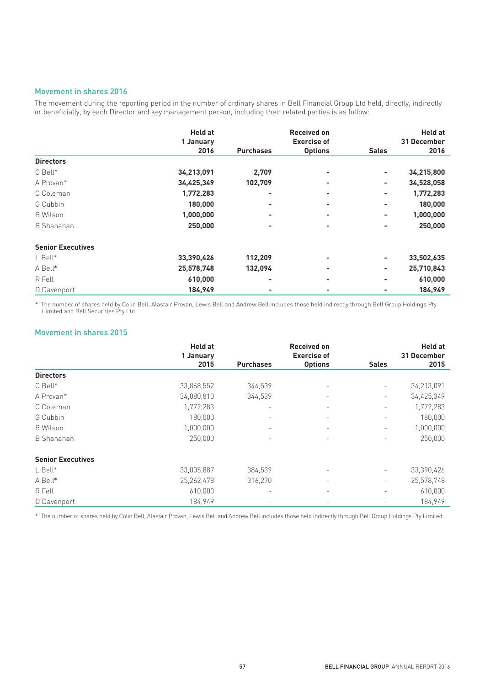#### Movement in shares 2016

The movement during the reporting period in the number of ordinary shares in Bell Financial Group Ltd held, directly, indirectly or beneficially, by each Director and key management person, including their related parties is as follow:

|                          | <b>Held at</b>    |                  | <b>Received on</b><br><b>Exercise of</b> |                | <b>Held at</b><br>31 December |  |
|--------------------------|-------------------|------------------|------------------------------------------|----------------|-------------------------------|--|
|                          | 1 January<br>2016 | <b>Purchases</b> | <b>Options</b>                           | <b>Sales</b>   | 2016                          |  |
| <b>Directors</b>         |                   |                  |                                          |                |                               |  |
| C Bell*                  | 34,213,091        | 2,709            |                                          | ۰              | 34,215,800                    |  |
| A Provan*                | 34,425,349        | 102,709          | ۰                                        | -              | 34,528,058                    |  |
| C Coleman                | 1,772,283         | ۰                |                                          | ۰              | 1,772,283                     |  |
| G Cubbin                 | 180,000           | ۰                |                                          | $\blacksquare$ | 180,000                       |  |
| <b>B</b> Wilson          | 1,000,000         | ۰                | -                                        | ۰              | 1,000,000                     |  |
| <b>B</b> Shanahan        | 250,000           | ۰                |                                          | -              | 250,000                       |  |
| <b>Senior Executives</b> |                   |                  |                                          |                |                               |  |
| $L$ Bell $*$             | 33,390,426        | 112,209          |                                          | ۰              | 33,502,635                    |  |
| A Bell*                  | 25,578,748        | 132,094          | ۰                                        | -              | 25,710,843                    |  |
| R Fell                   | 610,000           | ۰                |                                          |                | 610,000                       |  |
| D Davenport              | 184,949           | -                |                                          |                | 184,949                       |  |

\* The number of shares held by Colin Bell, Alastair Provan, Lewis Bell and Andrew Bell includes those held indirectly through Bell Group Holdings Pty Limited and Bell Securities Pty Ltd.

#### Movement in shares 2015

|                          | <b>Held at</b>    |                          | <b>Received on</b><br><b>Exercise of</b> |                          | <b>Held at</b><br>31 December |
|--------------------------|-------------------|--------------------------|------------------------------------------|--------------------------|-------------------------------|
|                          | 1 January<br>2015 | <b>Purchases</b>         | <b>Options</b>                           | <b>Sales</b>             | 2015                          |
| <b>Directors</b>         |                   |                          |                                          |                          |                               |
| C Bell*                  | 33,868,552        | 344,539                  | $\overline{\phantom{a}}$                 | $\overline{\phantom{0}}$ | 34,213,091                    |
| A Provan*                | 34,080,810        | 344,539                  | -                                        | $\overline{\phantom{0}}$ | 34,425,349                    |
| C Coleman                | 1,772,283         | $\overline{\phantom{m}}$ |                                          | $\overline{\phantom{0}}$ | 1,772,283                     |
| G Cubbin                 | 180,000           | $\overline{\phantom{a}}$ | $\overline{\phantom{a}}$                 | -                        | 180,000                       |
| <b>B</b> Wilson          | 1,000,000         | $\overline{\phantom{m}}$ |                                          | $\overline{\phantom{a}}$ | 1,000,000                     |
| B Shanahan               | 250,000           | $\overline{\phantom{a}}$ |                                          | $\overline{\phantom{0}}$ | 250,000                       |
| <b>Senior Executives</b> |                   |                          |                                          |                          |                               |
| L Bell*                  | 33,005,887        | 384,539                  |                                          | -                        | 33,390,426                    |
| A Bell*                  | 25, 262, 478      | 316,270                  | $\overline{\phantom{0}}$                 | $\overline{\phantom{0}}$ | 25,578,748                    |
| R Fell                   | 610,000           | $\overline{\phantom{m}}$ | $\overline{\phantom{0}}$                 | $\overline{\phantom{0}}$ | 610,000                       |
| D Davenport              | 184.949           | -                        | $\overline{\phantom{a}}$                 |                          | 184,949                       |

\* The number of shares held by Colin Bell, Alastair Provan, Lewis Bell and Andrew Bell includes those held indirectly through Bell Group Holdings Pty Limited.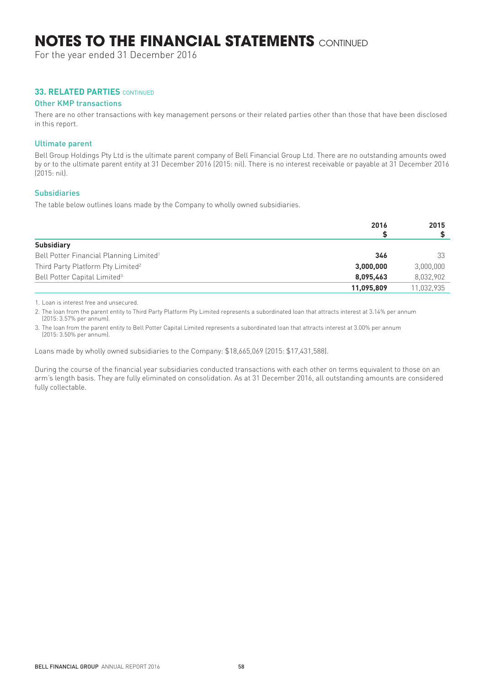For the year ended 31 December 2016

#### **33. RELATED PARTIES** CONTINUED

#### Other KMP transactions

There are no other transactions with key management persons or their related parties other than those that have been disclosed in this report.

#### Ultimate parent

Bell Group Holdings Pty Ltd is the ultimate parent company of Bell Financial Group Ltd. There are no outstanding amounts owed by or to the ultimate parent entity at 31 December 2016 (2015: nil). There is no interest receivable or payable at 31 December 2016 (2015: nil).

### Subsidiaries

The table below outlines loans made by the Company to wholly owned subsidiaries.

|                                                     | 2016       | 2015       |
|-----------------------------------------------------|------------|------------|
| <b>Subsidiary</b>                                   |            |            |
| Bell Potter Financial Planning Limited <sup>1</sup> | 346        | -33        |
| Third Party Platform Pty Limited <sup>2</sup>       | 3,000,000  | 3,000,000  |
| Bell Potter Capital Limited <sup>3</sup>            | 8,095,463  | 8,032,902  |
|                                                     | 11,095,809 | 11,032,935 |

1. Loan is interest free and unsecured.

2. The loan from the parent entity to Third Party Platform Pty Limited represents a subordinated loan that attracts interest at 3.14% per annum (2015: 3.57% per annum).

3. The loan from the parent entity to Bell Potter Capital Limited represents a subordinated loan that attracts interest at 3.00% per annum (2015: 3.50% per annum).

Loans made by wholly owned subsidiaries to the Company: \$18,665,069 (2015: \$17,431,588).

During the course of the financial year subsidiaries conducted transactions with each other on terms equivalent to those on an arm's length basis. They are fully eliminated on consolidation. As at 31 December 2016, all outstanding amounts are considered fully collectable.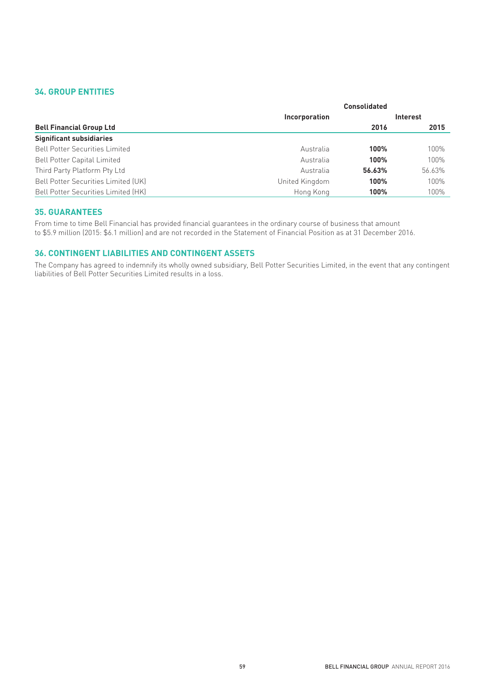## **34. GROUP ENTITIES**

|                                       |                | <b>Consolidated</b> |                 |
|---------------------------------------|----------------|---------------------|-----------------|
|                                       | Incorporation  |                     | <b>Interest</b> |
| <b>Bell Financial Group Ltd</b>       |                | 2016                | 2015            |
| <b>Significant subsidiaries</b>       |                |                     |                 |
| <b>Bell Potter Securities Limited</b> | Australia      | 100%                | 100%            |
| <b>Bell Potter Capital Limited</b>    | Australia      | 100%                | 100%            |
| Third Party Platform Pty Ltd          | Australia      | 56.63%              | 56.63%          |
| Bell Potter Securities Limited (UK)   | United Kingdom | 100%                | 100%            |
| Bell Potter Securities Limited (HK)   | Hong Kong      | 100%                | 100%            |

## **35. GUARANTEES**

From time to time Bell Financial has provided financial guarantees in the ordinary course of business that amount to \$5.9 million (2015: \$6.1 million) and are not recorded in the Statement of Financial Position as at 31 December 2016.

## **36. CONTINGENT LIABILITIES AND CONTINGENT ASSETS**

The Company has agreed to indemnify its wholly owned subsidiary, Bell Potter Securities Limited, in the event that any contingent liabilities of Bell Potter Securities Limited results in a loss.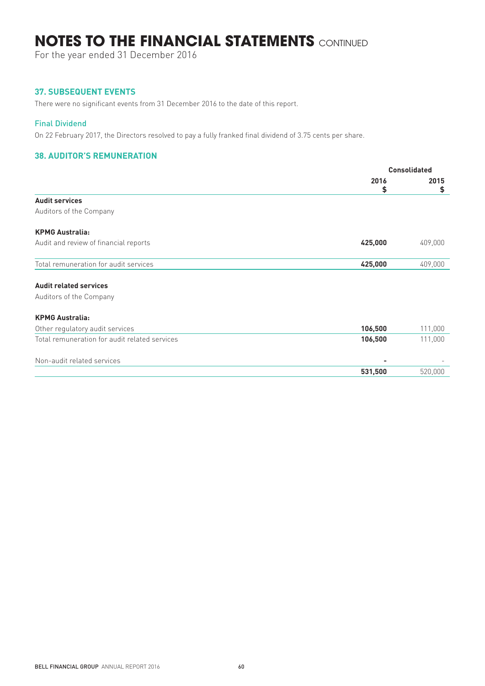For the year ended 31 December 2016

## **37. SUBSEQUENT EVENTS**

There were no significant events from 31 December 2016 to the date of this report.

#### Final Dividend

On 22 February 2017, the Directors resolved to pay a fully franked final dividend of 3.75 cents per share.

## **38. AUDITOR'S REMUNERATION**

|                                               | <b>Consolidated</b> |         |
|-----------------------------------------------|---------------------|---------|
|                                               | 2016                | 2015    |
|                                               | \$                  | \$      |
| <b>Audit services</b>                         |                     |         |
| Auditors of the Company                       |                     |         |
| <b>KPMG Australia:</b>                        |                     |         |
| Audit and review of financial reports         | 425,000             | 409,000 |
| Total remuneration for audit services         | 425,000             | 409,000 |
| <b>Audit related services</b>                 |                     |         |
| Auditors of the Company                       |                     |         |
| <b>KPMG Australia:</b>                        |                     |         |
| Other regulatory audit services               | 106,500             | 111,000 |
| Total remuneration for audit related services | 106,500             | 111,000 |
| Non-audit related services                    |                     |         |
|                                               | 531,500             | 520,000 |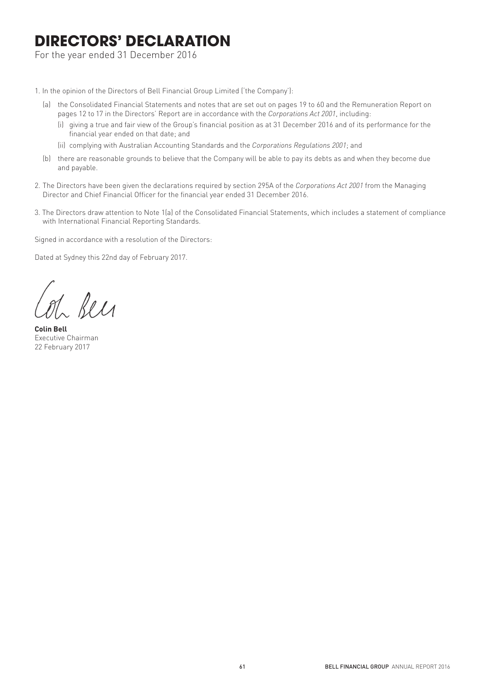## **DIRECTORS' DECLARATION**

For the year ended 31 December 2016

1. In the opinion of the Directors of Bell Financial Group Limited ('the Company'):

- (a) the Consolidated Financial Statements and notes that are set out on pages 19 to 60 and the Remuneration Report on pages 12 to 17 in the Directors' Report are in accordance with the *Corporations Act 2001*, including:
	- (i) giving a true and fair view of the Group's financial position as at 31 December 2016 and of its performance for the financial year ended on that date; and
	- (ii) complying with Australian Accounting Standards and the *Corporations Regulations 2001*; and
- (b) there are reasonable grounds to believe that the Company will be able to pay its debts as and when they become due and payable.
- 2. The Directors have been given the declarations required by section 295A of the *Corporations Act 2001* from the Managing Director and Chief Financial Officer for the financial year ended 31 December 2016.
- 3. The Directors draw attention to Note 1(a) of the Consolidated Financial Statements, which includes a statement of compliance with International Financial Reporting Standards.

Signed in accordance with a resolution of the Directors:

Dated at Sydney this 22nd day of February 2017.

Leis

**Colin Bell** Executive Chairman 22 February 2017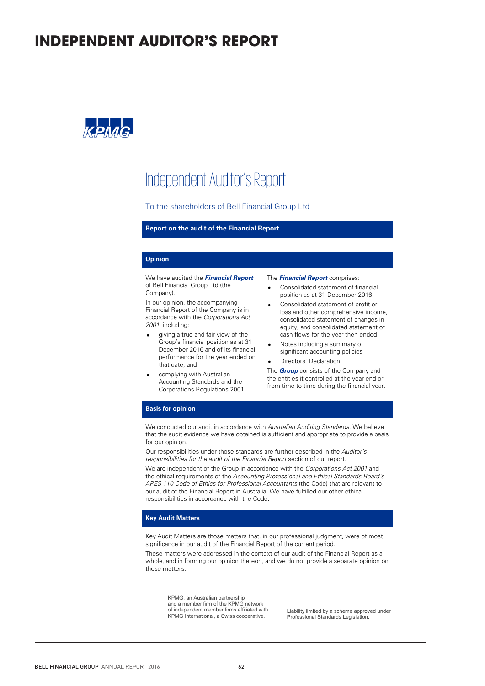## **INDEPENDENT AUDITOR'S REPORT**

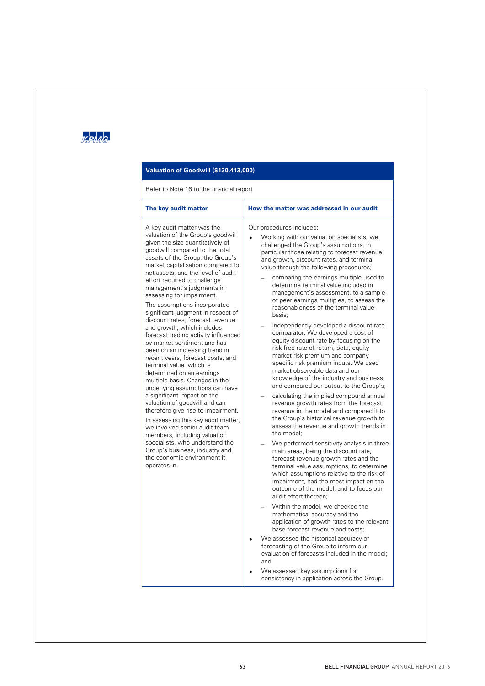## **KPMG**

### **Valuation of Goodwill (\$130,413,000)**

#### Refer to Note 16 to the financial report

| The key audit matter                                                                                                                                                                                                                                                                                                                                              | How the matter was addressed in our audit                                                                                                                                                                                                                                                                                                                              |
|-------------------------------------------------------------------------------------------------------------------------------------------------------------------------------------------------------------------------------------------------------------------------------------------------------------------------------------------------------------------|------------------------------------------------------------------------------------------------------------------------------------------------------------------------------------------------------------------------------------------------------------------------------------------------------------------------------------------------------------------------|
| A key audit matter was the<br>valuation of the Group's goodwill<br>given the size quantitatively of<br>goodwill compared to the total<br>assets of the Group, the Group's<br>market capitalisation compared to<br>net assets, and the level of audit<br>effort required to challenge                                                                              | Our procedures included:<br>Working with our valuation specialists, we<br>challenged the Group's assumptions, in<br>particular those relating to forecast revenue<br>and growth, discount rates, and terminal<br>value through the following procedures;<br>comparing the earnings multiple used to                                                                    |
| management's judgments in<br>assessing for impairment.<br>The assumptions incorporated<br>significant judgment in respect of<br>discount rates, forecast revenue                                                                                                                                                                                                  | determine terminal value included in<br>management's assessment, to a sample<br>of peer earnings multiples, to assess the<br>reasonableness of the terminal value<br>basis:                                                                                                                                                                                            |
| and growth, which includes<br>forecast trading activity influenced<br>by market sentiment and has<br>been on an increasing trend in<br>recent years, forecast costs, and<br>terminal value, which is<br>determined on an earnings<br>multiple basis. Changes in the                                                                                               | independently developed a discount rate<br>comparator. We developed a cost of<br>equity discount rate by focusing on the<br>risk free rate of return, beta, equity<br>market risk premium and company<br>specific risk premium inputs. We used<br>market observable data and our<br>knowledge of the industry and business,<br>and compared our output to the Group's; |
| underlying assumptions can have<br>a significant impact on the<br>valuation of goodwill and can<br>therefore give rise to impairment.<br>In assessing this key audit matter,<br>we involved senior audit team<br>members, including valuation<br>specialists, who understand the<br>Group's business, industry and<br>the economic environment it<br>operates in. | calculating the implied compound annual<br>revenue growth rates from the forecast<br>revenue in the model and compared it to<br>the Group's historical revenue growth to<br>assess the revenue and growth trends in<br>the model:                                                                                                                                      |
|                                                                                                                                                                                                                                                                                                                                                                   | We performed sensitivity analysis in three<br>main areas, being the discount rate,<br>forecast revenue growth rates and the<br>terminal value assumptions, to determine<br>which assumptions relative to the risk of<br>impairment, had the most impact on the<br>outcome of the model, and to focus our<br>audit effort thereon;                                      |
|                                                                                                                                                                                                                                                                                                                                                                   | Within the model, we checked the<br>mathematical accuracy and the<br>application of growth rates to the relevant<br>base forecast revenue and costs;                                                                                                                                                                                                                   |
|                                                                                                                                                                                                                                                                                                                                                                   | We assessed the historical accuracy of<br>forecasting of the Group to inform our<br>evaluation of forecasts included in the model;<br>and                                                                                                                                                                                                                              |
|                                                                                                                                                                                                                                                                                                                                                                   | We assessed key assumptions for<br>consistency in application across the Group.                                                                                                                                                                                                                                                                                        |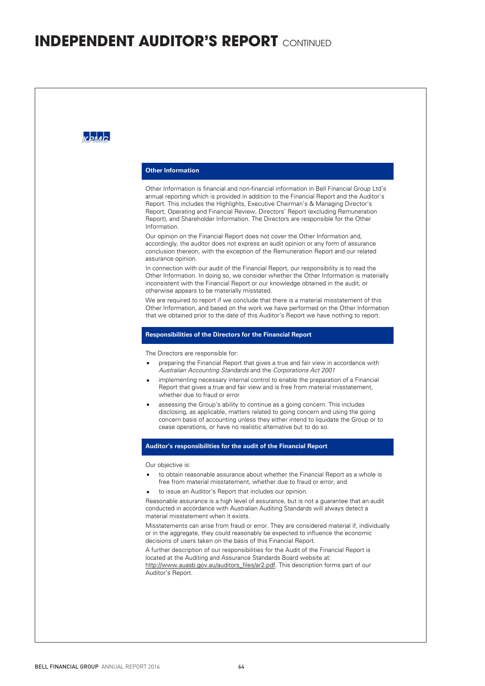## **INDEPENDENT AUDITOR'S REPORT** CONTINUED

| <b>Other Information</b>                                                                                                                                                                                                                                                                                                                                                                                                                                                                                                                                                                                                                                                                                                                 |
|------------------------------------------------------------------------------------------------------------------------------------------------------------------------------------------------------------------------------------------------------------------------------------------------------------------------------------------------------------------------------------------------------------------------------------------------------------------------------------------------------------------------------------------------------------------------------------------------------------------------------------------------------------------------------------------------------------------------------------------|
| Other Information is financial and non-financial information in Bell Financial Group Ltd's<br>annual reporting which is provided in addition to the Financial Report and the Auditor's<br>Report. This includes the Highlights, Executive Chairman's & Managing Director's<br>Report, Operating and Financial Review, Directors' Report (excluding Remuneration<br>Report), and Shareholder Information. The Directors are responsible for the Other<br>Information.                                                                                                                                                                                                                                                                     |
| Our opinion on the Financial Report does not cover the Other Information and,<br>accordingly, the auditor does not express an audit opinion or any form of assurance<br>conclusion thereon, with the exception of the Remuneration Report and our related<br>assurance opinion.                                                                                                                                                                                                                                                                                                                                                                                                                                                          |
| In connection with our audit of the Financial Report, our responsibility is to read the<br>Other Information. In doing so, we consider whether the Other Information is materially<br>inconsistent with the Financial Report or our knowledge obtained in the audit, or<br>otherwise appears to be materially misstated.                                                                                                                                                                                                                                                                                                                                                                                                                 |
| We are required to report if we conclude that there is a material misstatement of this<br>Other Information, and based on the work we have performed on the Other Information<br>that we obtained prior to the date of this Auditor's Report we have nothing to report.                                                                                                                                                                                                                                                                                                                                                                                                                                                                  |
| <b>Responsibilities of the Directors for the Financial Report</b>                                                                                                                                                                                                                                                                                                                                                                                                                                                                                                                                                                                                                                                                        |
| The Directors are responsible for:<br>preparing the Financial Report that gives a true and fair view in accordance with<br>Australian Accounting Standards and the Corporations Act 2001<br>implementing necessary internal control to enable the preparation of a Financial<br>$\bullet$<br>Report that gives a true and fair view and is free from material misstatement,<br>whether due to fraud or error<br>assessing the Group's ability to continue as a going concern. This includes<br>disclosing, as applicable, matters related to going concern and using the going<br>concern basis of accounting unless they either intend to liquidate the Group or to<br>cease operations, or have no realistic alternative but to do so. |
| Auditor's responsibilities for the audit of the Financial Report                                                                                                                                                                                                                                                                                                                                                                                                                                                                                                                                                                                                                                                                         |
| Our objective is:<br>to obtain reasonable assurance about whether the Financial Report as a whole is<br>free from material misstatement, whether due to fraud or error; and<br>to issue an Auditor's Report that includes our opinion.<br>$\bullet$                                                                                                                                                                                                                                                                                                                                                                                                                                                                                      |
| Reasonable assurance is a high level of assurance, but is not a guarantee that an audit<br>conducted in accordance with Australian Auditing Standards will always detect a<br>material misstatement when it exists.<br>Misstatements can arise from fraud or error. They are considered material if, individually                                                                                                                                                                                                                                                                                                                                                                                                                        |
| or in the aggregate, they could reasonably be expected to influence the economic<br>decisions of users taken on the basis of this Financial Report.                                                                                                                                                                                                                                                                                                                                                                                                                                                                                                                                                                                      |
| A further description of our responsibilities for the Audit of the Financial Report is<br>located at the Auditing and Assurance Standards Board website at:<br>http://www.auasb.gov.au/auditors files/ar2.pdf. This description forms part of our<br>Auditor's Report.                                                                                                                                                                                                                                                                                                                                                                                                                                                                   |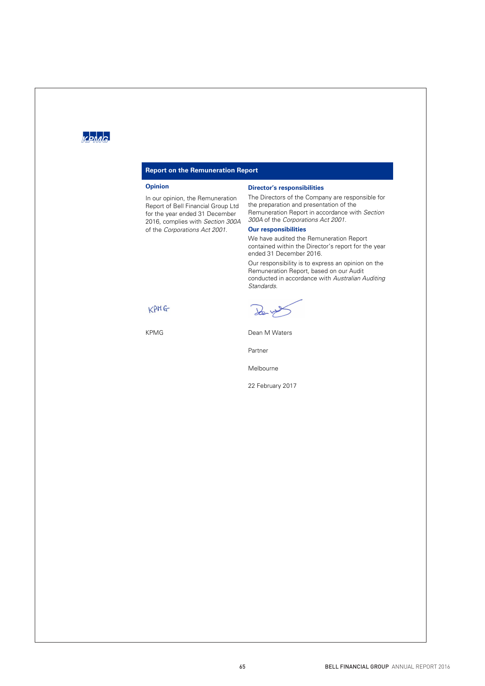## $k$ pha $\sim$

#### **Report on the Remuneration Report**

#### **Opinion**

In our opinion, the Remuneration Report of Bell Financial Group Ltd for the year ended 31 December 2016, complies with Section 300A of the Corporations Act 2001.

#### **Director's responsibilities**

The Directors of the Company are responsible for the preparation and presentation of the Remuneration Report in accordance with Section 300A of the Corporations Act 2001.

### **Our responsibilities**

We have audited the Remuneration Report contained within the Director's report for the year ended 31 December 2016.

Our responsibility is to express an opinion on the Remuneration Report, based on our Audit conducted in accordance with Australian Auditing Standards.

 $\lambda$ 

KPMG Dean M Waters

Partner

Melbourne

22 February 2017

KPMG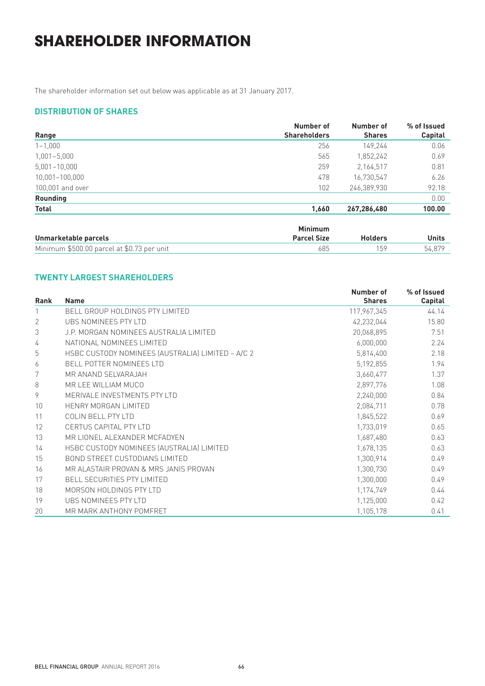## **SHAREHOLDER INFORMATION**

The shareholder information set out below was applicable as at 31 January 2017.

## **DISTRIBUTION OF SHARES**

|                  | Number of           | Number of     | % of Issued |
|------------------|---------------------|---------------|-------------|
| Range            | <b>Shareholders</b> | <b>Shares</b> | Capital     |
| $1 - 1,000$      | 256                 | 149.244       | 0.06        |
| $1,001 - 5,000$  | 565                 | 1,852,242     | 0.69        |
| $5,001 - 10,000$ | 259                 | 2,164,517     | 0.81        |
| 10,001-100,000   | 478                 | 16,730,547    | 6.26        |
| 100,001 and over | 102                 | 246,389,930   | 92.18       |
| Rounding         |                     |               | 0.00        |
| Total            | 1,660               | 267,286,480   | 100.00      |

|                                            | Minimum            |                |        |
|--------------------------------------------|--------------------|----------------|--------|
| Unmarketable parcels                       | <b>Parcel Size</b> | <b>Holders</b> | Units  |
| Minimum \$500.00 parcel at \$0.73 per unit | 685                | 159            | 54.879 |

## **TWENTY LARGEST SHAREHOLDERS**

|             |                                                   | Number of     | % of Issued |
|-------------|---------------------------------------------------|---------------|-------------|
| <b>Rank</b> | <b>Name</b>                                       | <b>Shares</b> | Capital     |
|             | <b>BELL GROUP HOLDINGS PTY LIMITED</b>            | 117,967,345   | 44.14       |
| 2           | UBS NOMINEES PTY LTD                              | 42,232,044    | 15.80       |
| 3           | J.P. MORGAN NOMINEES AUSTRALIA LIMITED            | 20,068,895    | 7.51        |
| 4           | NATIONAL NOMINEES LIMITED                         | 6,000,000     | 2.24        |
| 5           | HSBC CUSTODY NOMINEES (AUSTRALIA) LIMITED - A/C 2 | 5,814,400     | 2.18        |
| 6           | <b>BELL POTTER NOMINEES LTD</b>                   | 5,192,855     | 1.94        |
| 7           | MR ANAND SELVARAJAH                               | 3,660,477     | 1.37        |
| 8           | MR LEE WILLIAM MUCO                               | 2,897,776     | 1.08        |
| 9           | MERIVALE INVESTMENTS PTY LTD                      | 2,240,000     | 0.84        |
| 10          | HENRY MORGAN LIMITED                              | 2,084,711     | 0.78        |
| 11          | COLIN BELL PTY LTD                                | 1,845,522     | 0.69        |
| 12          | CERTUS CAPITAL PTY LTD                            | 1,733,019     | 0.65        |
| 13          | MR LIONEL ALEXANDER MCFADYEN                      | 1,687,480     | 0.63        |
| 14          | HSBC CUSTODY NOMINEES (AUSTRALIA) LIMITED         | 1,678,135     | 0.63        |
| 15          | <b>BOND STREET CUSTODIANS LIMITED</b>             | 1,300,914     | 0.49        |
| 16          | MR ALASTAIR PROVAN & MRS JANIS PROVAN             | 1,300,730     | 0.49        |
| 17          | <b>BELL SECURITIES PTY LIMITED</b>                | 1,300,000     | 0.49        |
| 18          | MORSON HOLDINGS PTY LTD                           | 1,174,749     | 0.44        |
| 19          | UBS NOMINEES PTY LTD                              | 1,125,000     | 0.42        |
| 20          | MR MARK ANTHONY POMFRET                           | 1,105,178     | 0.41        |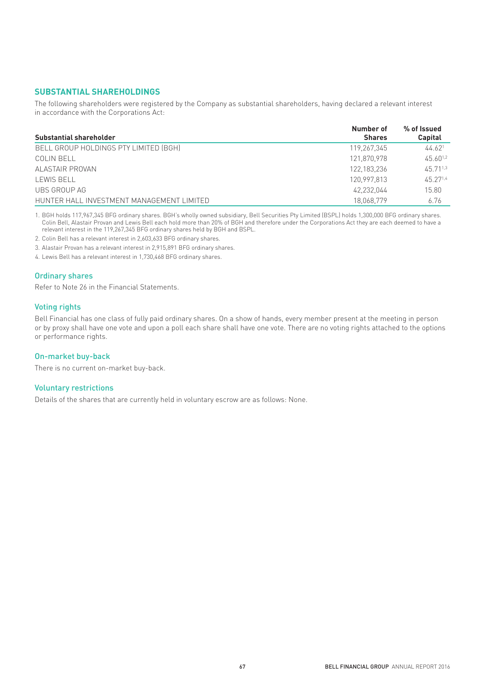#### **SUBSTANTIAL SHAREHOLDINGS**

The following shareholders were registered by the Company as substantial shareholders, having declared a relevant interest in accordance with the Corporations Act:

|                                           | Number of     | % of Issued        |  |
|-------------------------------------------|---------------|--------------------|--|
| Substantial shareholder                   | <b>Shares</b> | Capital            |  |
| BELL GROUP HOLDINGS PTY LIMITED (BGH)     | 119,267,345   | 44.62 <sup>1</sup> |  |
| COLIN BELL                                | 121,870,978   | $45.60^{1.2}$      |  |
| ALASTAIR PROVAN                           | 122,183,236   | $4571^{1,3}$       |  |
| LEWIS BELL                                | 120.997.813   | 45 271.4           |  |
| UBS GROUP AG                              | 42,232,044    | 15.80              |  |
| HUNTER HALL INVESTMENT MANAGEMENT LIMITED | 18.068.779    | 6.76               |  |

1. BGH holds 117,967,345 BFG ordinary shares. BGH's wholly owned subsidiary, Bell Securities Pty Limited (BSPL) holds 1,300,000 BFG ordinary shares. Colin Bell, Alastair Provan and Lewis Bell each hold more than 20% of BGH and therefore under the Corporations Act they are each deemed to have a relevant interest in the 119,267,345 BFG ordinary shares held by BGH and BSPL.

2. Colin Bell has a relevant interest in 2,603,633 BFG ordinary shares.

3. Alastair Provan has a relevant interest in 2,915,891 BFG ordinary shares.

4. Lewis Bell has a relevant interest in 1,730,468 BFG ordinary shares.

#### Ordinary shares

Refer to Note 26 in the Financial Statements.

#### Voting rights

Bell Financial has one class of fully paid ordinary shares. On a show of hands, every member present at the meeting in person or by proxy shall have one vote and upon a poll each share shall have one vote. There are no voting rights attached to the options or performance rights.

#### On-market buy-back

There is no current on-market buy-back.

#### Voluntary restrictions

Details of the shares that are currently held in voluntary escrow are as follows: None.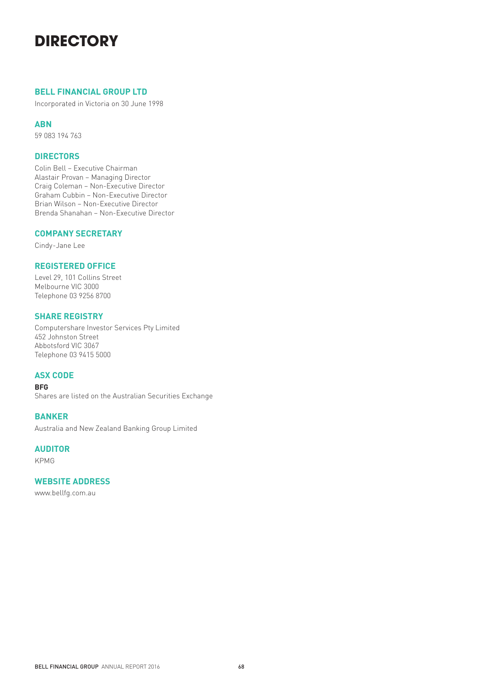## **DIRECTORY**

### **BELL FINANCIAL GROUP LTD**

Incorporated in Victoria on 30 June 1998

### **ABN**

59 083 194 763

## **DIRECTORS**

Colin Bell – Executive Chairman Alastair Provan – Managing Director Craig Coleman – Non-Executive Director Graham Cubbin – Non-Executive Director Brian Wilson – Non-Executive Director Brenda Shanahan – Non-Executive Director

## **COMPANY SECRETARY**

Cindy-Jane Lee

## **REGISTERED OFFICE**

Level 29, 101 Collins Street Melbourne VIC 3000 Telephone 03 9256 8700

## **SHARE REGISTRY**

Computershare Investor Services Pty Limited 452 Johnston Street Abbotsford VIC 3067 Telephone 03 9415 5000

## **ASX CODE**

#### **BFG**

Shares are listed on the Australian Securities Exchange

### **BANKER**

Australia and New Zealand Banking Group Limited

## **AUDITOR**

KPMG

### **WEBSITE ADDRESS**

www.bellfg.com.au